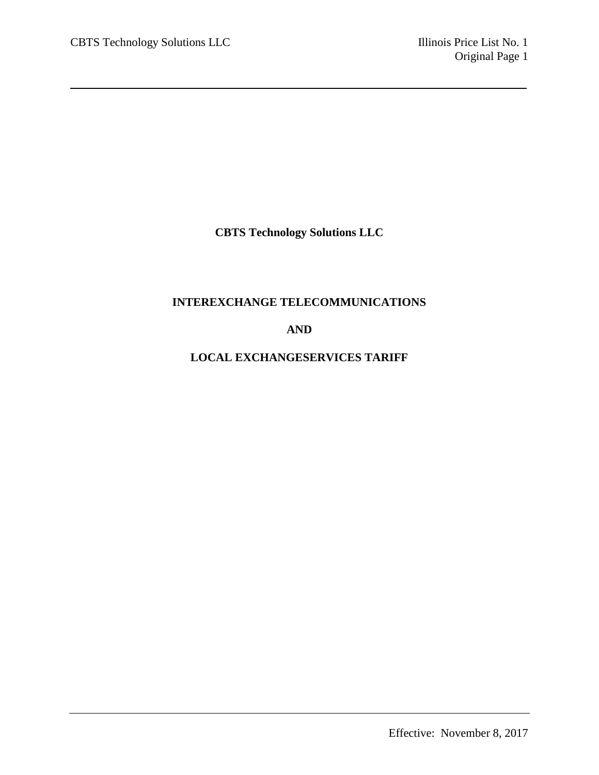**CBTS Technology Solutions LLC**

# **INTEREXCHANGE TELECOMMUNICATIONS**

# **AND**

# **LOCAL EXCHANGESERVICES TARIFF**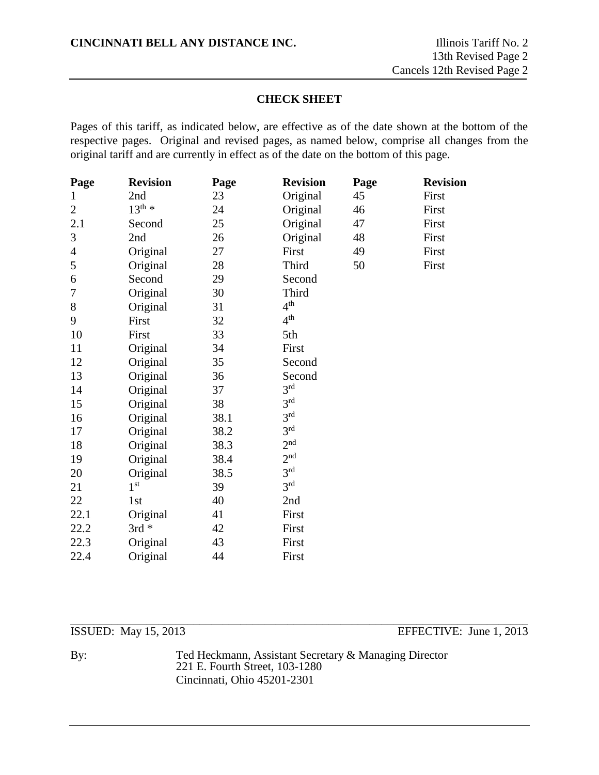# **CHECK SHEET**

Pages of this tariff, as indicated below, are effective as of the date shown at the bottom of the respective pages. Original and revised pages, as named below, comprise all changes from the original tariff and are currently in effect as of the date on the bottom of this page.

| Page           | <b>Revision</b>    | Page | <b>Revision</b> | Page | <b>Revision</b> |
|----------------|--------------------|------|-----------------|------|-----------------|
| $\mathbf 1$    | 2nd                | 23   | Original        | 45   | First           |
| $\overline{2}$ | $13^{\text{th}}$ * | 24   | Original        | 46   | First           |
| 2.1            | Second             | 25   | Original        | 47   | First           |
| 3              | 2nd                | 26   | Original        | 48   | First           |
| $\overline{4}$ | Original           | 27   | First           | 49   | First           |
| 5              | Original           | 28   | Third           | 50   | First           |
| 6              | Second             | 29   | Second          |      |                 |
| 7              | Original           | 30   | Third           |      |                 |
| 8              | Original           | 31   | 4 <sup>th</sup> |      |                 |
| 9              | First              | 32   | 4 <sup>th</sup> |      |                 |
| 10             | First              | 33   | 5th             |      |                 |
| 11             | Original           | 34   | First           |      |                 |
| 12             | Original           | 35   | Second          |      |                 |
| 13             | Original           | 36   | Second          |      |                 |
| 14             | Original           | 37   | 3 <sup>rd</sup> |      |                 |
| 15             | Original           | 38   | 3 <sup>rd</sup> |      |                 |
| 16             | Original           | 38.1 | 3 <sup>rd</sup> |      |                 |
| 17             | Original           | 38.2 | 3 <sup>rd</sup> |      |                 |
| 18             | Original           | 38.3 | 2 <sup>nd</sup> |      |                 |
| 19             | Original           | 38.4 | 2 <sup>nd</sup> |      |                 |
| 20             | Original           | 38.5 | 3 <sup>rd</sup> |      |                 |
| 21             | 1 <sup>st</sup>    | 39   | 3 <sup>rd</sup> |      |                 |
| 22             | 1st                | 40   | 2nd             |      |                 |
| 22.1           | Original           | 41   | First           |      |                 |
| 22.2           | $3rd *$            | 42   | First           |      |                 |
| 22.3           | Original           | 43   | First           |      |                 |
| 22.4           | Original           | 44   | First           |      |                 |

\_\_\_\_\_\_\_\_\_\_\_\_\_\_\_\_\_\_\_\_\_\_\_\_\_\_\_\_\_\_\_\_\_\_\_\_\_\_\_\_\_\_\_\_\_\_\_\_\_\_\_\_\_\_\_\_\_\_\_\_\_\_\_\_\_\_\_\_\_\_\_\_\_\_\_\_\_\_ ISSUED: May 15, 2013 EFFECTIVE: June 1, 2013

By: Ted Heckmann, Assistant Secretary & Managing Director 221 E. Fourth Street, 103-1280 Cincinnati, Ohio 45201-2301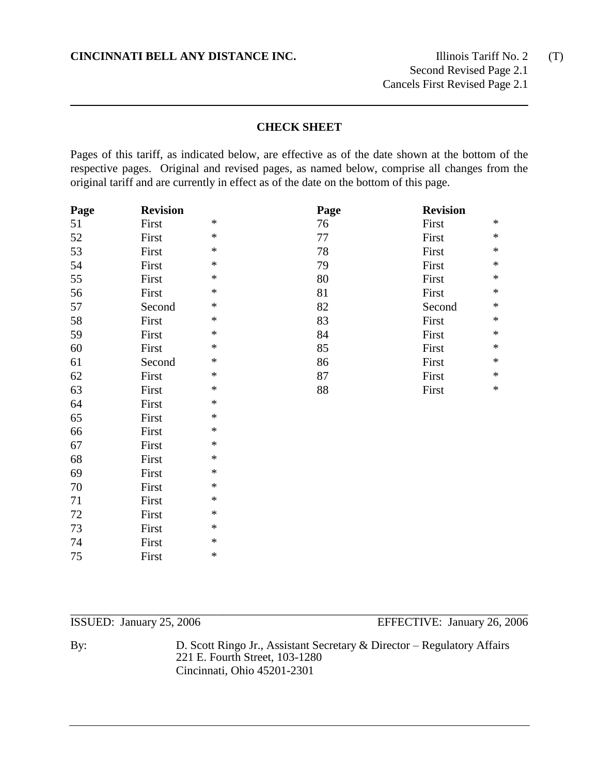Second Revised Page 2.1 Cancels First Revised Page 2.1

# **CHECK SHEET**

Pages of this tariff, as indicated below, are effective as of the date shown at the bottom of the respective pages. Original and revised pages, as named below, comprise all changes from the original tariff and are currently in effect as of the date on the bottom of this page.

| Page | <b>Revision</b> |        | Page | <b>Revision</b> |        |
|------|-----------------|--------|------|-----------------|--------|
| 51   | First           | $\ast$ | 76   | First           | $\ast$ |
| 52   | First           | $\ast$ | 77   | First           | $\ast$ |
| 53   | First           | $\ast$ | 78   | First           | $\ast$ |
| 54   | First           | $\ast$ | 79   | First           | $\ast$ |
| 55   | First           | $\ast$ | 80   | First           | $\ast$ |
| 56   | First           | $\ast$ | 81   | First           | $\ast$ |
| 57   | Second          | $\ast$ | 82   | Second          | $\ast$ |
| 58   | First           | $\ast$ | 83   | First           | $\ast$ |
| 59   | First           | $\ast$ | 84   | First           | $\ast$ |
| 60   | First           | $\ast$ | 85   | First           | $\ast$ |
| 61   | Second          | $\ast$ | 86   | First           | $\ast$ |
| 62   | First           | $\ast$ | 87   | First           | $\ast$ |
| 63   | First           | $\ast$ | 88   | First           | $\ast$ |
| 64   | First           | $\ast$ |      |                 |        |
| 65   | First           | $\ast$ |      |                 |        |
| 66   | First           | $\ast$ |      |                 |        |
| 67   | First           | $\ast$ |      |                 |        |
| 68   | First           | $\ast$ |      |                 |        |
| 69   | First           | $\ast$ |      |                 |        |
| 70   | First           | $\ast$ |      |                 |        |
| 71   | First           | $\ast$ |      |                 |        |
| 72   | First           | $\ast$ |      |                 |        |
| 73   | First           | $\ast$ |      |                 |        |
| 74   | First           | $\ast$ |      |                 |        |
| 75   | First           | $\ast$ |      |                 |        |
|      |                 |        |      |                 |        |

\_\_\_\_\_\_\_\_\_\_\_\_\_\_\_\_\_\_\_\_\_\_\_\_\_\_\_\_\_\_\_\_\_\_\_\_\_\_\_\_\_\_\_\_\_\_\_\_\_\_\_\_\_\_\_\_\_\_\_\_\_\_\_\_\_\_\_\_\_\_\_\_\_\_\_\_\_\_

ISSUED: January 25, 2006 EFFECTIVE: January 26, 2006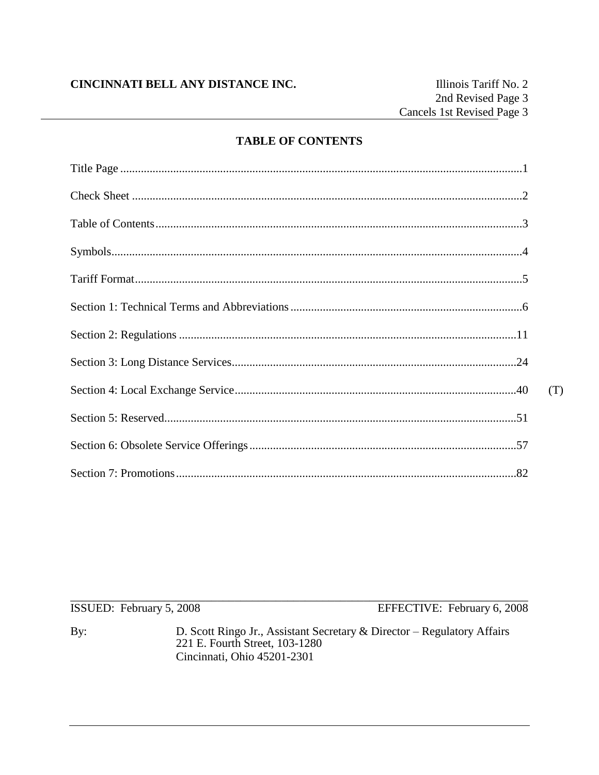# **TABLE OF CONTENTS**

| (T) |
|-----|
|     |
|     |
|     |

ISSUED: February 5, 2008

EFFECTIVE: February 6, 2008

By: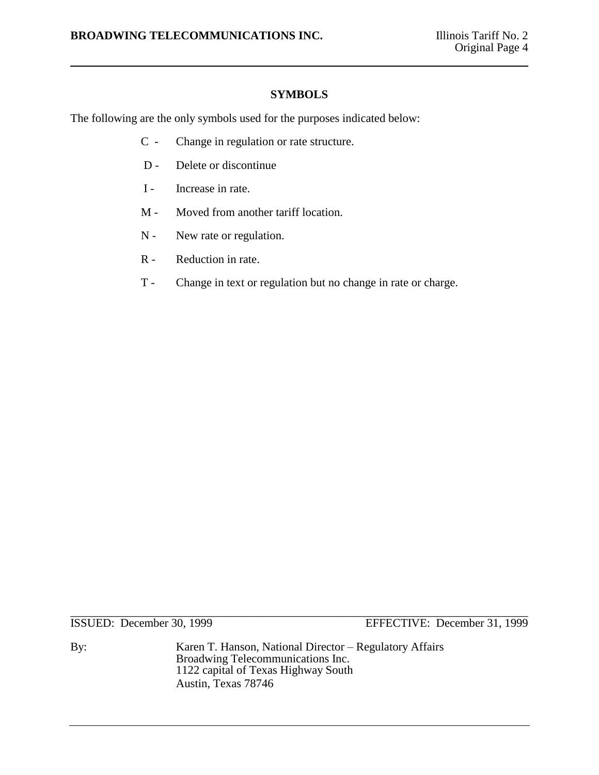# **SYMBOLS**

The following are the only symbols used for the purposes indicated below:

- C Change in regulation or rate structure.
- D Delete or discontinue
- I Increase in rate.
- M Moved from another tariff location.
- N New rate or regulation.
- R Reduction in rate.
- T Change in text or regulation but no change in rate or charge.

\_\_\_\_\_\_\_\_\_\_\_\_\_\_\_\_\_\_\_\_\_\_\_\_\_\_\_\_\_\_\_\_\_\_\_\_\_\_\_\_\_\_\_\_\_\_\_\_\_\_\_\_\_\_\_\_\_\_\_\_\_\_\_\_\_\_\_\_\_\_\_\_\_\_\_\_\_\_

ISSUED: December 30, 1999 EFFECTIVE: December 31, 1999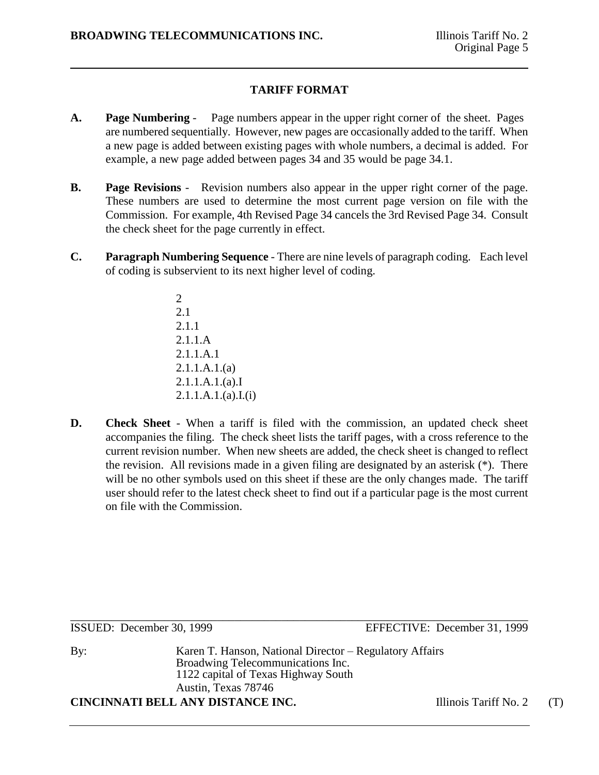# **TARIFF FORMAT**

- **A. Page Numbering** Page numbers appear in the upper right corner of the sheet. Pages are numbered sequentially. However, new pages are occasionally added to the tariff. When a new page is added between existing pages with whole numbers, a decimal is added. For example, a new page added between pages 34 and 35 would be page 34.1.
- **B. Page Revisions** Revision numbers also appear in the upper right corner of the page. These numbers are used to determine the most current page version on file with the Commission. For example, 4th Revised Page 34 cancels the 3rd Revised Page 34. Consult the check sheet for the page currently in effect.
- **C. Paragraph Numbering Sequence** There are nine levels of paragraph coding. Each level of coding is subservient to its next higher level of coding.
	- 2 2.1 2.1.1 2.1.1.A 2.1.1.A.1 2.1.1.A.1.(a) 2.1.1.A.1.(a).I  $2.1.1.A.1.(a).I.(i)$
- **D. Check Sheet** When a tariff is filed with the commission, an updated check sheet accompanies the filing. The check sheet lists the tariff pages, with a cross reference to the current revision number. When new sheets are added, the check sheet is changed to reflect the revision. All revisions made in a given filing are designated by an asterisk (\*). There will be no other symbols used on this sheet if these are the only changes made. The tariff user should refer to the latest check sheet to find out if a particular page is the most current on file with the Commission.

\_\_\_\_\_\_\_\_\_\_\_\_\_\_\_\_\_\_\_\_\_\_\_\_\_\_\_\_\_\_\_\_\_\_\_\_\_\_\_\_\_\_\_\_\_\_\_\_\_\_\_\_\_\_\_\_\_\_\_\_\_\_\_\_\_\_\_\_\_\_\_\_\_\_\_\_\_\_ ISSUED: December 30, 1999 EFFECTIVE: December 31, 1999

By: Karen T. Hanson, National Director – Regulatory Affairs Broadwing Telecommunications Inc. 1122 capital of Texas Highway South Austin, Texas 78746 **CINCINNATI BELL ANY DISTANCE INC.** Illinois Tariff No. 2 (T)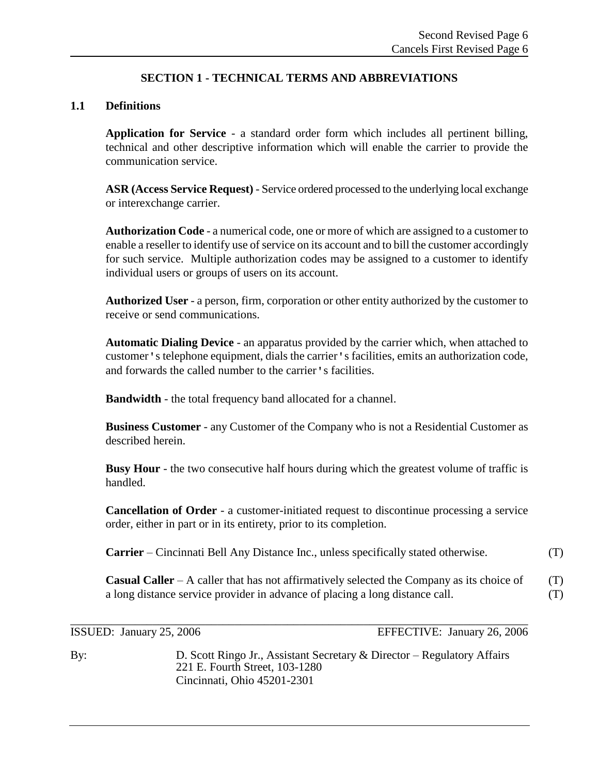# **SECTION 1 - TECHNICAL TERMS AND ABBREVIATIONS**

# **1.1 Definitions**

**Application for Service** - a standard order form which includes all pertinent billing, technical and other descriptive information which will enable the carrier to provide the communication service.

**ASR (Access Service Request)** - Service ordered processed to the underlying local exchange or interexchange carrier.

**Authorization Code** - a numerical code, one or more of which are assigned to a customer to enable a reseller to identify use of service on its account and to bill the customer accordingly for such service. Multiple authorization codes may be assigned to a customer to identify individual users or groups of users on its account.

**Authorized User** - a person, firm, corporation or other entity authorized by the customer to receive or send communications.

**Automatic Dialing Device** - an apparatus provided by the carrier which, when attached to customer's telephone equipment, dials the carrier's facilities, emits an authorization code, and forwards the called number to the carrier's facilities.

**Bandwidth** - the total frequency band allocated for a channel.

**Business Customer** - any Customer of the Company who is not a Residential Customer as described herein.

**Busy Hour** - the two consecutive half hours during which the greatest volume of traffic is handled.

**Cancellation of Order** - a customer-initiated request to discontinue processing a service order, either in part or in its entirety, prior to its completion.

**Carrier** – Cincinnati Bell Any Distance Inc., unless specifically stated otherwise. (T)

**Casual Caller** – A caller that has not affirmatively selected the Company as its choice of (T) a long distance service provider in advance of placing a long distance call. (T)

\_\_\_\_\_\_\_\_\_\_\_\_\_\_\_\_\_\_\_\_\_\_\_\_\_\_\_\_\_\_\_\_\_\_\_\_\_\_\_\_\_\_\_\_\_\_\_\_\_\_\_\_\_\_\_\_\_\_\_\_\_\_\_\_\_\_\_\_\_\_\_\_\_\_\_\_\_\_ ISSUED: January 25, 2006 EFFECTIVE: January 26, 2006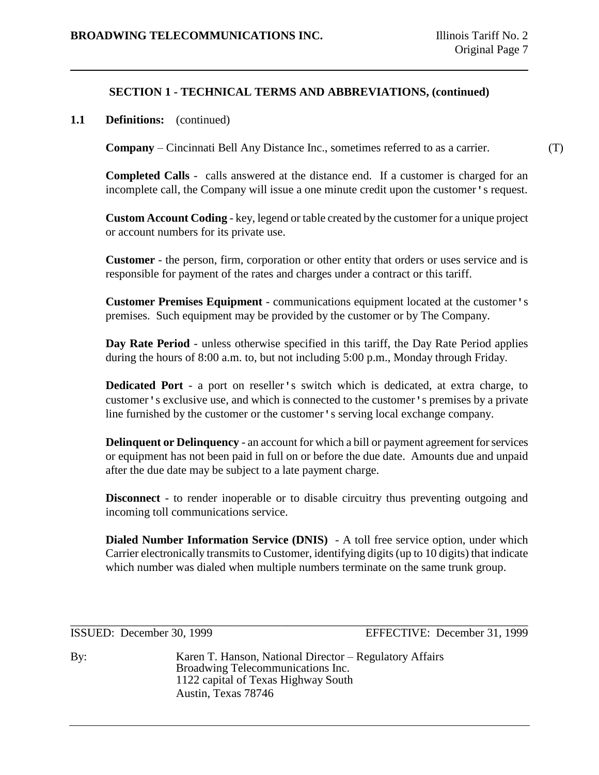## **1.1 Definitions:** (continued)

**Company** – Cincinnati Bell Any Distance Inc., sometimes referred to as a carrier. (T)

**Completed Calls** - calls answered at the distance end. If a customer is charged for an incomplete call, the Company will issue a one minute credit upon the customer's request.

**Custom Account Coding** - key, legend or table created by the customer for a unique project or account numbers for its private use.

**Customer** - the person, firm, corporation or other entity that orders or uses service and is responsible for payment of the rates and charges under a contract or this tariff.

**Customer Premises Equipment** - communications equipment located at the customer's premises. Such equipment may be provided by the customer or by The Company.

**Day Rate Period** - unless otherwise specified in this tariff, the Day Rate Period applies during the hours of 8:00 a.m. to, but not including 5:00 p.m., Monday through Friday.

**Dedicated Port** - a port on reseller's switch which is dedicated, at extra charge, to customer's exclusive use, and which is connected to the customer's premises by a private line furnished by the customer or the customer's serving local exchange company.

**Delinquent or Delinquency** - an account for which a bill or payment agreement for services or equipment has not been paid in full on or before the due date. Amounts due and unpaid after the due date may be subject to a late payment charge.

**Disconnect** - to render inoperable or to disable circuitry thus preventing outgoing and incoming toll communications service.

**Dialed Number Information Service (DNIS)** - A toll free service option, under which Carrier electronically transmits to Customer, identifying digits (up to 10 digits) that indicate which number was dialed when multiple numbers terminate on the same trunk group.

\_\_\_\_\_\_\_\_\_\_\_\_\_\_\_\_\_\_\_\_\_\_\_\_\_\_\_\_\_\_\_\_\_\_\_\_\_\_\_\_\_\_\_\_\_\_\_\_\_\_\_\_\_\_\_\_\_\_\_\_\_\_\_\_\_\_\_\_\_\_\_\_\_\_\_\_\_\_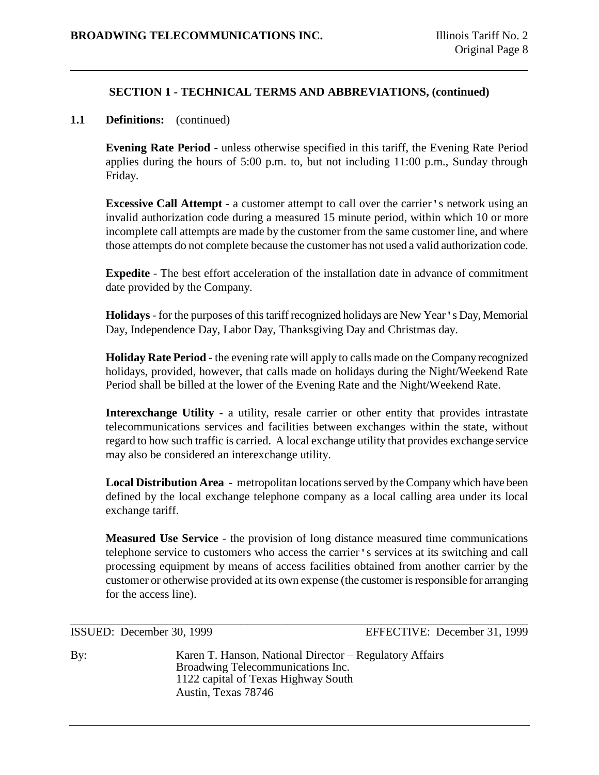# **1.1 Definitions:** (continued)

**Evening Rate Period** - unless otherwise specified in this tariff, the Evening Rate Period applies during the hours of 5:00 p.m. to, but not including 11:00 p.m., Sunday through Friday.

**Excessive Call Attempt** - a customer attempt to call over the carrier's network using an invalid authorization code during a measured 15 minute period, within which 10 or more incomplete call attempts are made by the customer from the same customer line, and where those attempts do not complete because the customer has not used a valid authorization code.

**Expedite** - The best effort acceleration of the installation date in advance of commitment date provided by the Company.

**Holidays**- for the purposes of this tariff recognized holidays are New Year's Day, Memorial Day, Independence Day, Labor Day, Thanksgiving Day and Christmas day.

**Holiday Rate Period** - the evening rate will apply to calls made on the Company recognized holidays, provided, however, that calls made on holidays during the Night/Weekend Rate Period shall be billed at the lower of the Evening Rate and the Night/Weekend Rate.

**Interexchange Utility** - a utility, resale carrier or other entity that provides intrastate telecommunications services and facilities between exchanges within the state, without regard to how such traffic is carried. A local exchange utility that provides exchange service may also be considered an interexchange utility.

**Local Distribution Area** - metropolitan locations served by the Company which have been defined by the local exchange telephone company as a local calling area under its local exchange tariff.

**Measured Use Service** - the provision of long distance measured time communications telephone service to customers who access the carrier's services at its switching and call processing equipment by means of access facilities obtained from another carrier by the customer or otherwise provided at its own expense (the customer is responsible for arranging for the access line).

\_\_\_\_\_\_\_\_\_\_\_\_\_\_\_\_\_\_\_\_\_\_\_\_\_\_\_\_\_\_\_\_\_\_\_\_\_\_\_\_\_\_\_\_\_\_\_\_\_\_\_\_\_\_\_\_\_\_\_\_\_\_\_\_\_\_\_\_\_\_\_\_\_\_\_\_\_\_ ISSUED: December 30, 1999 EFFECTIVE: December 31, 1999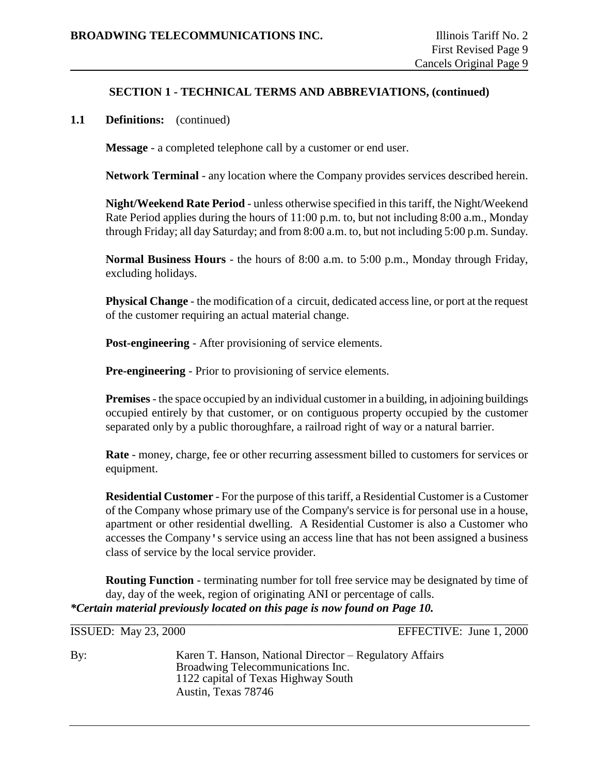## **1.1 Definitions:** (continued)

**Message** - a completed telephone call by a customer or end user.

**Network Terminal** - any location where the Company provides services described herein.

**Night/Weekend Rate Period** - unless otherwise specified in this tariff, the Night/Weekend Rate Period applies during the hours of 11:00 p.m. to, but not including 8:00 a.m., Monday through Friday; all day Saturday; and from 8:00 a.m. to, but not including 5:00 p.m. Sunday.

**Normal Business Hours** - the hours of 8:00 a.m. to 5:00 p.m., Monday through Friday, excluding holidays.

**Physical Change** - the modification of a circuit, dedicated access line, or port at the request of the customer requiring an actual material change.

**Post-engineering** - After provisioning of service elements.

**Pre-engineering** - Prior to provisioning of service elements.

**Premises**- the space occupied by an individual customer in a building, in adjoining buildings occupied entirely by that customer, or on contiguous property occupied by the customer separated only by a public thoroughfare, a railroad right of way or a natural barrier.

**Rate** - money, charge, fee or other recurring assessment billed to customers for services or equipment.

**Residential Customer** - For the purpose of this tariff, a Residential Customer is a Customer of the Company whose primary use of the Company's service is for personal use in a house, apartment or other residential dwelling. A Residential Customer is also a Customer who accesses the Company's service using an access line that has not been assigned a business class of service by the local service provider.

**Routing Function** - terminating number for toll free service may be designated by time of day, day of the week, region of originating ANI or percentage of calls. *\*Certain material previously located on this page is now found on Page 10.*

\_\_\_\_\_\_\_\_\_\_\_\_\_\_\_\_\_\_\_\_\_\_\_\_\_\_\_\_\_\_\_\_\_\_\_\_\_\_\_\_\_\_\_\_\_\_\_\_\_\_\_\_\_\_\_\_\_\_\_\_\_\_\_\_\_\_\_\_\_\_\_\_\_\_\_\_\_\_ ISSUED: May 23, 2000 EFFECTIVE: June 1, 2000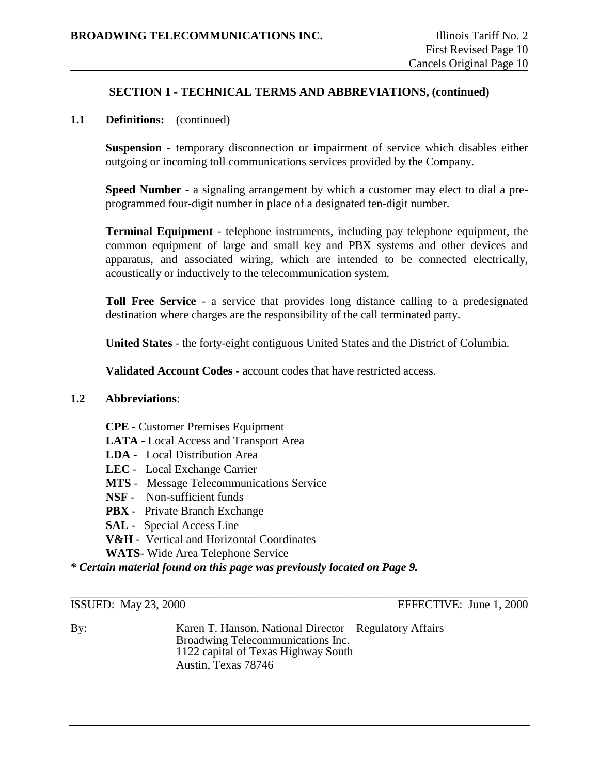# **1.1 Definitions:** (continued)

**Suspension** - temporary disconnection or impairment of service which disables either outgoing or incoming toll communications services provided by the Company.

**Speed Number** - a signaling arrangement by which a customer may elect to dial a preprogrammed four-digit number in place of a designated ten-digit number.

**Terminal Equipment** - telephone instruments, including pay telephone equipment, the common equipment of large and small key and PBX systems and other devices and apparatus, and associated wiring, which are intended to be connected electrically, acoustically or inductively to the telecommunication system.

**Toll Free Service** - a service that provides long distance calling to a predesignated destination where charges are the responsibility of the call terminated party.

**United States** - the forty-eight contiguous United States and the District of Columbia.

**Validated Account Codes** - account codes that have restricted access.

#### **1.2 Abbreviations**:

- **CPE** Customer Premises Equipment
- **LATA** Local Access and Transport Area
- **LDA** Local Distribution Area
- **LEC** Local Exchange Carrier
- **MTS** Message Telecommunications Service
- **NSF** Non-sufficient funds
- **PBX** Private Branch Exchange
- **SAL** Special Access Line
- **V&H** Vertical and Horizontal Coordinates
- **WATS** Wide Area Telephone Service

*\* Certain material found on this page was previously located on Page 9.*

\_\_\_\_\_\_\_\_\_\_\_\_\_\_\_\_\_\_\_\_\_\_\_\_\_\_\_\_\_\_\_\_\_\_\_\_\_\_\_\_\_\_\_\_\_\_\_\_\_\_\_\_\_\_\_\_\_\_\_\_\_\_\_\_\_\_\_\_\_\_\_\_\_\_\_\_\_\_ ISSUED: May 23, 2000 EFFECTIVE: June 1, 2000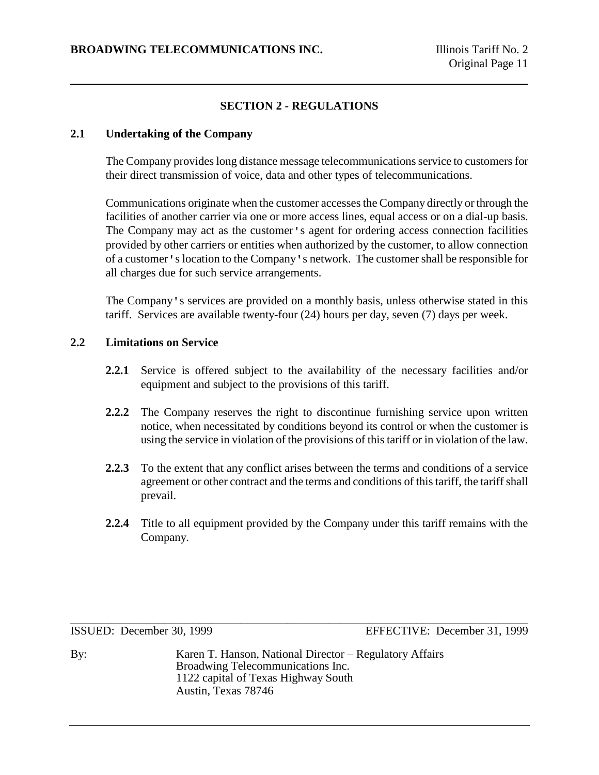# **SECTION 2 - REGULATIONS**

# **2.1 Undertaking of the Company**

The Company provides long distance message telecommunications service to customers for their direct transmission of voice, data and other types of telecommunications.

Communications originate when the customer accesses the Company directly or through the facilities of another carrier via one or more access lines, equal access or on a dial-up basis. The Company may act as the customer's agent for ordering access connection facilities provided by other carriers or entities when authorized by the customer, to allow connection of a customer's location to the Company's network. The customer shall be responsible for all charges due for such service arrangements.

The Company's services are provided on a monthly basis, unless otherwise stated in this tariff. Services are available twenty-four (24) hours per day, seven (7) days per week.

# **2.2 Limitations on Service**

- **2.2.1** Service is offered subject to the availability of the necessary facilities and/or equipment and subject to the provisions of this tariff.
- **2.2.2** The Company reserves the right to discontinue furnishing service upon written notice, when necessitated by conditions beyond its control or when the customer is using the service in violation of the provisions of this tariff or in violation of the law.
- **2.2.3** To the extent that any conflict arises between the terms and conditions of a service agreement or other contract and the terms and conditions of this tariff, the tariff shall prevail.
- **2.2.4** Title to all equipment provided by the Company under this tariff remains with the Company.

\_\_\_\_\_\_\_\_\_\_\_\_\_\_\_\_\_\_\_\_\_\_\_\_\_\_\_\_\_\_\_\_\_\_\_\_\_\_\_\_\_\_\_\_\_\_\_\_\_\_\_\_\_\_\_\_\_\_\_\_\_\_\_\_\_\_\_\_\_\_\_\_\_\_\_\_\_\_ ISSUED: December 30, 1999 EFFECTIVE: December 31, 1999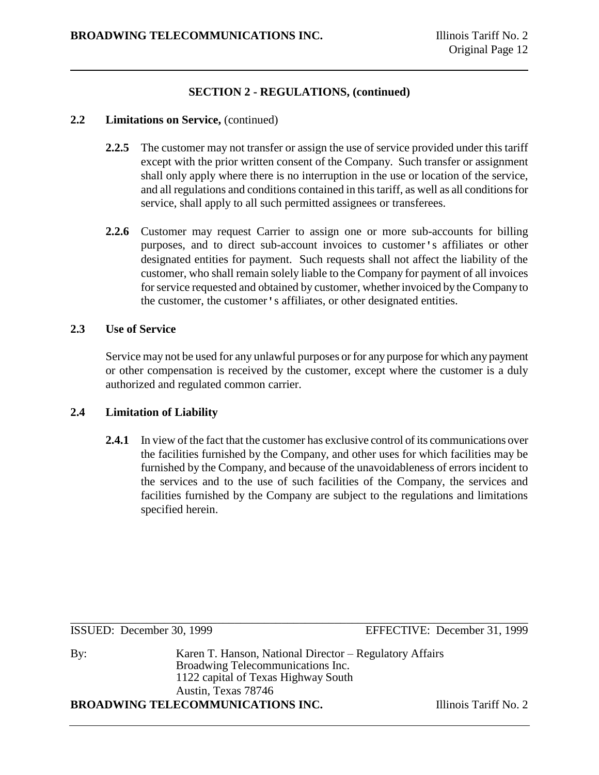#### **2.2 Limitations on Service,** (continued)

- **2.2.5** The customer may not transfer or assign the use of service provided under this tariff except with the prior written consent of the Company. Such transfer or assignment shall only apply where there is no interruption in the use or location of the service, and all regulations and conditions contained in this tariff, as well as all conditions for service, shall apply to all such permitted assignees or transferees.
- **2.2.6** Customer may request Carrier to assign one or more sub-accounts for billing purposes, and to direct sub-account invoices to customer's affiliates or other designated entities for payment. Such requests shall not affect the liability of the customer, who shall remain solely liable to the Company for payment of all invoices for service requested and obtained by customer, whether invoiced by the Company to the customer, the customer's affiliates, or other designated entities.

## **2.3 Use of Service**

Service may not be used for any unlawful purposes or for any purpose for which any payment or other compensation is received by the customer, except where the customer is a duly authorized and regulated common carrier.

# **2.4 Limitation of Liability**

**2.4.1** In view of the fact that the customer has exclusive control of its communications over the facilities furnished by the Company, and other uses for which facilities may be furnished by the Company, and because of the unavoidableness of errors incident to the services and to the use of such facilities of the Company, the services and facilities furnished by the Company are subject to the regulations and limitations specified herein.

By: Karen T. Hanson, National Director – Regulatory Affairs Broadwing Telecommunications Inc. 1122 capital of Texas Highway South Austin, Texas 78746

**BROADWING TELECOMMUNICATIONS INC.** Illinois Tariff No. 2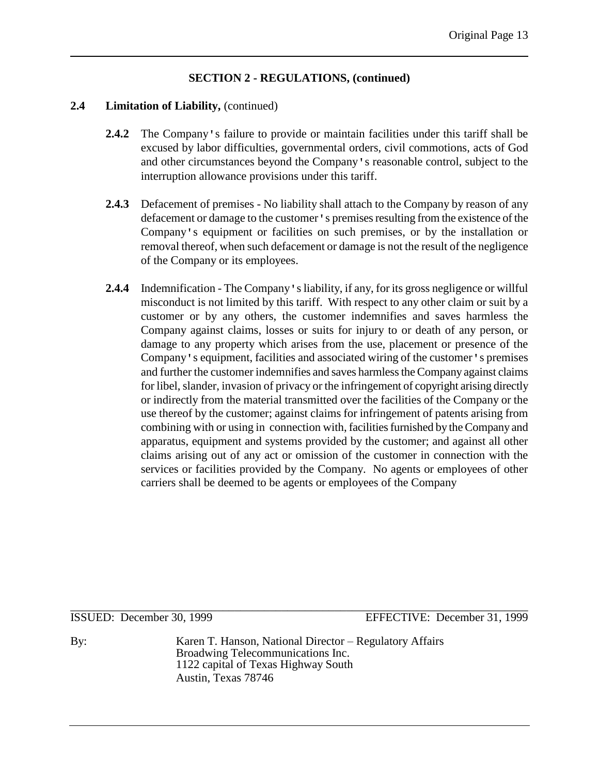## **2.4 Limitation of Liability,** (continued)

- **2.4.2** The Company's failure to provide or maintain facilities under this tariff shall be excused by labor difficulties, governmental orders, civil commotions, acts of God and other circumstances beyond the Company's reasonable control, subject to the interruption allowance provisions under this tariff.
- **2.4.3** Defacement of premises No liability shall attach to the Company by reason of any defacement or damage to the customer's premises resulting from the existence of the Company's equipment or facilities on such premises, or by the installation or removal thereof, when such defacement or damage is not the result of the negligence of the Company or its employees.
- **2.4.4** Indemnification The Company's liability, if any, for its gross negligence or willful misconduct is not limited by this tariff. With respect to any other claim or suit by a customer or by any others, the customer indemnifies and saves harmless the Company against claims, losses or suits for injury to or death of any person, or damage to any property which arises from the use, placement or presence of the Company's equipment, facilities and associated wiring of the customer's premises and further the customer indemnifies and saves harmless the Company against claims for libel, slander, invasion of privacy or the infringement of copyright arising directly or indirectly from the material transmitted over the facilities of the Company or the use thereof by the customer; against claims for infringement of patents arising from combining with or using in connection with, facilities furnished by the Company and apparatus, equipment and systems provided by the customer; and against all other claims arising out of any act or omission of the customer in connection with the services or facilities provided by the Company. No agents or employees of other carriers shall be deemed to be agents or employees of the Company

\_\_\_\_\_\_\_\_\_\_\_\_\_\_\_\_\_\_\_\_\_\_\_\_\_\_\_\_\_\_\_\_\_\_\_\_\_\_\_\_\_\_\_\_\_\_\_\_\_\_\_\_\_\_\_\_\_\_\_\_\_\_\_\_\_\_\_\_\_\_\_\_\_\_\_\_\_\_

ISSUED: December 30, 1999 EFFECTIVE: December 31, 1999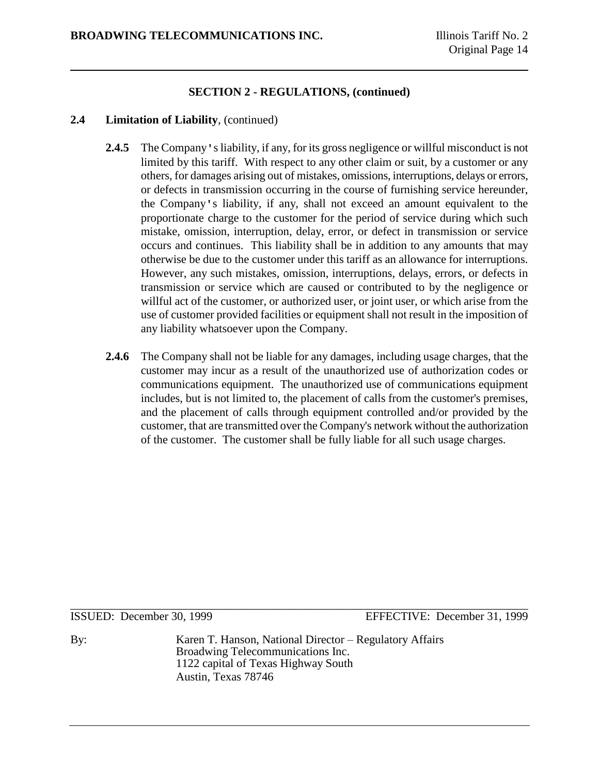### **2.4 Limitation of Liability**, (continued)

- **2.4.5** The Company's liability, if any, for its gross negligence or willful misconduct is not limited by this tariff. With respect to any other claim or suit, by a customer or any others, for damages arising out of mistakes, omissions, interruptions, delays or errors, or defects in transmission occurring in the course of furnishing service hereunder, the Company's liability, if any, shall not exceed an amount equivalent to the proportionate charge to the customer for the period of service during which such mistake, omission, interruption, delay, error, or defect in transmission or service occurs and continues. This liability shall be in addition to any amounts that may otherwise be due to the customer under this tariff as an allowance for interruptions. However, any such mistakes, omission, interruptions, delays, errors, or defects in transmission or service which are caused or contributed to by the negligence or willful act of the customer, or authorized user, or joint user, or which arise from the use of customer provided facilities or equipment shall not result in the imposition of any liability whatsoever upon the Company.
- **2.4.6** The Company shall not be liable for any damages, including usage charges, that the customer may incur as a result of the unauthorized use of authorization codes or communications equipment. The unauthorized use of communications equipment includes, but is not limited to, the placement of calls from the customer's premises, and the placement of calls through equipment controlled and/or provided by the customer, that are transmitted over the Company's network without the authorization of the customer. The customer shall be fully liable for all such usage charges.

\_\_\_\_\_\_\_\_\_\_\_\_\_\_\_\_\_\_\_\_\_\_\_\_\_\_\_\_\_\_\_\_\_\_\_\_\_\_\_\_\_\_\_\_\_\_\_\_\_\_\_\_\_\_\_\_\_\_\_\_\_\_\_\_\_\_\_\_\_\_\_\_\_\_\_\_\_\_

ISSUED: December 30, 1999 EFFECTIVE: December 31, 1999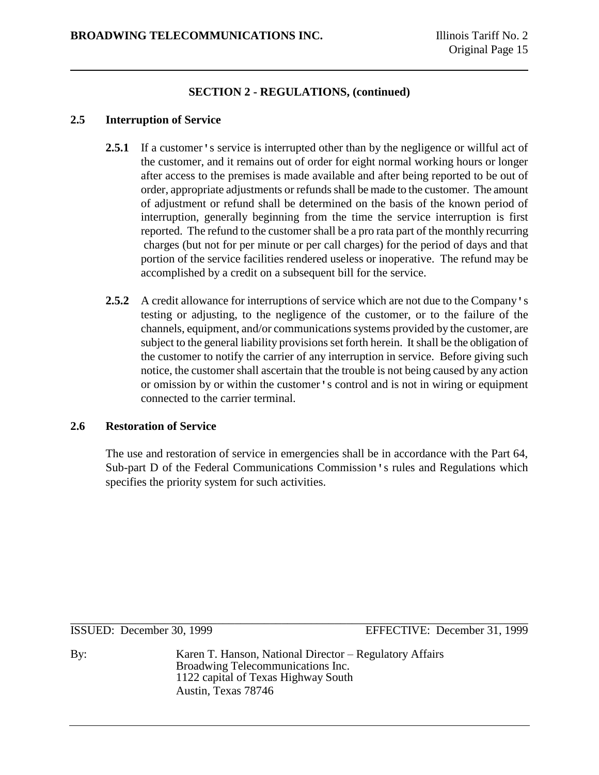#### **2.5 Interruption of Service**

- 2.5.1 If a customer's service is interrupted other than by the negligence or willful act of the customer, and it remains out of order for eight normal working hours or longer after access to the premises is made available and after being reported to be out of order, appropriate adjustments or refunds shall be made to the customer. The amount of adjustment or refund shall be determined on the basis of the known period of interruption, generally beginning from the time the service interruption is first reported. The refund to the customer shall be a pro rata part of the monthly recurring charges (but not for per minute or per call charges) for the period of days and that portion of the service facilities rendered useless or inoperative. The refund may be accomplished by a credit on a subsequent bill for the service.
- **2.5.2** A credit allowance for interruptions of service which are not due to the Company's testing or adjusting, to the negligence of the customer, or to the failure of the channels, equipment, and/or communications systems provided by the customer, are subject to the general liability provisions set forth herein. It shall be the obligation of the customer to notify the carrier of any interruption in service. Before giving such notice, the customer shall ascertain that the trouble is not being caused by any action or omission by or within the customer's control and is not in wiring or equipment connected to the carrier terminal.

# **2.6 Restoration of Service**

The use and restoration of service in emergencies shall be in accordance with the Part 64, Sub-part D of the Federal Communications Commission's rules and Regulations which specifies the priority system for such activities.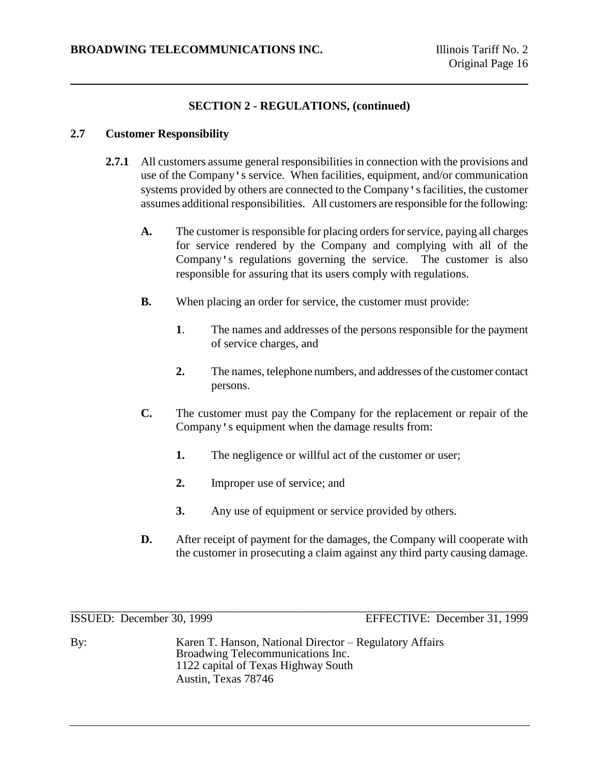## **2.7 Customer Responsibility**

- **2.7.1** All customers assume general responsibilities in connection with the provisions and use of the Company's service. When facilities, equipment, and/or communication systems provided by others are connected to the Company's facilities, the customer assumes additional responsibilities. All customers are responsible for the following:
	- **A.** The customer is responsible for placing orders for service, paying all charges for service rendered by the Company and complying with all of the Company's regulations governing the service. The customer is also responsible for assuring that its users comply with regulations.
	- **B.** When placing an order for service, the customer must provide:
		- **1**. The names and addresses of the persons responsible for the payment of service charges, and
		- **2.** The names, telephone numbers, and addresses of the customer contact persons.
	- **C.** The customer must pay the Company for the replacement or repair of the Company's equipment when the damage results from:
		- **1.** The negligence or willful act of the customer or user;
		- **2.** Improper use of service; and
		- **3.** Any use of equipment or service provided by others.
	- **D.** After receipt of payment for the damages, the Company will cooperate with the customer in prosecuting a claim against any third party causing damage.

\_\_\_\_\_\_\_\_\_\_\_\_\_\_\_\_\_\_\_\_\_\_\_\_\_\_\_\_\_\_\_\_\_\_\_\_\_\_\_\_\_\_\_\_\_\_\_\_\_\_\_\_\_\_\_\_\_\_\_\_\_\_\_\_\_\_\_\_\_\_\_\_\_\_\_\_\_\_

ISSUED: December 30, 1999 EFFECTIVE: December 31, 1999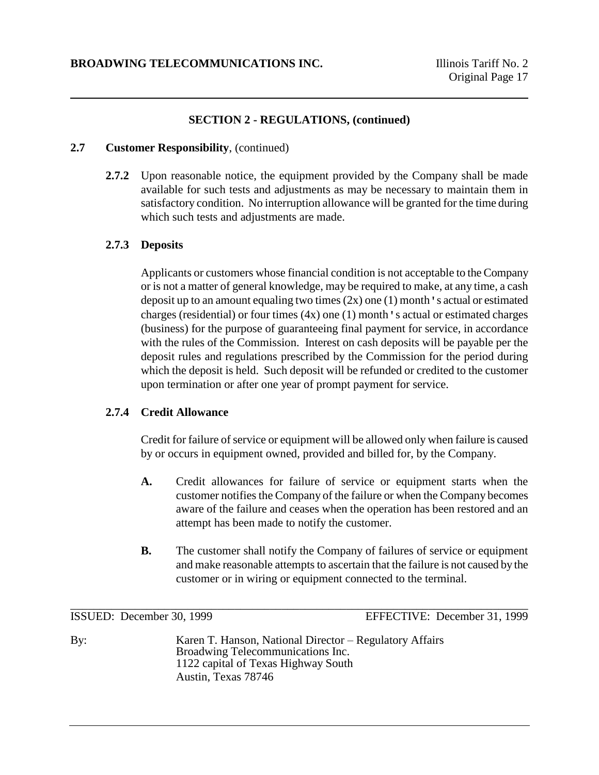## **2.7 Customer Responsibility**, (continued)

**2.7.2** Upon reasonable notice, the equipment provided by the Company shall be made available for such tests and adjustments as may be necessary to maintain them in satisfactory condition. No interruption allowance will be granted for the time during which such tests and adjustments are made.

#### **2.7.3 Deposits**

Applicants or customers whose financial condition is not acceptable to the Company or is not a matter of general knowledge, may be required to make, at any time, a cash deposit up to an amount equaling two times  $(2x)$  one  $(1)$  month 's actual or estimated charges (residential) or four times  $(4x)$  one  $(1)$  month's actual or estimated charges (business) for the purpose of guaranteeing final payment for service, in accordance with the rules of the Commission. Interest on cash deposits will be payable per the deposit rules and regulations prescribed by the Commission for the period during which the deposit is held. Such deposit will be refunded or credited to the customer upon termination or after one year of prompt payment for service.

#### **2.7.4 Credit Allowance**

Credit for failure of service or equipment will be allowed only when failure is caused by or occurs in equipment owned, provided and billed for, by the Company.

- **A.** Credit allowances for failure of service or equipment starts when the customer notifies the Company of the failure or when the Company becomes aware of the failure and ceases when the operation has been restored and an attempt has been made to notify the customer.
- **B.** The customer shall notify the Company of failures of service or equipment and make reasonable attempts to ascertain that the failure is not caused by the customer or in wiring or equipment connected to the terminal.

\_\_\_\_\_\_\_\_\_\_\_\_\_\_\_\_\_\_\_\_\_\_\_\_\_\_\_\_\_\_\_\_\_\_\_\_\_\_\_\_\_\_\_\_\_\_\_\_\_\_\_\_\_\_\_\_\_\_\_\_\_\_\_\_\_\_\_\_\_\_\_\_\_\_\_\_\_\_

ISSUED: December 30, 1999 EFFECTIVE: December 31, 1999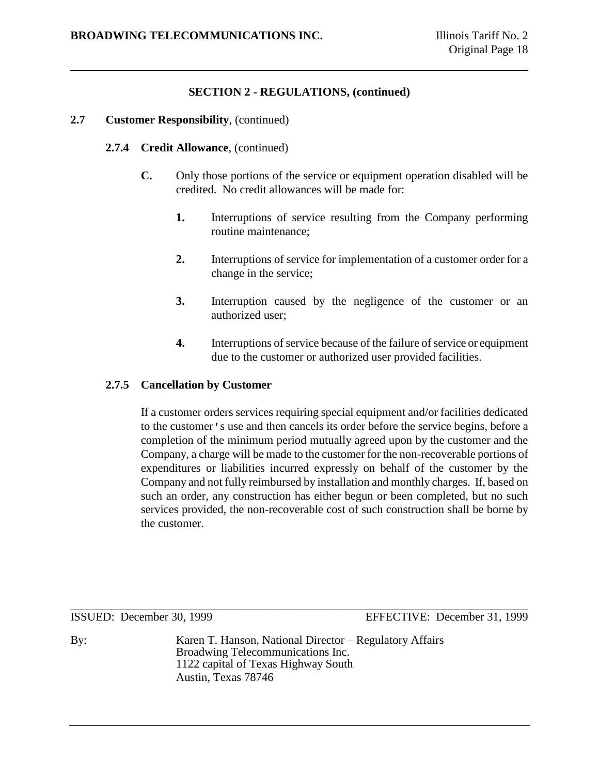#### **2.7 Customer Responsibility**, (continued)

## **2.7.4 Credit Allowance**, (continued)

- **C.** Only those portions of the service or equipment operation disabled will be credited. No credit allowances will be made for:
	- **1.** Interruptions of service resulting from the Company performing routine maintenance;
	- **2.** Interruptions of service for implementation of a customer order for a change in the service;
	- **3.** Interruption caused by the negligence of the customer or an authorized user;
	- **4.** Interruptions of service because of the failure of service or equipment due to the customer or authorized user provided facilities.

#### **2.7.5 Cancellation by Customer**

If a customer orders services requiring special equipment and/or facilities dedicated to the customer's use and then cancels its order before the service begins, before a completion of the minimum period mutually agreed upon by the customer and the Company, a charge will be made to the customer for the non-recoverable portions of expenditures or liabilities incurred expressly on behalf of the customer by the Company and not fully reimbursed by installation and monthly charges. If, based on such an order, any construction has either begun or been completed, but no such services provided, the non-recoverable cost of such construction shall be borne by the customer.

\_\_\_\_\_\_\_\_\_\_\_\_\_\_\_\_\_\_\_\_\_\_\_\_\_\_\_\_\_\_\_\_\_\_\_\_\_\_\_\_\_\_\_\_\_\_\_\_\_\_\_\_\_\_\_\_\_\_\_\_\_\_\_\_\_\_\_\_\_\_\_\_\_\_\_\_\_\_

ISSUED: December 30, 1999 EFFECTIVE: December 31, 1999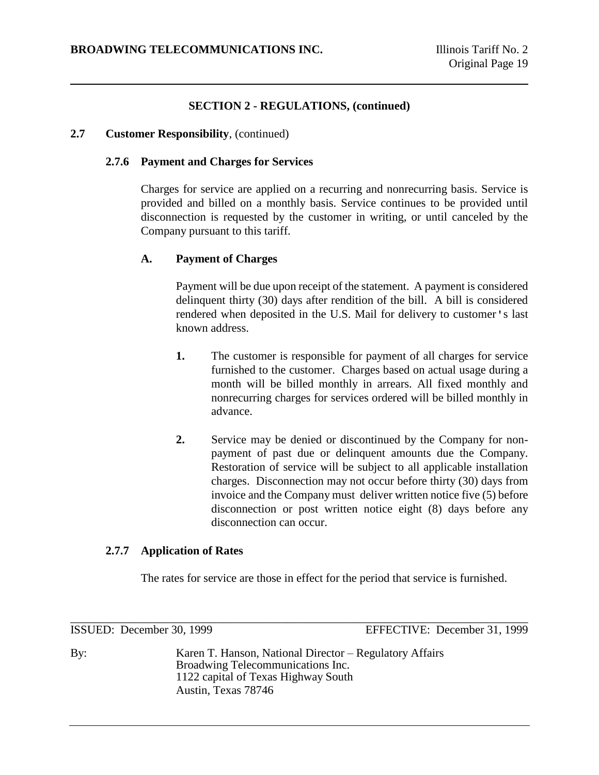## **2.7 Customer Responsibility**, (continued)

## **2.7.6 Payment and Charges for Services**

Charges for service are applied on a recurring and nonrecurring basis. Service is provided and billed on a monthly basis. Service continues to be provided until disconnection is requested by the customer in writing, or until canceled by the Company pursuant to this tariff.

# **A. Payment of Charges**

Payment will be due upon receipt of the statement. A payment is considered delinquent thirty (30) days after rendition of the bill. A bill is considered rendered when deposited in the U.S. Mail for delivery to customer's last known address.

- **1.** The customer is responsible for payment of all charges for service furnished to the customer. Charges based on actual usage during a month will be billed monthly in arrears. All fixed monthly and nonrecurring charges for services ordered will be billed monthly in advance.
- **2.** Service may be denied or discontinued by the Company for nonpayment of past due or delinquent amounts due the Company. Restoration of service will be subject to all applicable installation charges. Disconnection may not occur before thirty (30) days from invoice and the Company must deliver written notice five (5) before disconnection or post written notice eight (8) days before any disconnection can occur.

#### **2.7.7 Application of Rates**

The rates for service are those in effect for the period that service is furnished.

\_\_\_\_\_\_\_\_\_\_\_\_\_\_\_\_\_\_\_\_\_\_\_\_\_\_\_\_\_\_\_\_\_\_\_\_\_\_\_\_\_\_\_\_\_\_\_\_\_\_\_\_\_\_\_\_\_\_\_\_\_\_\_\_\_\_\_\_\_\_\_\_\_\_\_\_\_\_ ISSUED: December 30, 1999 EFFECTIVE: December 31, 1999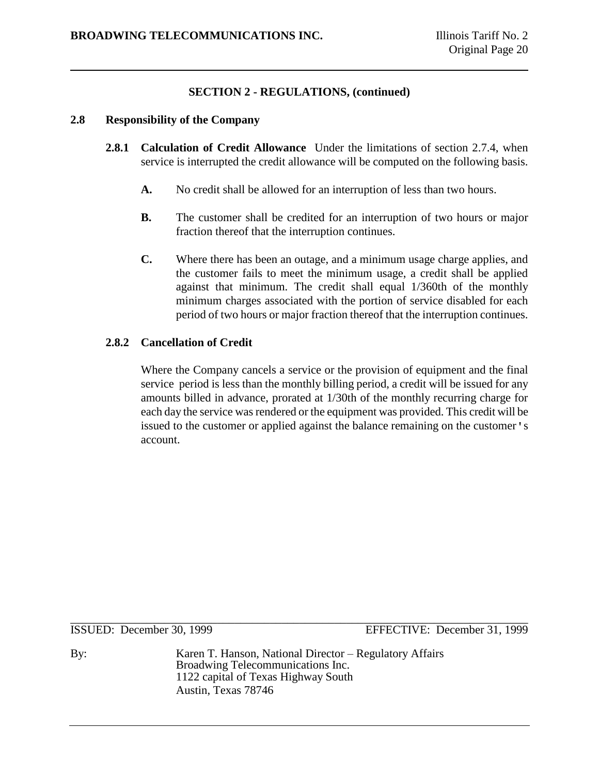#### **2.8 Responsibility of the Company**

- **2.8.1 Calculation of Credit Allowance** Under the limitations of section 2.7.4, when service is interrupted the credit allowance will be computed on the following basis.
	- **A.** No credit shall be allowed for an interruption of less than two hours.
	- **B.** The customer shall be credited for an interruption of two hours or major fraction thereof that the interruption continues.
	- **C.** Where there has been an outage, and a minimum usage charge applies, and the customer fails to meet the minimum usage, a credit shall be applied against that minimum. The credit shall equal 1/360th of the monthly minimum charges associated with the portion of service disabled for each period of two hours or major fraction thereof that the interruption continues.

# **2.8.2 Cancellation of Credit**

Where the Company cancels a service or the provision of equipment and the final service period is less than the monthly billing period, a credit will be issued for any amounts billed in advance, prorated at 1/30th of the monthly recurring charge for each day the service was rendered or the equipment was provided. This credit will be issued to the customer or applied against the balance remaining on the customer's account.

By: Karen T. Hanson, National Director – Regulatory Affairs Broadwing Telecommunications Inc. 1122 capital of Texas Highway South Austin, Texas 78746

\_\_\_\_\_\_\_\_\_\_\_\_\_\_\_\_\_\_\_\_\_\_\_\_\_\_\_\_\_\_\_\_\_\_\_\_\_\_\_\_\_\_\_\_\_\_\_\_\_\_\_\_\_\_\_\_\_\_\_\_\_\_\_\_\_\_\_\_\_\_\_\_\_\_\_\_\_\_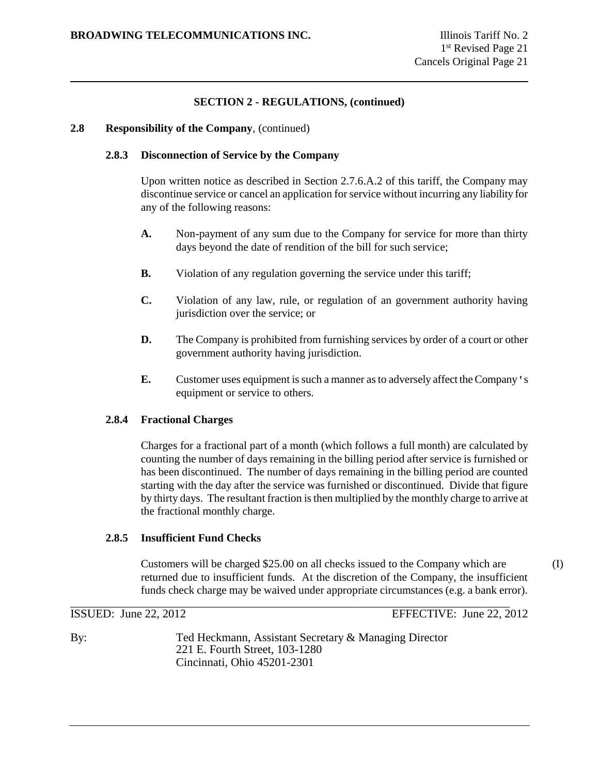#### **2.8 Responsibility of the Company**, (continued)

#### **2.8.3 Disconnection of Service by the Company**

Upon written notice as described in Section 2.7.6.A.2 of this tariff, the Company may discontinue service or cancel an application for service without incurring any liability for any of the following reasons:

- **A.** Non-payment of any sum due to the Company for service for more than thirty days beyond the date of rendition of the bill for such service;
- **B.** Violation of any regulation governing the service under this tariff;
- **C.** Violation of any law, rule, or regulation of an government authority having jurisdiction over the service; or
- **D.** The Company is prohibited from furnishing services by order of a court or other government authority having jurisdiction.
- **E.** Customer uses equipment is such a manner as to adversely affect the Company's equipment or service to others.

#### **2.8.4 Fractional Charges**

Charges for a fractional part of a month (which follows a full month) are calculated by counting the number of days remaining in the billing period after service is furnished or has been discontinued. The number of days remaining in the billing period are counted starting with the day after the service was furnished or discontinued. Divide that figure by thirty days. The resultant fraction is then multiplied by the monthly charge to arrive at the fractional monthly charge.

# **2.8.5 Insufficient Fund Checks**

Customers will be charged \$25.00 on all checks issued to the Company which are (I) returned due to insufficient funds. At the discretion of the Company, the insufficient funds check charge may be waived under appropriate circumstances (e.g. a bank error).

\_\_\_\_\_\_\_\_\_\_\_\_\_\_\_\_\_\_\_\_\_\_\_\_\_\_\_\_\_\_\_\_\_\_\_\_\_\_\_\_\_\_\_\_\_\_\_\_\_\_\_\_\_\_\_\_\_\_\_\_\_\_\_\_\_\_\_\_\_\_\_\_\_\_\_\_\_\_

ISSUED: June 22, 2012 EFFECTIVE: June 22, 2012

By: Ted Heckmann, Assistant Secretary & Managing Director 221 E. Fourth Street, 103-1280 Cincinnati, Ohio 45201-2301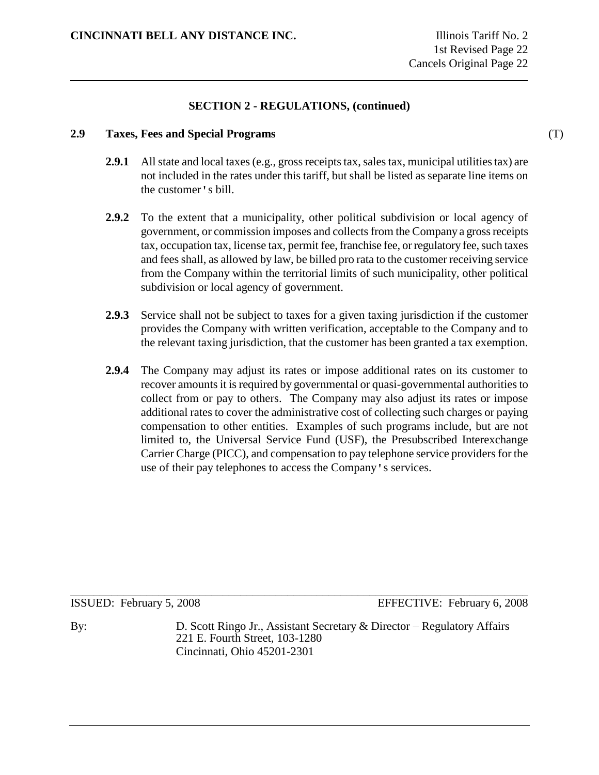# **2.9 Taxes, Fees and Special Programs** (T)

- **2.9.1** All state and local taxes (e.g., gross receipts tax, sales tax, municipal utilities tax) are not included in the rates under this tariff, but shall be listed as separate line items on the customer's bill.
- **2.9.2** To the extent that a municipality, other political subdivision or local agency of government, or commission imposes and collects from the Company a gross receipts tax, occupation tax, license tax, permit fee, franchise fee, or regulatory fee, such taxes and fees shall, as allowed by law, be billed pro rata to the customer receiving service from the Company within the territorial limits of such municipality, other political subdivision or local agency of government.
- **2.9.3** Service shall not be subject to taxes for a given taxing jurisdiction if the customer provides the Company with written verification, acceptable to the Company and to the relevant taxing jurisdiction, that the customer has been granted a tax exemption.
- **2.9.4** The Company may adjust its rates or impose additional rates on its customer to recover amounts it is required by governmental or quasi-governmental authorities to collect from or pay to others. The Company may also adjust its rates or impose additional rates to cover the administrative cost of collecting such charges or paying compensation to other entities. Examples of such programs include, but are not limited to, the Universal Service Fund (USF), the Presubscribed Interexchange Carrier Charge (PICC), and compensation to pay telephone service providers for the use of their pay telephones to access the Company's services.

\_\_\_\_\_\_\_\_\_\_\_\_\_\_\_\_\_\_\_\_\_\_\_\_\_\_\_\_\_\_\_\_\_\_\_\_\_\_\_\_\_\_\_\_\_\_\_\_\_\_\_\_\_\_\_\_\_\_\_\_\_\_\_\_\_\_\_\_\_\_\_\_\_\_\_\_\_\_ ISSUED: February 5, 2008 EFFECTIVE: February 6, 2008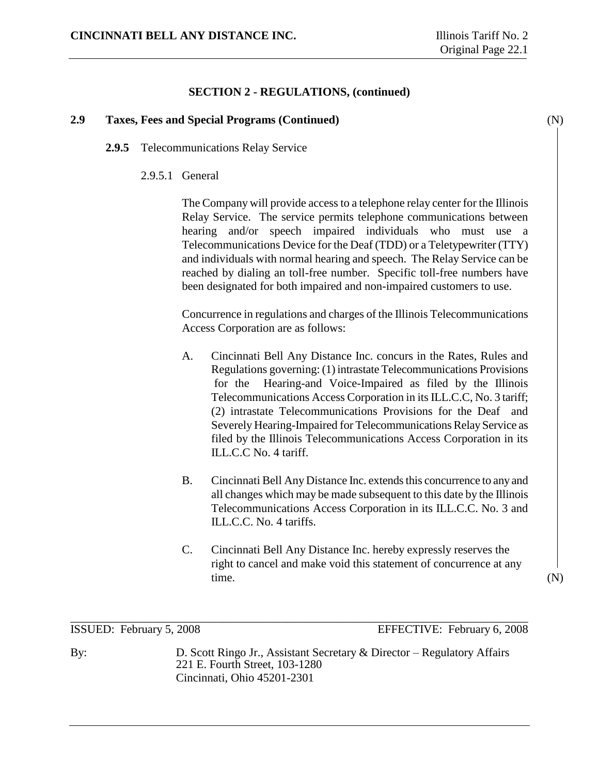# **2.9 Taxes, Fees and Special Programs (Continued)** (N)

- **2.9.5** Telecommunications Relay Service
	- 2.9.5.1 General

The Company will provide access to a telephone relay center for the Illinois Relay Service. The service permits telephone communications between hearing and/or speech impaired individuals who must use a Telecommunications Device for the Deaf (TDD) or a Teletypewriter (TTY) and individuals with normal hearing and speech. The Relay Service can be reached by dialing an toll-free number. Specific toll-free numbers have been designated for both impaired and non-impaired customers to use.

Concurrence in regulations and charges of the Illinois Telecommunications Access Corporation are as follows:

- A. Cincinnati Bell Any Distance Inc. concurs in the Rates, Rules and Regulations governing: (1) intrastate Telecommunications Provisions for the Hearing-and Voice-Impaired as filed by the Illinois Telecommunications Access Corporation in its ILL.C.C, No. 3 tariff; (2) intrastate Telecommunications Provisions for the Deaf and Severely Hearing-Impaired for Telecommunications Relay Service as filed by the Illinois Telecommunications Access Corporation in its ILL.C.C No. 4 tariff.
- B. Cincinnati Bell Any Distance Inc. extends this concurrence to any and all changes which may be made subsequent to this date by the Illinois Telecommunications Access Corporation in its ILL.C.C. No. 3 and ILL.C.C. No. 4 tariffs.
- C. Cincinnati Bell Any Distance Inc. hereby expressly reserves the right to cancel and make void this statement of concurrence at any time. (N)

ISSUED: February 5, 2008 EFFECTIVE: February 6, 2008

By: D. Scott Ringo Jr., Assistant Secretary & Director – Regulatory Affairs 221 E. Fourth Street, 103-1280 Cincinnati, Ohio 45201-2301

\_\_\_\_\_\_\_\_\_\_\_\_\_\_\_\_\_\_\_\_\_\_\_\_\_\_\_\_\_\_\_\_\_\_\_\_\_\_\_\_\_\_\_\_\_\_\_\_\_\_\_\_\_\_\_\_\_\_\_\_\_\_\_\_\_\_\_\_\_\_\_\_\_\_\_\_\_\_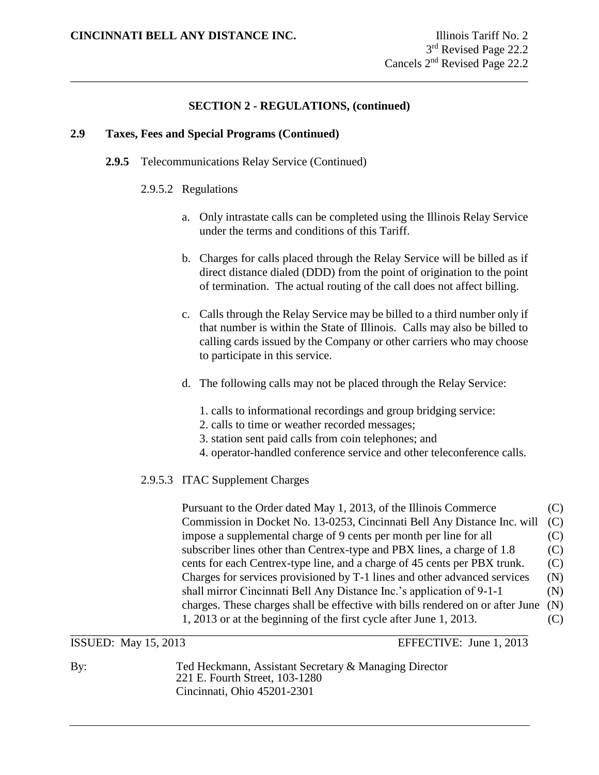\_\_\_\_\_\_\_\_\_\_\_\_\_\_\_\_\_\_\_\_\_\_\_\_\_\_\_\_\_\_\_\_\_\_\_\_\_\_\_\_\_\_\_\_\_\_\_\_\_\_\_\_\_\_\_\_\_\_\_\_\_\_\_\_\_\_\_\_\_\_\_\_\_\_\_\_\_\_

## **2.9 Taxes, Fees and Special Programs (Continued)**

- **2.9.5** Telecommunications Relay Service (Continued)
	- 2.9.5.2 Regulations
		- a. Only intrastate calls can be completed using the Illinois Relay Service under the terms and conditions of this Tariff.
		- b. Charges for calls placed through the Relay Service will be billed as if direct distance dialed (DDD) from the point of origination to the point of termination. The actual routing of the call does not affect billing.
		- c. Calls through the Relay Service may be billed to a third number only if that number is within the State of Illinois. Calls may also be billed to calling cards issued by the Company or other carriers who may choose to participate in this service.
		- d. The following calls may not be placed through the Relay Service:
			- 1. calls to informational recordings and group bridging service:
			- 2. calls to time or weather recorded messages;
			- 3. station sent paid calls from coin telephones; and
			- 4. operator-handled conference service and other teleconference calls.

# 2.9.5.3 ITAC Supplement Charges

Pursuant to the Order dated May 1, 2013, of the Illinois Commerce (C) Commission in Docket No. 13-0253, Cincinnati Bell Any Distance Inc. will (C) impose a supplemental charge of 9 cents per month per line for all (C) subscriber lines other than Centrex-type and PBX lines, a charge of 1.8 (C) cents for each Centrex-type line, and a charge of 45 cents per PBX trunk. (C) Charges for services provisioned by T-1 lines and other advanced services (N) shall mirror Cincinnati Bell Any Distance Inc.'s application of 9-1-1 (N) charges. These charges shall be effective with bills rendered on or after June (N) 1, 2013 or at the beginning of the first cycle after June 1, 2013. (C) \_\_\_\_\_\_\_\_\_\_\_\_\_\_\_\_\_\_\_\_\_\_\_\_\_\_\_\_\_\_\_\_\_\_\_\_\_\_\_\_\_\_\_\_\_\_\_\_\_\_\_\_\_\_\_\_\_\_\_\_\_\_\_\_\_\_\_\_\_\_\_\_\_\_\_\_\_\_

ISSUED: May 15, 2013 EFFECTIVE: June 1, 2013

By: Ted Heckmann, Assistant Secretary & Managing Director 221 E. Fourth Street, 103-1280 Cincinnati, Ohio 45201-2301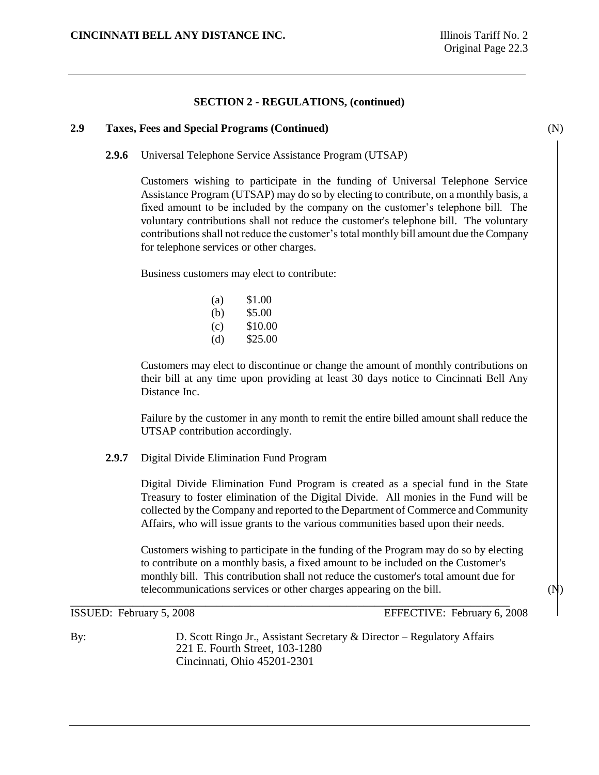#### **2.9 Taxes, Fees and Special Programs (Continued)** (N)

**2.9.6** Universal Telephone Service Assistance Program (UTSAP)

Customers wishing to participate in the funding of Universal Telephone Service Assistance Program (UTSAP) may do so by electing to contribute, on a monthly basis, a fixed amount to be included by the company on the customer's telephone bill. The voluntary contributions shall not reduce the customer's telephone bill. The voluntary contributions shall not reduce the customer's total monthly bill amount due the Company for telephone services or other charges.

Business customers may elect to contribute:

| (a) | \$1.00  |
|-----|---------|
| (b) | \$5.00  |
| (c) | \$10.00 |
| (d) | \$25.00 |

Customers may elect to discontinue or change the amount of monthly contributions on their bill at any time upon providing at least 30 days notice to Cincinnati Bell Any Distance Inc.

Failure by the customer in any month to remit the entire billed amount shall reduce the UTSAP contribution accordingly.

#### **2.9.7** Digital Divide Elimination Fund Program

Digital Divide Elimination Fund Program is created as a special fund in the State Treasury to foster elimination of the Digital Divide. All monies in the Fund will be collected by the Company and reported to the Department of Commerce and Community Affairs, who will issue grants to the various communities based upon their needs.

Customers wishing to participate in the funding of the Program may do so by electing to contribute on a monthly basis, a fixed amount to be included on the Customer's monthly bill. This contribution shall not reduce the customer's total amount due for telecommunications services or other charges appearing on the bill. (N)

\_\_\_\_\_\_\_\_\_\_\_\_\_\_\_\_\_\_\_\_\_\_\_\_\_\_\_\_\_\_\_\_\_\_\_\_\_\_\_\_\_\_\_\_\_\_\_\_\_\_\_\_\_\_\_\_\_\_\_\_\_\_\_\_\_\_\_\_\_\_\_\_\_\_\_\_\_\_

ISSUED: February 5, 2008 EFFECTIVE: February 6, 2008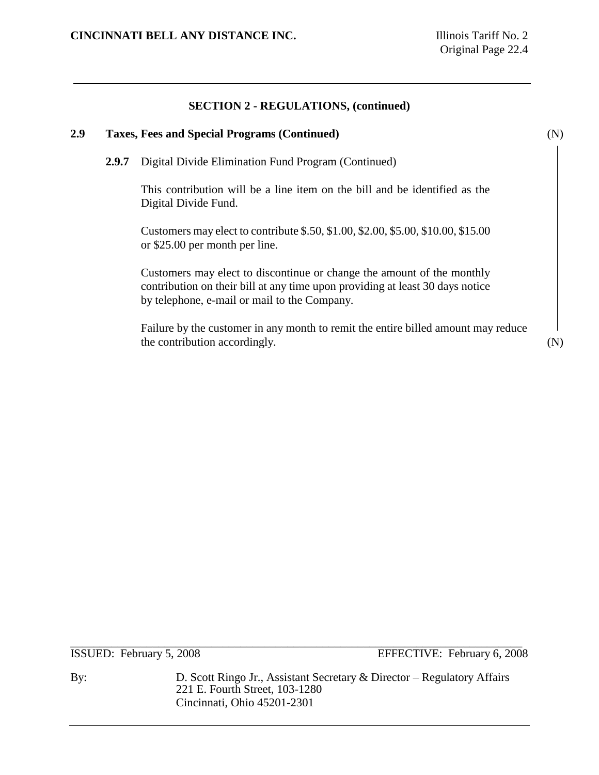# **2.9 Taxes, Fees and Special Programs (Continued)** (N)

**2.9.7** Digital Divide Elimination Fund Program (Continued)

This contribution will be a line item on the bill and be identified as the Digital Divide Fund.

Customers may elect to contribute \$.50, \$1.00, \$2.00, \$5.00, \$10.00, \$15.00 or \$25.00 per month per line.

Customers may elect to discontinue or change the amount of the monthly contribution on their bill at any time upon providing at least 30 days notice by telephone, e-mail or mail to the Company.

Failure by the customer in any month to remit the entire billed amount may reduce the contribution accordingly. (N)

\_\_\_\_\_\_\_\_\_\_\_\_\_\_\_\_\_\_\_\_\_\_\_\_\_\_\_\_\_\_\_\_\_\_\_\_\_\_\_\_\_\_\_\_\_\_\_\_\_\_\_\_\_\_\_\_\_\_\_\_\_\_\_\_\_\_\_\_\_\_\_\_\_\_\_\_\_

ISSUED: February 5, 2008 EFFECTIVE: February 6, 2008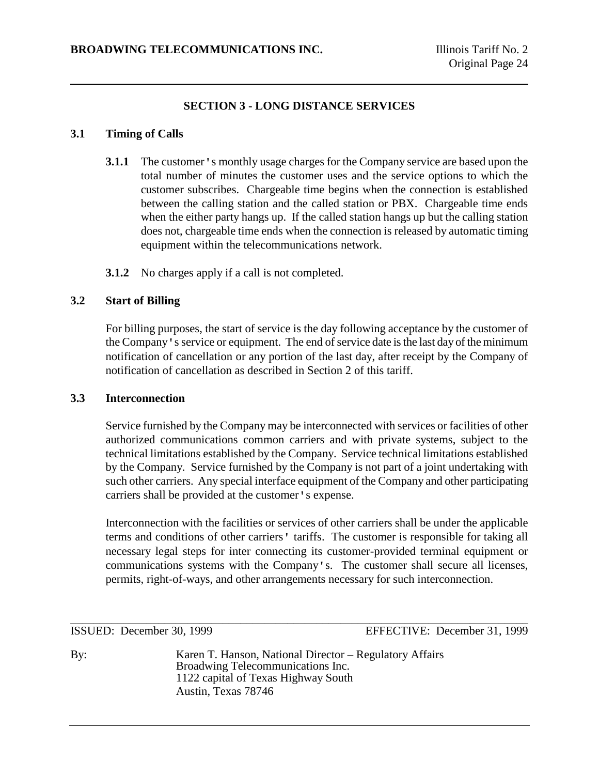# **SECTION 3 - LONG DISTANCE SERVICES**

## **3.1 Timing of Calls**

- **3.1.1** The customer's monthly usage charges for the Company service are based upon the total number of minutes the customer uses and the service options to which the customer subscribes. Chargeable time begins when the connection is established between the calling station and the called station or PBX. Chargeable time ends when the either party hangs up. If the called station hangs up but the calling station does not, chargeable time ends when the connection is released by automatic timing equipment within the telecommunications network.
- **3.1.2** No charges apply if a call is not completed.

#### **3.2 Start of Billing**

For billing purposes, the start of service is the day following acceptance by the customer of the Company's service or equipment. The end of service date is the last day of the minimum notification of cancellation or any portion of the last day, after receipt by the Company of notification of cancellation as described in Section 2 of this tariff.

#### **3.3 Interconnection**

Service furnished by the Company may be interconnected with services or facilities of other authorized communications common carriers and with private systems, subject to the technical limitations established by the Company. Service technical limitations established by the Company. Service furnished by the Company is not part of a joint undertaking with such other carriers. Any special interface equipment of the Company and other participating carriers shall be provided at the customer's expense.

Interconnection with the facilities or services of other carriers shall be under the applicable terms and conditions of other carriers' tariffs. The customer is responsible for taking all necessary legal steps for inter connecting its customer-provided terminal equipment or communications systems with the Company's. The customer shall secure all licenses, permits, right-of-ways, and other arrangements necessary for such interconnection.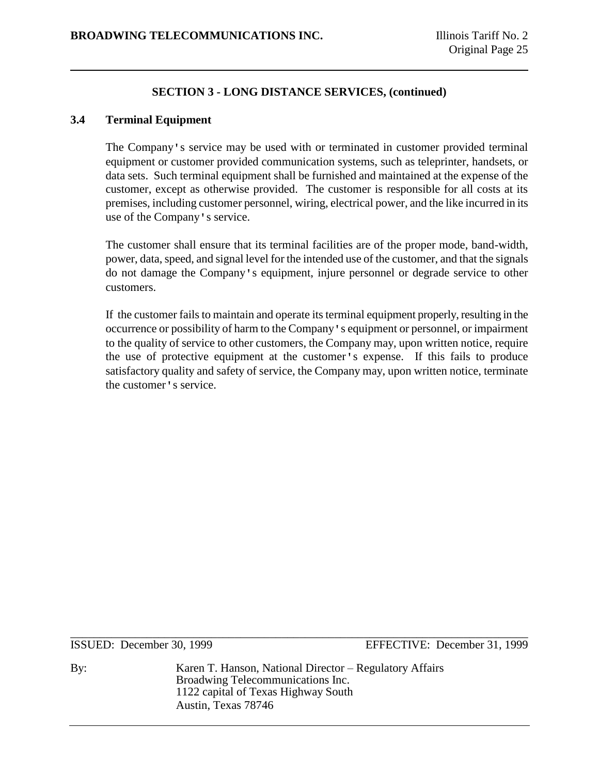#### **3.4 Terminal Equipment**

The Company's service may be used with or terminated in customer provided terminal equipment or customer provided communication systems, such as teleprinter, handsets, or data sets. Such terminal equipment shall be furnished and maintained at the expense of the customer, except as otherwise provided. The customer is responsible for all costs at its premises, including customer personnel, wiring, electrical power, and the like incurred in its use of the Company's service.

The customer shall ensure that its terminal facilities are of the proper mode, band-width, power, data, speed, and signal level for the intended use of the customer, and that the signals do not damage the Company's equipment, injure personnel or degrade service to other customers.

If the customer fails to maintain and operate its terminal equipment properly, resulting in the occurrence or possibility of harm to the Company's equipment or personnel, or impairment to the quality of service to other customers, the Company may, upon written notice, require the use of protective equipment at the customer's expense. If this fails to produce satisfactory quality and safety of service, the Company may, upon written notice, terminate the customer's service.

\_\_\_\_\_\_\_\_\_\_\_\_\_\_\_\_\_\_\_\_\_\_\_\_\_\_\_\_\_\_\_\_\_\_\_\_\_\_\_\_\_\_\_\_\_\_\_\_\_\_\_\_\_\_\_\_\_\_\_\_\_\_\_\_\_\_\_\_\_\_\_\_\_\_\_\_\_\_

ISSUED: December 30, 1999 EFFECTIVE: December 31, 1999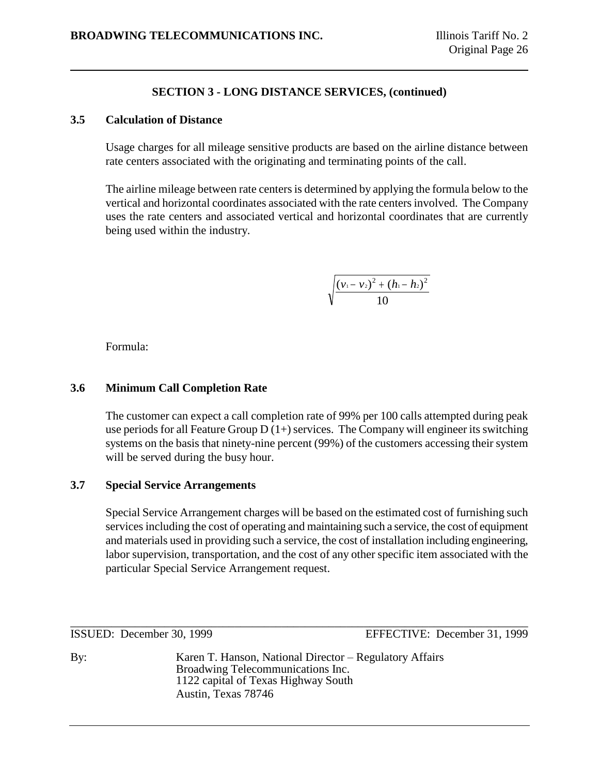## **3.5 Calculation of Distance**

Usage charges for all mileage sensitive products are based on the airline distance between rate centers associated with the originating and terminating points of the call.

The airline mileage between rate centers is determined by applying the formula below to the vertical and horizontal coordinates associated with the rate centers involved. The Company uses the rate centers and associated vertical and horizontal coordinates that are currently being used within the industry.

$$
\sqrt{\frac{(v_1-v_2)^2+(h_1-h_2)^2}{10}}
$$

Formula:

# **3.6 Minimum Call Completion Rate**

The customer can expect a call completion rate of 99% per 100 calls attempted during peak use periods for all Feature Group  $D(1+)$  services. The Company will engineer its switching systems on the basis that ninety-nine percent (99%) of the customers accessing their system will be served during the busy hour.

# **3.7 Special Service Arrangements**

Special Service Arrangement charges will be based on the estimated cost of furnishing such services including the cost of operating and maintaining such a service, the cost of equipment and materials used in providing such a service, the cost of installation including engineering, labor supervision, transportation, and the cost of any other specific item associated with the particular Special Service Arrangement request.

\_\_\_\_\_\_\_\_\_\_\_\_\_\_\_\_\_\_\_\_\_\_\_\_\_\_\_\_\_\_\_\_\_\_\_\_\_\_\_\_\_\_\_\_\_\_\_\_\_\_\_\_\_\_\_\_\_\_\_\_\_\_\_\_\_\_\_\_\_\_\_\_\_\_\_\_\_\_

ISSUED: December 30, 1999 EFFECTIVE: December 31, 1999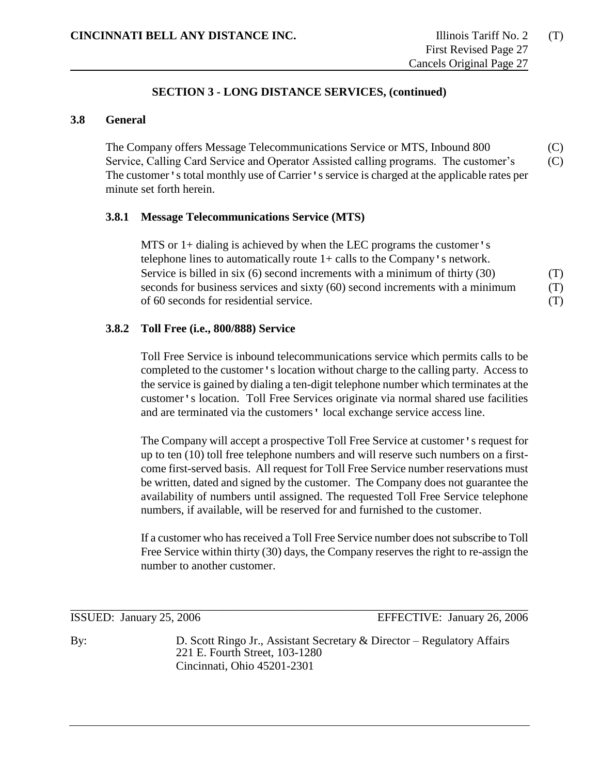# **3.8 General**

The Company offers Message Telecommunications Service or MTS, Inbound 800 (C) Service, Calling Card Service and Operator Assisted calling programs. The customer's (C) The customer's total monthly use of Carrier's service is charged at the applicable rates per minute set forth herein.

#### **3.8.1 Message Telecommunications Service (MTS)**

MTS or 1+ dialing is achieved by when the LEC programs the customer's telephone lines to automatically route  $1+$  calls to the Company's network. Service is billed in six (6) second increments with a minimum of thirty (30) (T) seconds for business services and sixty (60) second increments with a minimum (T) of 60 seconds for residential service. (T)

# **3.8.2 Toll Free (i.e., 800/888) Service**

Toll Free Service is inbound telecommunications service which permits calls to be completed to the customer's location without charge to the calling party. Access to the service is gained by dialing a ten-digit telephone number which terminates at the customer's location. Toll Free Services originate via normal shared use facilities and are terminated via the customers' local exchange service access line.

The Company will accept a prospective Toll Free Service at customer's request for up to ten (10) toll free telephone numbers and will reserve such numbers on a firstcome first-served basis. All request for Toll Free Service number reservations must be written, dated and signed by the customer. The Company does not guarantee the availability of numbers until assigned. The requested Toll Free Service telephone numbers, if available, will be reserved for and furnished to the customer.

If a customer who has received a Toll Free Service number does not subscribe to Toll Free Service within thirty (30) days, the Company reserves the right to re-assign the number to another customer.

\_\_\_\_\_\_\_\_\_\_\_\_\_\_\_\_\_\_\_\_\_\_\_\_\_\_\_\_\_\_\_\_\_\_\_\_\_\_\_\_\_\_\_\_\_\_\_\_\_\_\_\_\_\_\_\_\_\_\_\_\_\_\_\_\_\_\_\_\_\_\_\_\_\_\_\_\_\_

ISSUED: January 25, 2006 EFFECTIVE: January 26, 2006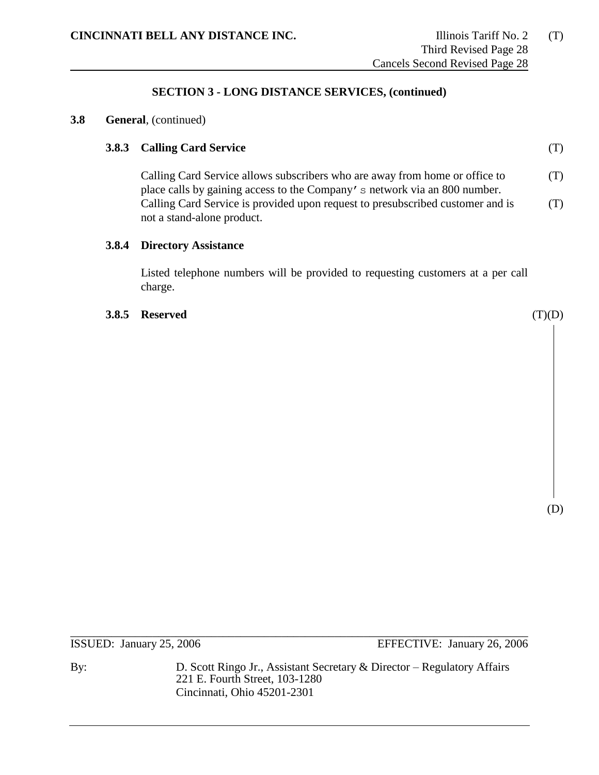#### **3.8 General**, (continued)

## **3.8.3 Calling Card Service** (T)

Calling Card Service allows subscribers who are away from home or office to (T) place calls by gaining access to the Company's network via an 800 number. Calling Card Service is provided upon request to presubscribed customer and is  $(1)$ not a stand-alone product.

#### **3.8.4 Directory Assistance**

Listed telephone numbers will be provided to requesting customers at a per call charge.

#### **3.8.5 Reserved** (T)(D)

(D)

\_\_\_\_\_\_\_\_\_\_\_\_\_\_\_\_\_\_\_\_\_\_\_\_\_\_\_\_\_\_\_\_\_\_\_\_\_\_\_\_\_\_\_\_\_\_\_\_\_\_\_\_\_\_\_\_\_\_\_\_\_\_\_\_\_\_\_\_\_\_\_\_\_\_\_\_\_\_

ISSUED: January 25, 2006 EFFECTIVE: January 26, 2006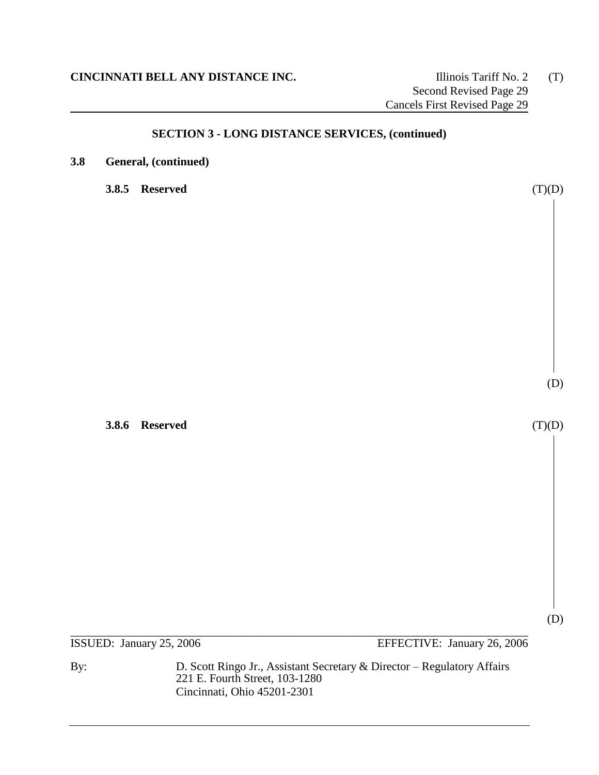**3.8 General, (continued)**

**3.8.5 Reserved** (T)(D)

**3.8.6 Reserved** (T)(D)

\_\_\_\_\_\_\_\_\_\_\_\_\_\_\_\_\_\_\_\_\_\_\_\_\_\_\_\_\_\_\_\_\_\_\_\_\_\_\_\_\_\_\_\_\_\_\_\_\_\_\_\_\_\_\_\_\_\_\_\_\_\_\_\_\_\_\_\_\_\_\_\_\_\_\_\_\_\_ ISSUED: January 25, 2006 EFFECTIVE: January 26, 2006

By: D. Scott Ringo Jr., Assistant Secretary & Director – Regulatory Affairs 221 E. Fourth Street, 103-1280 Cincinnati, Ohio 45201-2301

(D)

(D)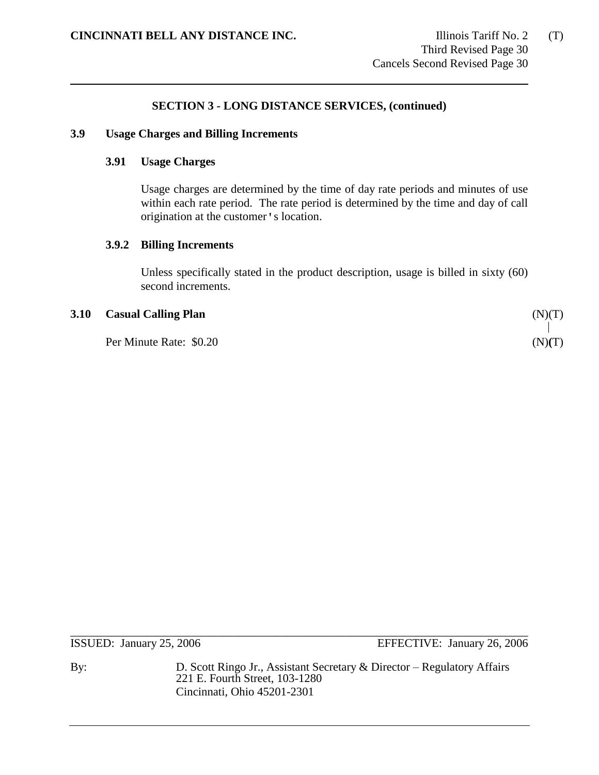#### **3.9 Usage Charges and Billing Increments**

### **3.91 Usage Charges**

Usage charges are determined by the time of day rate periods and minutes of use within each rate period. The rate period is determined by the time and day of call origination at the customer's location.

## **3.9.2 Billing Increments**

Unless specifically stated in the product description, usage is billed in sixty (60) second increments.

#### **3.10 Casual Calling Plan** (N)(T)

Per Minute Rate: \$0.20 (N)**(**T)

\_\_\_\_\_\_\_\_\_\_\_\_\_\_\_\_\_\_\_\_\_\_\_\_\_\_\_\_\_\_\_\_\_\_\_\_\_\_\_\_\_\_\_\_\_\_\_\_\_\_\_\_\_\_\_\_\_\_\_\_\_\_\_\_\_\_\_\_\_\_\_\_\_\_\_\_\_\_

ISSUED: January 25, 2006 EFFECTIVE: January 26, 2006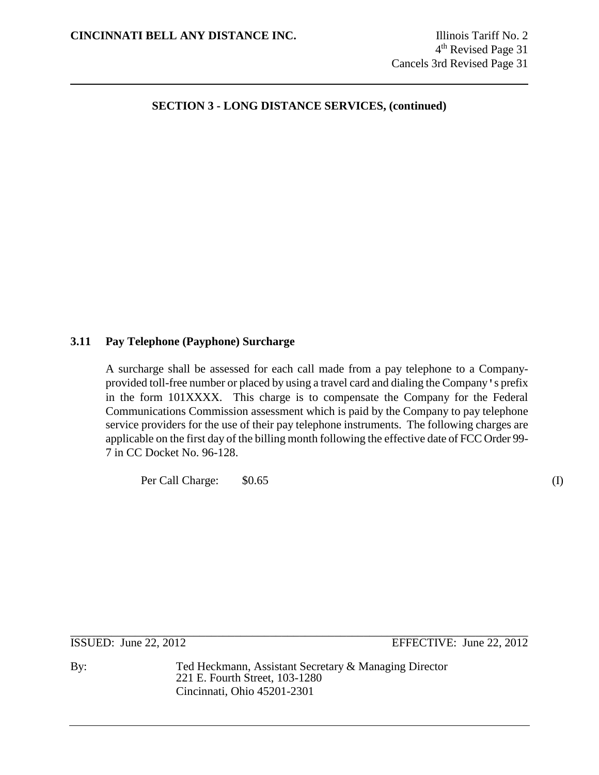# **3.11 Pay Telephone (Payphone) Surcharge**

A surcharge shall be assessed for each call made from a pay telephone to a Companyprovided toll-free number or placed by using a travel card and dialing the Company's prefix in the form 101XXXX. This charge is to compensate the Company for the Federal Communications Commission assessment which is paid by the Company to pay telephone service providers for the use of their pay telephone instruments. The following charges are applicable on the first day of the billing month following the effective date of FCC Order 99- 7 in CC Docket No. 96-128.

Per Call Charge: \$0.65 (I)

\_\_\_\_\_\_\_\_\_\_\_\_\_\_\_\_\_\_\_\_\_\_\_\_\_\_\_\_\_\_\_\_\_\_\_\_\_\_\_\_\_\_\_\_\_\_\_\_\_\_\_\_\_\_\_\_\_\_\_\_\_\_\_\_\_\_\_\_\_\_\_\_\_\_\_\_\_\_

ISSUED: June 22, 2012 EFFECTIVE: June 22, 2012

By: Ted Heckmann, Assistant Secretary & Managing Director 221 E. Fourth Street, 103-1280 Cincinnati, Ohio 45201-2301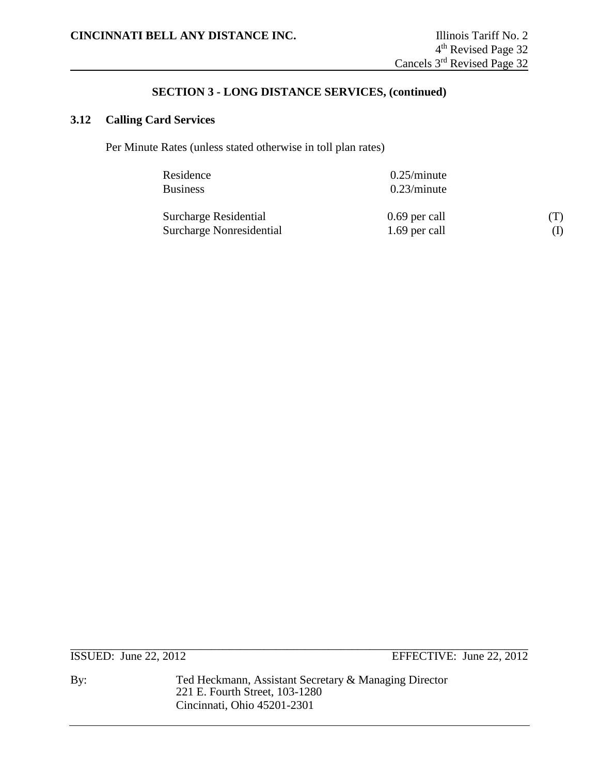# **3.12 Calling Card Services**

Per Minute Rates (unless stated otherwise in toll plan rates)

| Residence                | $0.25/m$ inute |     |
|--------------------------|----------------|-----|
| <b>Business</b>          | $0.23/m$ inute |     |
| Surcharge Residential    | 0.69 per call  | (T) |
| Surcharge Nonresidential | 1.69 per call  |     |

ISSUED: June 22, 2012 EFFECTIVE: June 22, 2012

By: Ted Heckmann, Assistant Secretary & Managing Director 221 E. Fourth Street, 103-1280 Cincinnati, Ohio 45201-2301

\_\_\_\_\_\_\_\_\_\_\_\_\_\_\_\_\_\_\_\_\_\_\_\_\_\_\_\_\_\_\_\_\_\_\_\_\_\_\_\_\_\_\_\_\_\_\_\_\_\_\_\_\_\_\_\_\_\_\_\_\_\_\_\_\_\_\_\_\_\_\_\_\_\_\_\_\_\_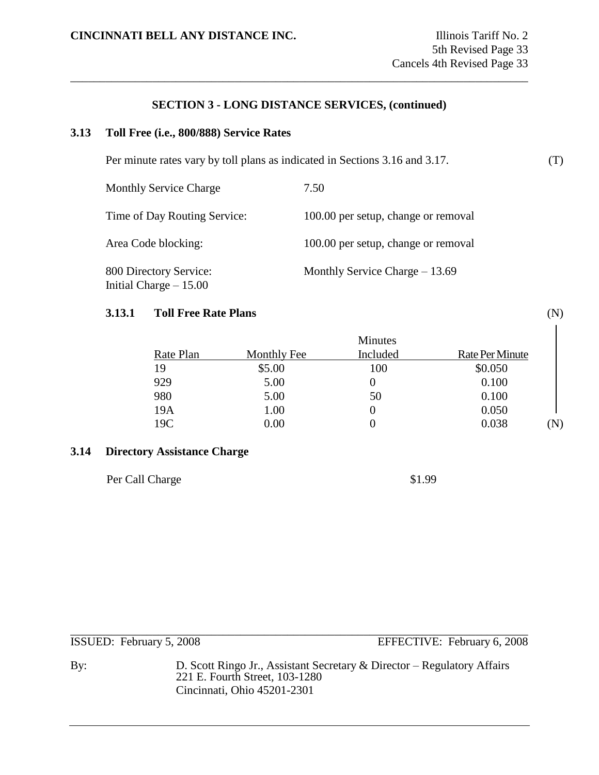\_\_\_\_\_\_\_\_\_\_\_\_\_\_\_\_\_\_\_\_\_\_\_\_\_\_\_\_\_\_\_\_\_\_\_\_\_\_\_\_\_\_\_\_\_\_\_\_\_\_\_\_\_\_\_\_\_\_\_\_\_\_\_\_\_\_\_\_\_\_\_\_\_\_\_\_\_\_

#### **3.13 Toll Free (i.e., 800/888) Service Rates**

Per minute rates vary by toll plans as indicated in Sections 3.16 and 3.17. (T)

| <b>Monthly Service Charge</b>                     | 7.50                                |
|---------------------------------------------------|-------------------------------------|
| Time of Day Routing Service:                      | 100.00 per setup, change or removal |
| Area Code blocking:                               | 100.00 per setup, change or removal |
| 800 Directory Service:<br>Initial Charge $-15.00$ | Monthly Service Charge $-13.69$     |

#### **3.13.1 Toll Free Rate Plans** (N)

|           |             | Minutes  |                        |             |
|-----------|-------------|----------|------------------------|-------------|
| Rate Plan | Monthly Fee | Included | <b>Rate Per Minute</b> |             |
| 19        | \$5.00      | 100      | \$0.050                |             |
| 929       | 5.00        | 0        | 0.100                  |             |
| 980       | 5.00        | 50       | 0.100                  |             |
| 19A       | 1.00        | $\theta$ | 0.050                  |             |
| 19C       | $0.00\,$    | 0        | 0.038                  | $\mathbf N$ |

## **3.14 Directory Assistance Charge**

Per Call Charge  $$1.99$ 

| ISSUED: February 5, 2008 | EFFECTIVE: February 6, 2008 |
|--------------------------|-----------------------------|

By: D. Scott Ringo Jr., Assistant Secretary & Director – Regulatory Affairs 221 E. Fourth Street, 103-1280 Cincinnati, Ohio 45201-2301

 $\overline{\phantom{a}}$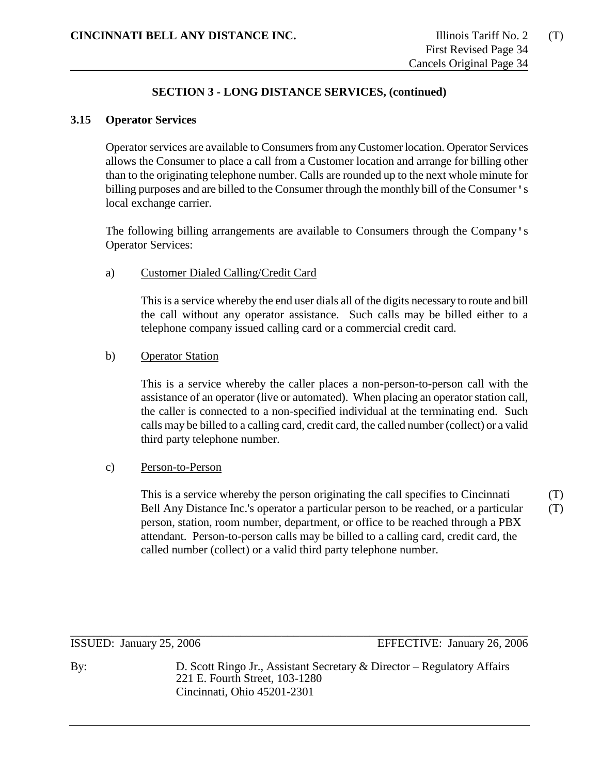#### **3.15 Operator Services**

Operator services are available to Consumers from any Customer location. Operator Services allows the Consumer to place a call from a Customer location and arrange for billing other than to the originating telephone number. Calls are rounded up to the next whole minute for billing purposes and are billed to the Consumer through the monthly bill of the Consumer's local exchange carrier.

The following billing arrangements are available to Consumers through the Company's Operator Services:

### a) Customer Dialed Calling/Credit Card

This is a service whereby the end user dials all of the digits necessary to route and bill the call without any operator assistance. Such calls may be billed either to a telephone company issued calling card or a commercial credit card.

#### b) Operator Station

This is a service whereby the caller places a non-person-to-person call with the assistance of an operator (live or automated). When placing an operator station call, the caller is connected to a non-specified individual at the terminating end. Such calls may be billed to a calling card, credit card, the called number (collect) or a valid third party telephone number.

#### c) Person-to-Person

This is a service whereby the person originating the call specifies to Cincinnati (T) Bell Any Distance Inc.'s operator a particular person to be reached, or a particular (T) person, station, room number, department, or office to be reached through a PBX attendant. Person-to-person calls may be billed to a calling card, credit card, the called number (collect) or a valid third party telephone number.

\_\_\_\_\_\_\_\_\_\_\_\_\_\_\_\_\_\_\_\_\_\_\_\_\_\_\_\_\_\_\_\_\_\_\_\_\_\_\_\_\_\_\_\_\_\_\_\_\_\_\_\_\_\_\_\_\_\_\_\_\_\_\_\_\_\_\_\_\_\_\_\_\_\_\_\_\_\_

ISSUED: January 25, 2006 EFFECTIVE: January 26, 2006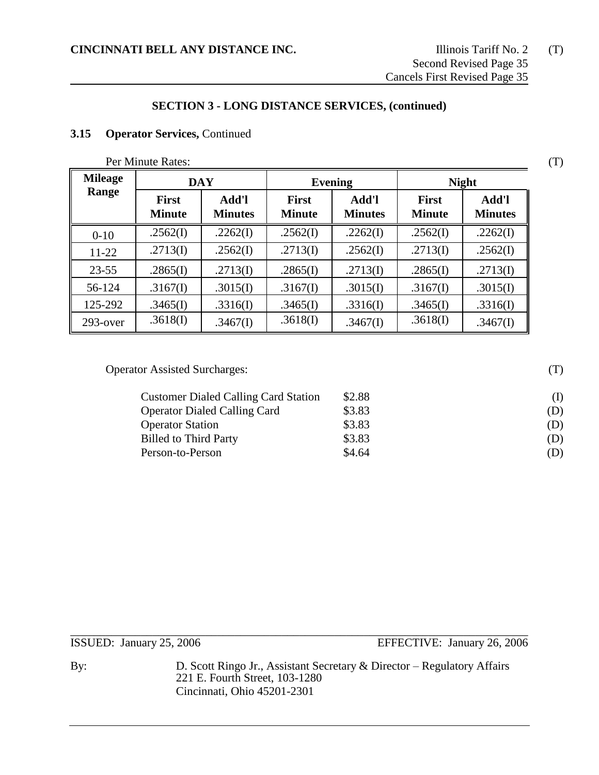# **3.15 Operator Services,** Continued

Per Minute Rates: (T)

| <b>Mileage</b> | <b>DAY</b>                    |                         | <b>Evening</b>                |                         | <b>Night</b>                  |                         |
|----------------|-------------------------------|-------------------------|-------------------------------|-------------------------|-------------------------------|-------------------------|
| Range          | <b>First</b><br><b>Minute</b> | Add'l<br><b>Minutes</b> | <b>First</b><br><b>Minute</b> | Add'l<br><b>Minutes</b> | <b>First</b><br><b>Minute</b> | Add'l<br><b>Minutes</b> |
| $0-10$         | .2562(I)                      | .2262(I)                | .2562(I)                      | .2262(I)                | .2562(I)                      | .2262(I)                |
| $11-22$        | .2713(I)                      | .2562(I)                | .2713(I)                      | .2562(I)                | .2713(I)                      | .2562(I)                |
| $23 - 55$      | .2865(I)                      | .2713(I)                | .2865(I)                      | .2713(I)                | .2865(I)                      | .2713(I)                |
| 56-124         | .3167(I)                      | .3015(I)                | .3167(I)                      | .3015(I)                | .3167(I)                      | .3015(I)                |
| 125-292        | .3465(I)                      | .3316(I)                | .3465(I)                      | .3316(I)                | .3465(I)                      | .3316(I)                |
| $293$ -over    | .3618(I)                      | .3467(I)                | .3618(I)                      | .3467(I)                | .3618(I)                      | .3467(I)                |

Operator Assisted Surcharges: (T)

| <b>Customer Dialed Calling Card Station</b> | \$2.88 | $\rm(L)$ |
|---------------------------------------------|--------|----------|
| <b>Operator Dialed Calling Card</b>         | \$3.83 | (D)      |
| <b>Operator Station</b>                     | \$3.83 | (D)      |
| <b>Billed to Third Party</b>                | \$3.83 | (D)      |
| Person-to-Person                            | \$4.64 | (D)      |

ISSUED: January 25, 2006 EFFECTIVE: January 26, 2006

By: D. Scott Ringo Jr., Assistant Secretary & Director – Regulatory Affairs 221 E. Fourth Street, 103-1280 Cincinnati, Ohio 45201-2301

\_\_\_\_\_\_\_\_\_\_\_\_\_\_\_\_\_\_\_\_\_\_\_\_\_\_\_\_\_\_\_\_\_\_\_\_\_\_\_\_\_\_\_\_\_\_\_\_\_\_\_\_\_\_\_\_\_\_\_\_\_\_\_\_\_\_\_\_\_\_\_\_\_\_\_\_\_\_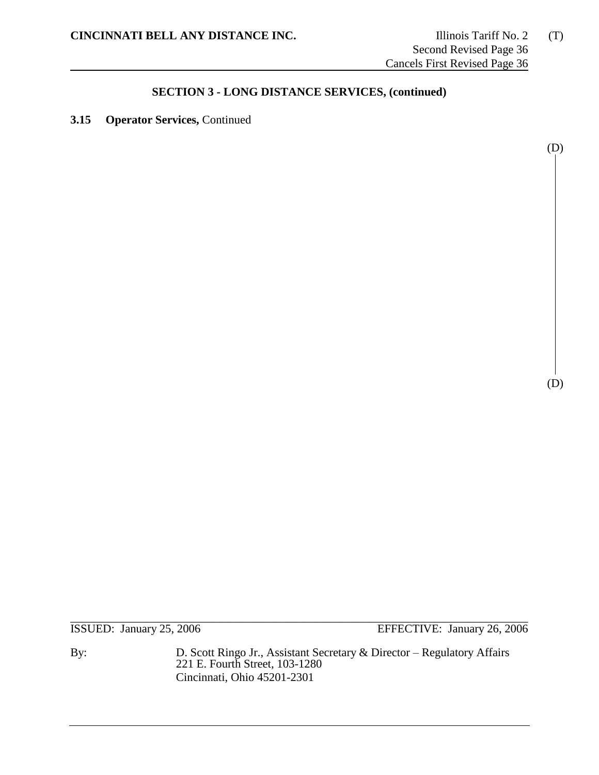**3.15 Operator Services,** Continued

(D)

(D)

\_\_\_\_\_\_\_\_\_\_\_\_\_\_\_\_\_\_\_\_\_\_\_\_\_\_\_\_\_\_\_\_\_\_\_\_\_\_\_\_\_\_\_\_\_\_\_\_\_\_\_\_\_\_\_\_\_\_\_\_\_\_\_\_\_\_\_\_\_\_\_\_\_\_\_\_\_\_ ISSUED: January 25, 2006 EFFECTIVE: January 26, 2006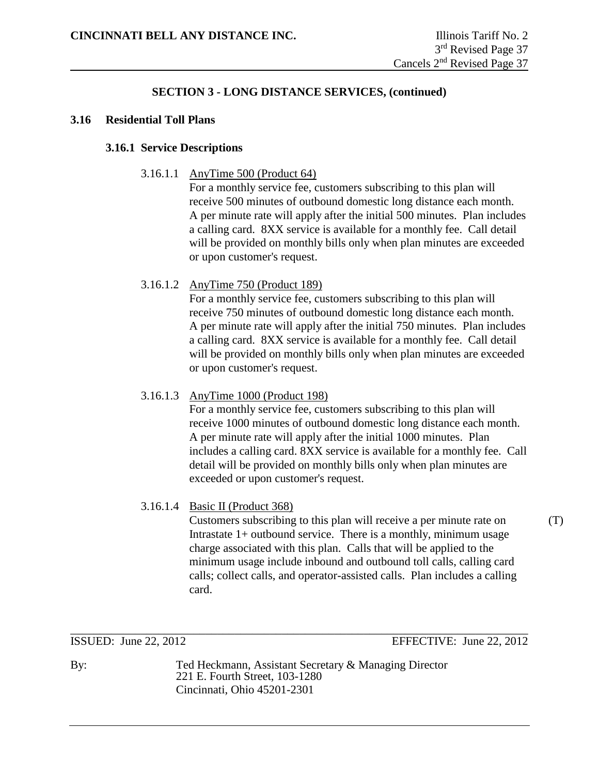#### **3.16 Residential Toll Plans**

### **3.16.1 Service Descriptions**

3.16.1.1 AnyTime 500 (Product 64)

For a monthly service fee, customers subscribing to this plan will receive 500 minutes of outbound domestic long distance each month. A per minute rate will apply after the initial 500 minutes. Plan includes a calling card. 8XX service is available for a monthly fee. Call detail will be provided on monthly bills only when plan minutes are exceeded or upon customer's request.

## 3.16.1.2 AnyTime 750 (Product 189)

For a monthly service fee, customers subscribing to this plan will receive 750 minutes of outbound domestic long distance each month. A per minute rate will apply after the initial 750 minutes. Plan includes a calling card. 8XX service is available for a monthly fee. Call detail will be provided on monthly bills only when plan minutes are exceeded or upon customer's request.

## 3.16.1.3 AnyTime 1000 (Product 198)

For a monthly service fee, customers subscribing to this plan will receive 1000 minutes of outbound domestic long distance each month. A per minute rate will apply after the initial 1000 minutes. Plan includes a calling card. 8XX service is available for a monthly fee. Call detail will be provided on monthly bills only when plan minutes are exceeded or upon customer's request.

## 3.16.1.4 Basic II (Product 368)

Customers subscribing to this plan will receive a per minute rate on (T) Intrastate 1+ outbound service. There is a monthly, minimum usage charge associated with this plan. Calls that will be applied to the minimum usage include inbound and outbound toll calls, calling card calls; collect calls, and operator-assisted calls. Plan includes a calling card.

\_\_\_\_\_\_\_\_\_\_\_\_\_\_\_\_\_\_\_\_\_\_\_\_\_\_\_\_\_\_\_\_\_\_\_\_\_\_\_\_\_\_\_\_\_\_\_\_\_\_\_\_\_\_\_\_\_\_\_\_\_\_\_\_\_\_\_\_\_\_\_\_\_\_\_\_\_\_ ISSUED: June 22, 2012 EFFECTIVE: June 22, 2012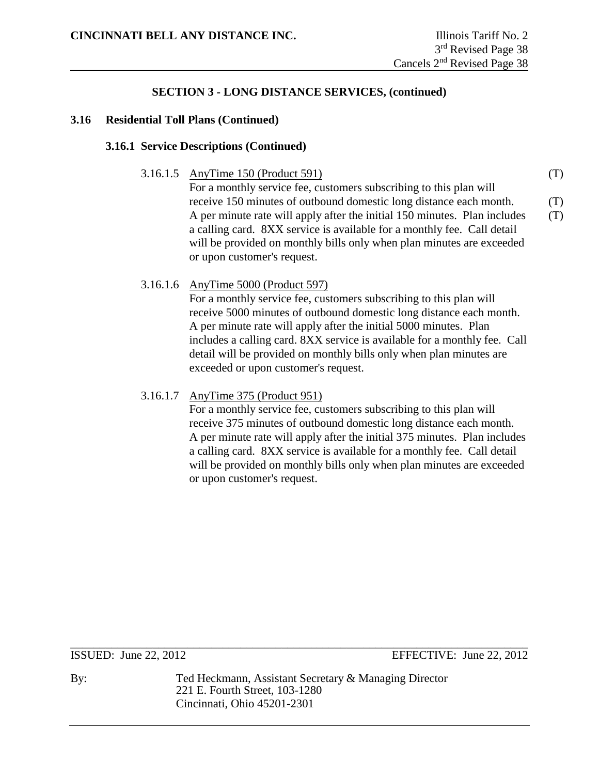#### **3.16 Residential Toll Plans (Continued)**

#### **3.16.1 Service Descriptions (Continued)**

3.16.1.5 AnyTime 150 (Product 591) (T)

For a monthly service fee, customers subscribing to this plan will receive 150 minutes of outbound domestic long distance each month. (T) A per minute rate will apply after the initial 150 minutes. Plan includes (T) a calling card. 8XX service is available for a monthly fee. Call detail will be provided on monthly bills only when plan minutes are exceeded or upon customer's request.

## 3.16.1.6 AnyTime 5000 (Product 597)

For a monthly service fee, customers subscribing to this plan will receive 5000 minutes of outbound domestic long distance each month. A per minute rate will apply after the initial 5000 minutes. Plan includes a calling card. 8XX service is available for a monthly fee. Call detail will be provided on monthly bills only when plan minutes are exceeded or upon customer's request.

## 3.16.1.7 AnyTime 375 (Product 951)

For a monthly service fee, customers subscribing to this plan will receive 375 minutes of outbound domestic long distance each month. A per minute rate will apply after the initial 375 minutes. Plan includes a calling card. 8XX service is available for a monthly fee. Call detail will be provided on monthly bills only when plan minutes are exceeded or upon customer's request.

\_\_\_\_\_\_\_\_\_\_\_\_\_\_\_\_\_\_\_\_\_\_\_\_\_\_\_\_\_\_\_\_\_\_\_\_\_\_\_\_\_\_\_\_\_\_\_\_\_\_\_\_\_\_\_\_\_\_\_\_\_\_\_\_\_\_\_\_\_\_\_\_\_\_\_\_\_\_ ISSUED: June 22, 2012 EFFECTIVE: June 22, 2012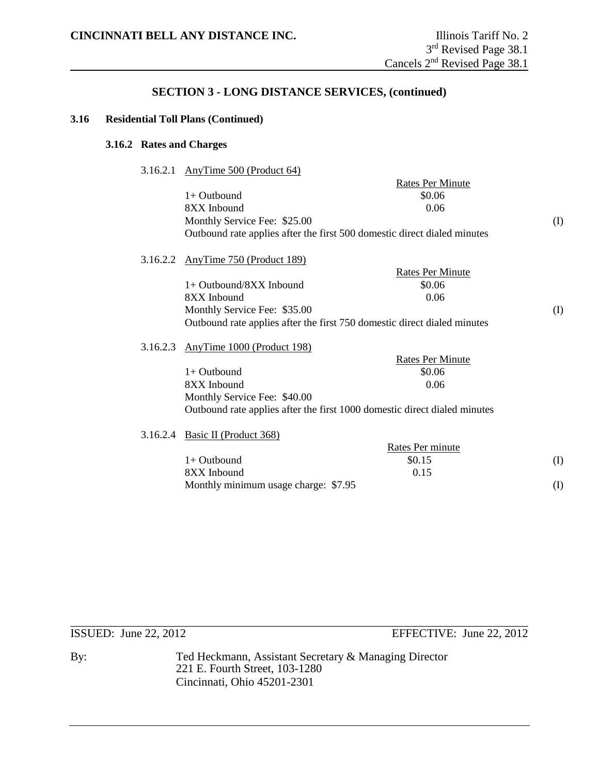#### **3.16 Residential Toll Plans (Continued)**

#### **3.16.2 Rates and Charges**

3.16.2.1 AnyTime 500 (Product 64)

|          | $\frac{1}{2}$ and $\frac{1}{2}$ . The section of $\frac{1}{2}$            |                         |     |
|----------|---------------------------------------------------------------------------|-------------------------|-----|
|          |                                                                           | <b>Rates Per Minute</b> |     |
|          | $1+$ Outbound                                                             | \$0.06                  |     |
|          | 8XX Inbound                                                               | 0.06                    |     |
|          | Monthly Service Fee: \$25.00                                              |                         | (I) |
|          | Outbound rate applies after the first 500 domestic direct dialed minutes  |                         |     |
| 3.16.2.2 | AnyTime 750 (Product 189)                                                 |                         |     |
|          |                                                                           | <b>Rates Per Minute</b> |     |
|          | $1+$ Outbound/8XX Inbound                                                 | \$0.06                  |     |
|          | 8XX Inbound                                                               | 0.06                    |     |
|          | Monthly Service Fee: \$35.00                                              |                         | (I) |
|          | Outbound rate applies after the first 750 domestic direct dialed minutes  |                         |     |
| 3.16.2.3 | AnyTime 1000 (Product 198)                                                |                         |     |
|          |                                                                           | <b>Rates Per Minute</b> |     |
|          | $1+$ Outbound                                                             | \$0.06                  |     |
|          | 8XX Inbound                                                               | 0.06                    |     |
|          | Monthly Service Fee: \$40.00                                              |                         |     |
|          | Outbound rate applies after the first 1000 domestic direct dialed minutes |                         |     |
| 3.16.2.4 | Basic II (Product 368)                                                    |                         |     |
|          |                                                                           | Rates Per minute        |     |
|          | $1+$ Outbound                                                             | \$0.15                  | (I) |
|          | 8XX Inbound                                                               | 0.15                    |     |
|          | Monthly minimum usage charge: \$7.95                                      |                         | (I) |
|          |                                                                           |                         |     |

\_\_\_\_\_\_\_\_\_\_\_\_\_\_\_\_\_\_\_\_\_\_\_\_\_\_\_\_\_\_\_\_\_\_\_\_\_\_\_\_\_\_\_\_\_\_\_\_\_\_\_\_\_\_\_\_\_\_\_\_\_\_\_\_\_\_\_\_\_\_\_\_\_\_\_\_\_\_ ISSUED: June 22, 2012 EFFECTIVE: June 22, 2012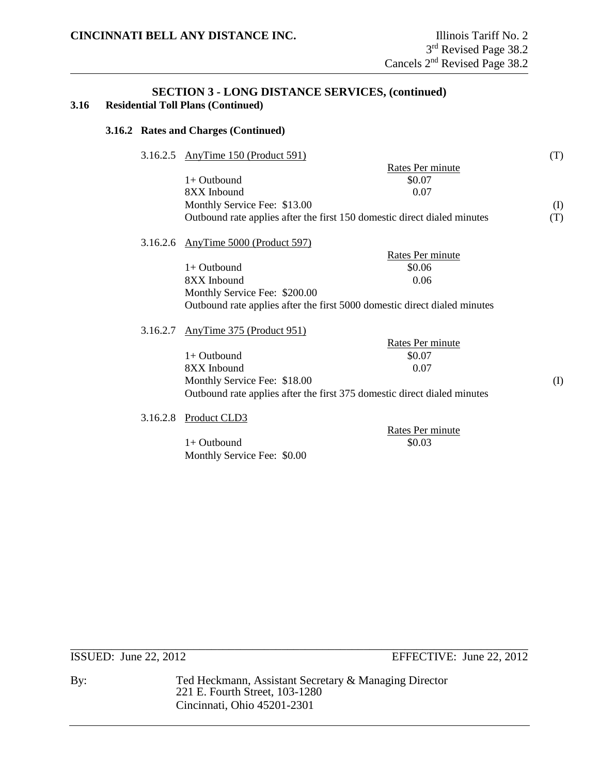### **SECTION 3 - LONG DISTANCE SERVICES, (continued) 3.16 Residential Toll Plans (Continued)**

#### **3.16.2 Rates and Charges (Continued)**

| 3.16.2.5 | AnyTime 150 (Product 591)                                                 |                  | (T) |
|----------|---------------------------------------------------------------------------|------------------|-----|
|          |                                                                           | Rates Per minute |     |
|          | $1+$ Outhound                                                             | \$0.07           |     |
|          | 8XX Inbound                                                               | 0.07             |     |
|          | Monthly Service Fee: \$13.00                                              |                  | (I) |
|          | Outbound rate applies after the first 150 domestic direct dialed minutes  |                  | (T) |
| 3.16.2.6 | AnyTime 5000 (Product 597)                                                |                  |     |
|          |                                                                           | Rates Per minute |     |
|          | $1+$ Outbound                                                             | \$0.06           |     |
|          | 8XX Inbound                                                               | 0.06             |     |
|          | Monthly Service Fee: \$200.00                                             |                  |     |
|          | Outbound rate applies after the first 5000 domestic direct dialed minutes |                  |     |
| 3.16.2.7 | AnyTime 375 (Product 951)                                                 |                  |     |
|          |                                                                           | Rates Per minute |     |
|          | $1+$ Outbound                                                             | \$0.07           |     |
|          | 8XX Inbound                                                               | 0.07             |     |
|          | Monthly Service Fee: \$18.00                                              |                  | (I) |
|          | Outbound rate applies after the first 375 domestic direct dialed minutes  |                  |     |
| 3.16.2.8 | Product CLD3                                                              |                  |     |
|          |                                                                           | Rates Per minute |     |
|          | $1+$ Outbound                                                             | \$0.03           |     |

Monthly Service Fee: \$0.00

\_\_\_\_\_\_\_\_\_\_\_\_\_\_\_\_\_\_\_\_\_\_\_\_\_\_\_\_\_\_\_\_\_\_\_\_\_\_\_\_\_\_\_\_\_\_\_\_\_\_\_\_\_\_\_\_\_\_\_\_\_\_\_\_\_\_\_\_\_\_\_\_\_\_\_\_\_\_

ISSUED: June 22, 2012 EFFECTIVE: June 22, 2012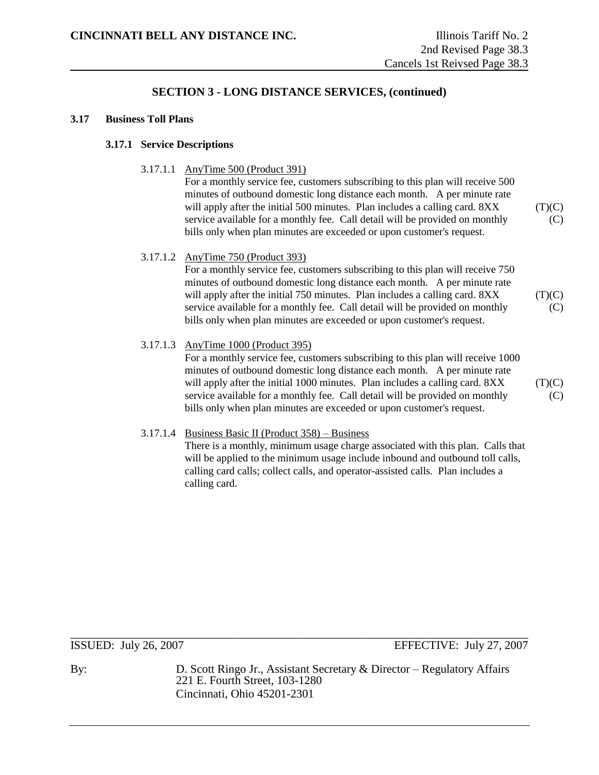#### **3.17 Business Toll Plans**

#### **3.17.1 Service Descriptions**

#### 3.17.1.1 AnyTime 500 (Product 391)

For a monthly service fee, customers subscribing to this plan will receive 500 minutes of outbound domestic long distance each month. A per minute rate will apply after the initial 500 minutes. Plan includes a calling card.  $8XX$  (T)(C) service available for a monthly fee. Call detail will be provided on monthly (C) bills only when plan minutes are exceeded or upon customer's request.

#### 3.17.1.2 AnyTime 750 (Product 393)

For a monthly service fee, customers subscribing to this plan will receive 750 minutes of outbound domestic long distance each month. A per minute rate will apply after the initial 750 minutes. Plan includes a calling card.  $8XX$  (T)(C) service available for a monthly fee. Call detail will be provided on monthly  $(C)$ bills only when plan minutes are exceeded or upon customer's request.

#### 3.17.1.3 AnyTime 1000 (Product 395)

For a monthly service fee, customers subscribing to this plan will receive 1000 minutes of outbound domestic long distance each month. A per minute rate will apply after the initial 1000 minutes. Plan includes a calling card.  $8XX$  (T)(C) service available for a monthly fee. Call detail will be provided on monthly  $(C)$ bills only when plan minutes are exceeded or upon customer's request.

#### 3.17.1.4 Business Basic II (Product 358) – Business

There is a monthly, minimum usage charge associated with this plan. Calls that will be applied to the minimum usage include inbound and outbound toll calls, calling card calls; collect calls, and operator-assisted calls. Plan includes a calling card.

\_\_\_\_\_\_\_\_\_\_\_\_\_\_\_\_\_\_\_\_\_\_\_\_\_\_\_\_\_\_\_\_\_\_\_\_\_\_\_\_\_\_\_\_\_\_\_\_\_\_\_\_\_\_\_\_\_\_\_\_\_\_\_\_\_\_\_\_\_\_\_\_\_\_\_\_\_\_

**ISSUED:** July 26, 2007 **EFFECTIVE:** July 27, 2007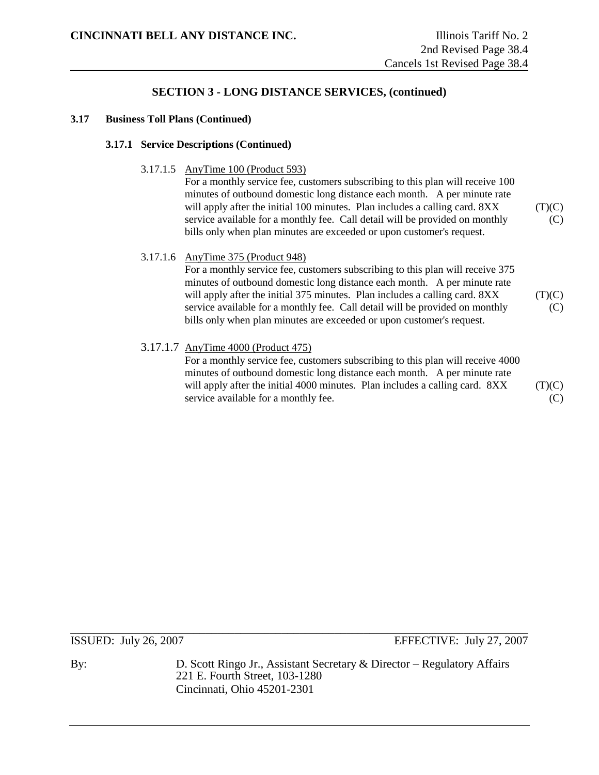#### **3.17 Business Toll Plans (Continued)**

#### **3.17.1 Service Descriptions (Continued)**

3.17.1.5 AnyTime 100 (Product 593)

For a monthly service fee, customers subscribing to this plan will receive 100 minutes of outbound domestic long distance each month. A per minute rate will apply after the initial 100 minutes. Plan includes a calling card.  $8XX$  (T)(C) service available for a monthly fee. Call detail will be provided on monthly (C) bills only when plan minutes are exceeded or upon customer's request.

#### 3.17.1.6 AnyTime 375 (Product 948)

For a monthly service fee, customers subscribing to this plan will receive 375 minutes of outbound domestic long distance each month. A per minute rate will apply after the initial 375 minutes. Plan includes a calling card.  $8XX$  (T)(C) service available for a monthly fee. Call detail will be provided on monthly  $(C)$ bills only when plan minutes are exceeded or upon customer's request.

#### 3.17.1.7 AnyTime 4000 (Product 475)

For a monthly service fee, customers subscribing to this plan will receive 4000 minutes of outbound domestic long distance each month. A per minute rate will apply after the initial 4000 minutes. Plan includes a calling card.  $8XX$  (T)(C) service available for a monthly fee. (C)

\_\_\_\_\_\_\_\_\_\_\_\_\_\_\_\_\_\_\_\_\_\_\_\_\_\_\_\_\_\_\_\_\_\_\_\_\_\_\_\_\_\_\_\_\_\_\_\_\_\_\_\_\_\_\_\_\_\_\_\_\_\_\_\_\_\_\_\_\_\_\_\_\_\_\_\_\_\_

ISSUED: July 26, 2007 EFFECTIVE: July 27, 2007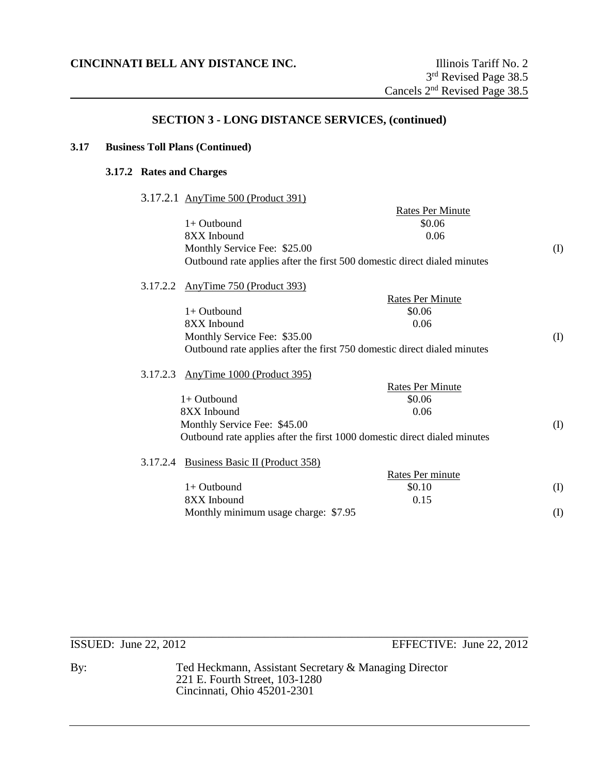## **3.17 Business Toll Plans (Continued)**

# **3.17.2 Rates and Charges**

3.17.2.1 AnyTime 500 (Product 391)

|          |                                                                           | <b>Rates Per Minute</b> |          |
|----------|---------------------------------------------------------------------------|-------------------------|----------|
|          | $1+$ Outbound                                                             | \$0.06                  |          |
|          | 8XX Inbound                                                               | 0.06                    |          |
|          | Monthly Service Fee: \$25.00                                              |                         | (I)      |
|          | Outbound rate applies after the first 500 domestic direct dialed minutes  |                         |          |
|          | 3.17.2.2 AnyTime 750 (Product 393)                                        |                         |          |
|          |                                                                           | <b>Rates Per Minute</b> |          |
|          | $1+$ Outbound                                                             | \$0.06                  |          |
|          | 8XX Inbound                                                               | 0.06                    |          |
|          | Monthly Service Fee: \$35.00                                              |                         | (I)      |
|          | Outbound rate applies after the first 750 domestic direct dialed minutes  |                         |          |
| 3.17.2.3 | AnyTime 1000 (Product 395)                                                |                         |          |
|          |                                                                           | <b>Rates Per Minute</b> |          |
|          | $1+$ Outbound                                                             | \$0.06                  |          |
|          | 8XX Inbound                                                               | 0.06                    |          |
|          | Monthly Service Fee: \$45.00                                              |                         | (I)      |
|          | Outbound rate applies after the first 1000 domestic direct dialed minutes |                         |          |
|          | 3.17.2.4 Business Basic II (Product 358)                                  |                         |          |
|          |                                                                           | Rates Per minute        |          |
|          | $1+$ Outbound                                                             | \$0.10                  | (I)      |
|          | 8XX Inbound                                                               | 0.15                    |          |
|          | Monthly minimum usage charge: \$7.95                                      |                         | $\rm(D)$ |
|          |                                                                           |                         |          |

# ISSUED: June 22, 2012 EFFECTIVE: June 22, 2012

By: Ted Heckmann, Assistant Secretary & Managing Director 221 E. Fourth Street, 103-1280 Cincinnati, Ohio 45201-2301

\_\_\_\_\_\_\_\_\_\_\_\_\_\_\_\_\_\_\_\_\_\_\_\_\_\_\_\_\_\_\_\_\_\_\_\_\_\_\_\_\_\_\_\_\_\_\_\_\_\_\_\_\_\_\_\_\_\_\_\_\_\_\_\_\_\_\_\_\_\_\_\_\_\_\_\_\_\_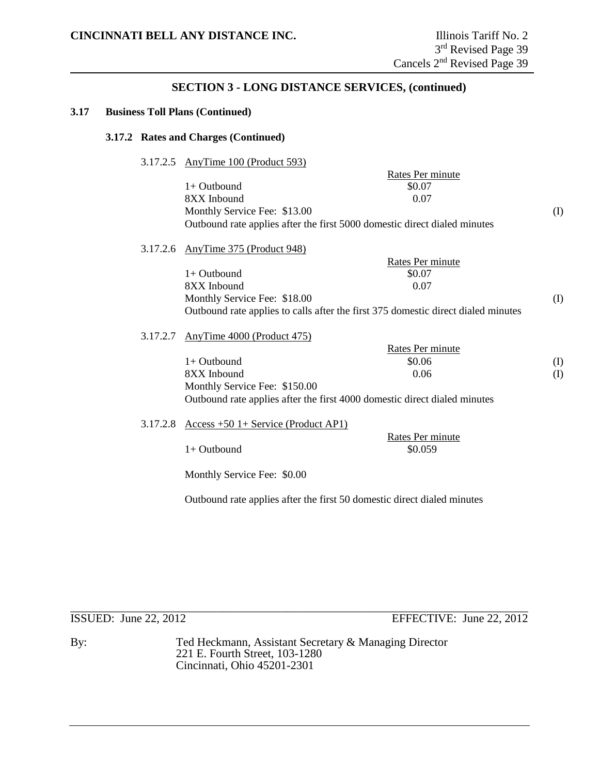#### **3.17 Business Toll Plans (Continued)**

#### **3.17.2 Rates and Charges (Continued)**

3.17.2.5 AnyTime 100 (Product 593)

Rates Per minute  $1+$  Outbound  $$0.07$ 8XX Inbound 0.07 Monthly Service Fee: \$13.00 (I) Outbound rate applies after the first 5000 domestic direct dialed minutes

#### 3.17.2.6 AnyTime 375 (Product 948)

|                              | Rates Per minute                                                                  |     |
|------------------------------|-----------------------------------------------------------------------------------|-----|
| $1+$ Outbound                | \$0.07                                                                            |     |
| 8XX Inbound                  | 0.07                                                                              |     |
| Monthly Service Fee: \$18.00 |                                                                                   | (I) |
|                              | Outbound rate applies to calls after the first 375 domestic direct dialed minutes |     |

#### 3.17.2.7 AnyTime 4000 (Product 475)

|                               | Rates Per minute                                                          |     |
|-------------------------------|---------------------------------------------------------------------------|-----|
| $1+$ Outbound                 | \$0.06                                                                    | (I) |
| 8XX Inbound                   | 0.06                                                                      | (I) |
| Monthly Service Fee: \$150.00 |                                                                           |     |
|                               | Outbound rate applies after the first 4000 domestic direct dialed minutes |     |

#### 3.17.2.8 Access +50 1+ Service (Product AP1)

 $1+$  Outbound  $$0.059$ 

Rates Per minute

Monthly Service Fee: \$0.00

Outbound rate applies after the first 50 domestic direct dialed minutes

\_\_\_\_\_\_\_\_\_\_\_\_\_\_\_\_\_\_\_\_\_\_\_\_\_\_\_\_\_\_\_\_\_\_\_\_\_\_\_\_\_\_\_\_\_\_\_\_\_\_\_\_\_\_\_\_\_\_\_\_\_\_\_\_\_\_\_\_\_\_\_\_\_\_\_\_\_\_ ISSUED: June 22, 2012 EFFECTIVE: June 22, 2012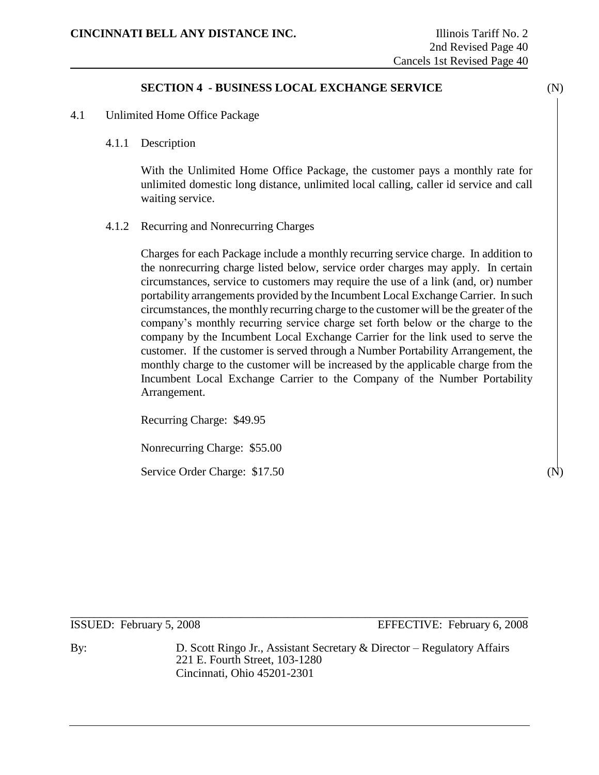# **SECTION 4 - BUSINESS LOCAL EXCHANGE SERVICE** (N)

- 4.1 Unlimited Home Office Package
	- 4.1.1 Description

With the Unlimited Home Office Package, the customer pays a monthly rate for unlimited domestic long distance, unlimited local calling, caller id service and call waiting service.

4.1.2 Recurring and Nonrecurring Charges

Charges for each Package include a monthly recurring service charge. In addition to the nonrecurring charge listed below, service order charges may apply. In certain circumstances, service to customers may require the use of a link (and, or) number portability arrangements provided by the Incumbent Local Exchange Carrier. In such circumstances, the monthly recurring charge to the customer will be the greater of the company's monthly recurring service charge set forth below or the charge to the company by the Incumbent Local Exchange Carrier for the link used to serve the customer. If the customer is served through a Number Portability Arrangement, the monthly charge to the customer will be increased by the applicable charge from the Incumbent Local Exchange Carrier to the Company of the Number Portability Arrangement.

Recurring Charge: \$49.95

Nonrecurring Charge: \$55.00

Service Order Charge: \$17.50

\_\_\_\_\_\_\_\_\_\_\_\_\_\_\_\_\_\_\_\_\_\_\_\_\_\_\_\_\_\_\_\_\_\_\_\_\_\_\_\_\_\_\_\_\_\_\_\_\_\_\_\_\_\_\_\_\_\_\_\_\_\_\_\_\_\_\_\_\_\_\_\_\_\_\_\_\_\_ ISSUED: February 5, 2008 EFFECTIVE: February 6, 2008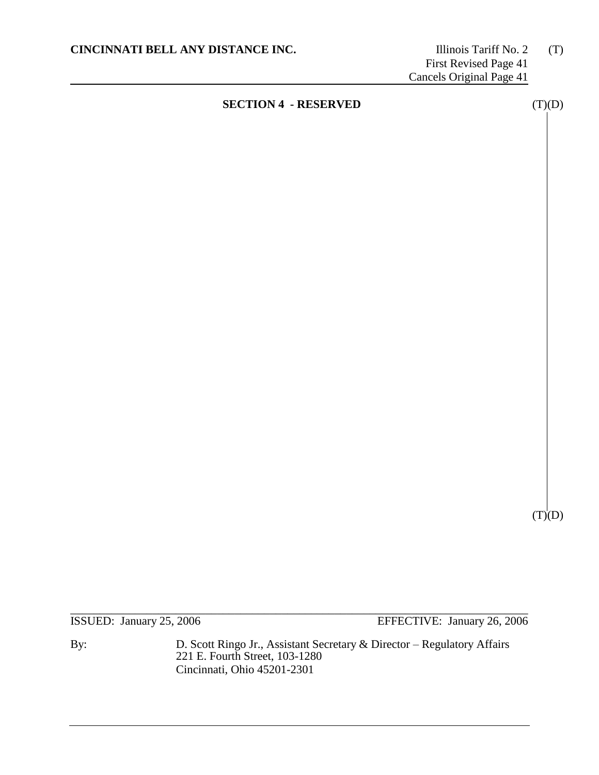$(T)(D)$ 

\_\_\_\_\_\_\_\_\_\_\_\_\_\_\_\_\_\_\_\_\_\_\_\_\_\_\_\_\_\_\_\_\_\_\_\_\_\_\_\_\_\_\_\_\_\_\_\_\_\_\_\_\_\_\_\_\_\_\_\_\_\_\_\_\_\_\_\_\_\_\_\_\_\_\_\_\_\_ ISSUED: January 25, 2006 EFFECTIVE: January 26, 2006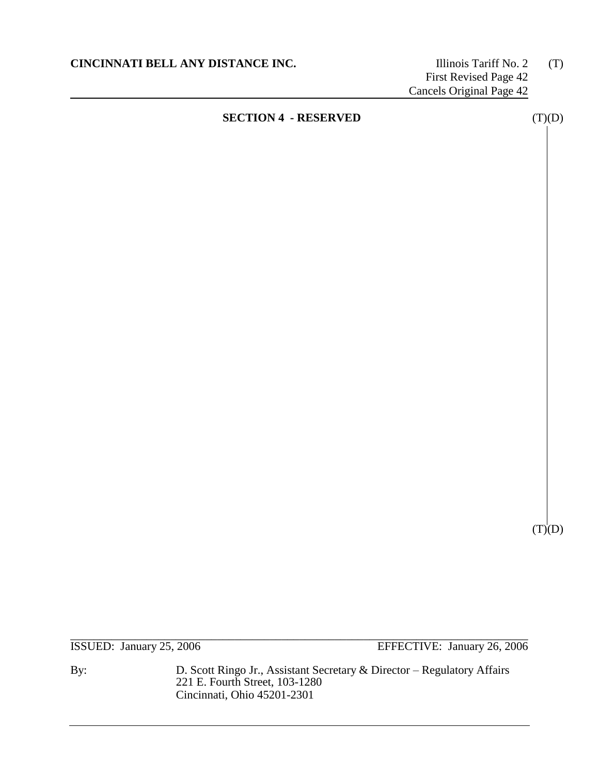$(T)(D)$ 

\_\_\_\_\_\_\_\_\_\_\_\_\_\_\_\_\_\_\_\_\_\_\_\_\_\_\_\_\_\_\_\_\_\_\_\_\_\_\_\_\_\_\_\_\_\_\_\_\_\_\_\_\_\_\_\_\_\_\_\_\_\_\_\_\_\_\_\_\_\_\_\_\_\_\_\_\_\_ ISSUED: January 25, 2006 EFFECTIVE: January 26, 2006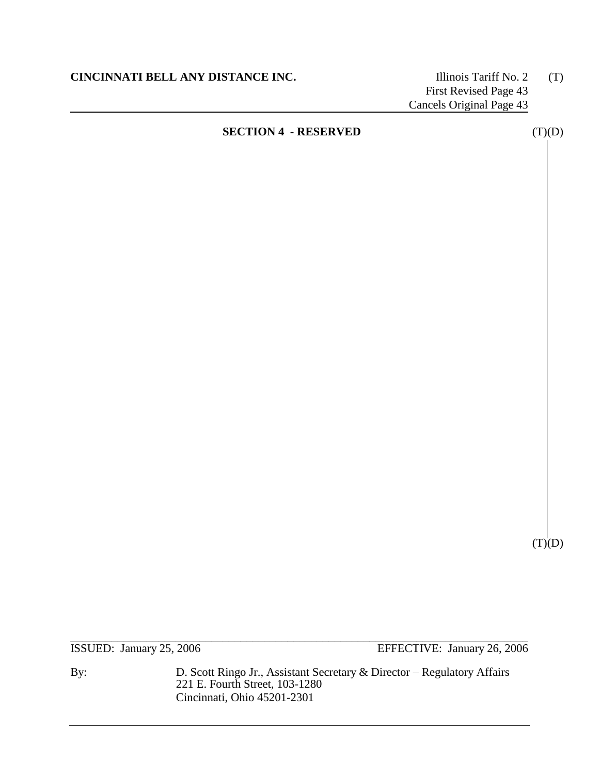$(T)(D)$ 

\_\_\_\_\_\_\_\_\_\_\_\_\_\_\_\_\_\_\_\_\_\_\_\_\_\_\_\_\_\_\_\_\_\_\_\_\_\_\_\_\_\_\_\_\_\_\_\_\_\_\_\_\_\_\_\_\_\_\_\_\_\_\_\_\_\_\_\_\_\_\_\_\_\_\_\_\_\_ ISSUED: January 25, 2006 EFFECTIVE: January 26, 2006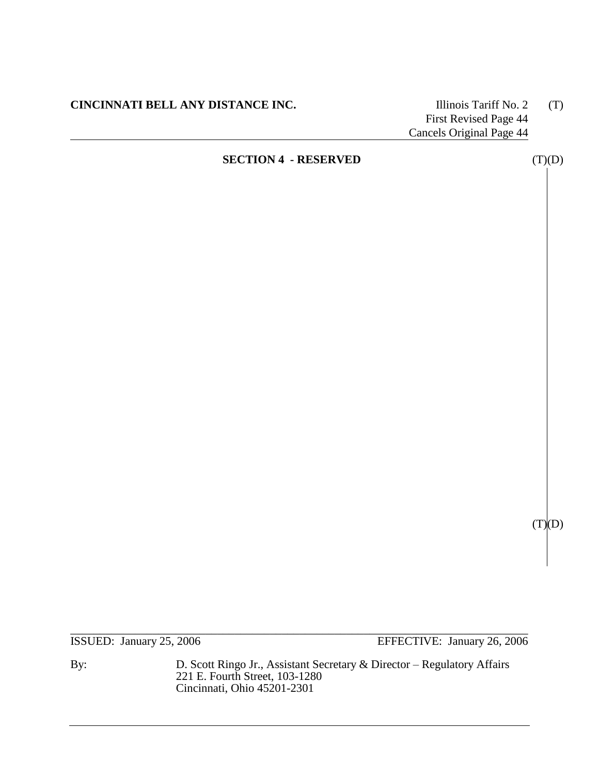**CINCINNATI BELL ANY DISTANCE INC.** Illinois Tariff No. 2 (T)

First Revised Page 44 Cancels Original Page 44

# **SECTION 4 - RESERVED** (T)(D)

 $(T)(D)$ 

ISSUED: January 25, 2006 EFFECTIVE: January 26, 2006

By: D. Scott Ringo Jr., Assistant Secretary & Director – Regulatory Affairs 221 E. Fourth Street, 103-1280 Cincinnati, Ohio 45201-2301

\_\_\_\_\_\_\_\_\_\_\_\_\_\_\_\_\_\_\_\_\_\_\_\_\_\_\_\_\_\_\_\_\_\_\_\_\_\_\_\_\_\_\_\_\_\_\_\_\_\_\_\_\_\_\_\_\_\_\_\_\_\_\_\_\_\_\_\_\_\_\_\_\_\_\_\_\_\_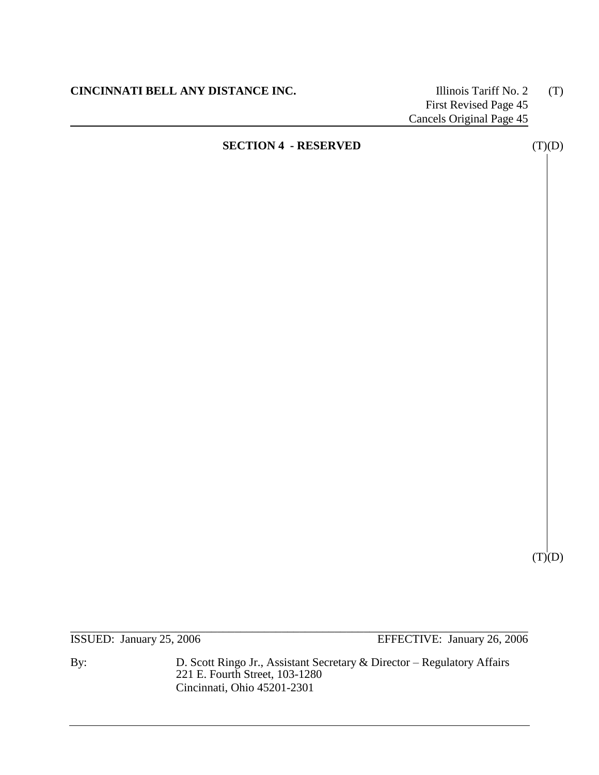$(T)(D)$ 

ISSUED: January 25, 2006 EFFECTIVE: January 26, 2006

By: D. Scott Ringo Jr., Assistant Secretary & Director – Regulatory Affairs 221 E. Fourth Street, 103-1280 Cincinnati, Ohio 45201-2301

\_\_\_\_\_\_\_\_\_\_\_\_\_\_\_\_\_\_\_\_\_\_\_\_\_\_\_\_\_\_\_\_\_\_\_\_\_\_\_\_\_\_\_\_\_\_\_\_\_\_\_\_\_\_\_\_\_\_\_\_\_\_\_\_\_\_\_\_\_\_\_\_\_\_\_\_\_\_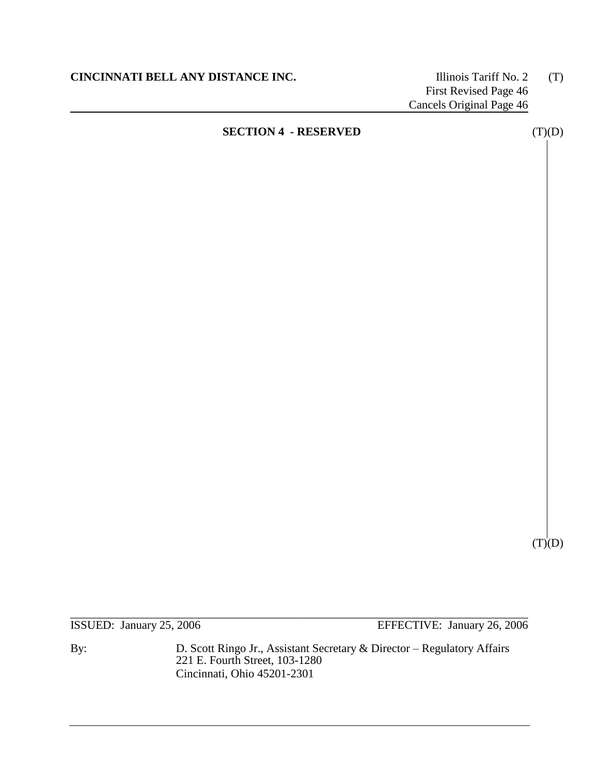$(T)(D)$ 

\_\_\_\_\_\_\_\_\_\_\_\_\_\_\_\_\_\_\_\_\_\_\_\_\_\_\_\_\_\_\_\_\_\_\_\_\_\_\_\_\_\_\_\_\_\_\_\_\_\_\_\_\_\_\_\_\_\_\_\_\_\_\_\_\_\_\_\_\_\_\_\_\_\_\_\_\_\_ ISSUED: January 25, 2006 EFFECTIVE: January 26, 2006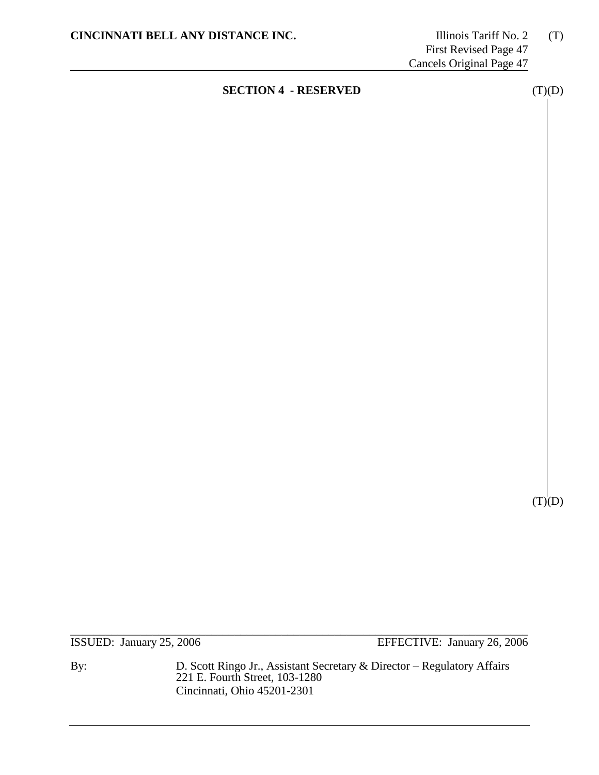# **SECTION 4 - RESERVED** (T)(D)

\_\_\_\_\_\_\_\_\_\_\_\_\_\_\_\_\_\_\_\_\_\_\_\_\_\_\_\_\_\_\_\_\_\_\_\_\_\_\_\_\_\_\_\_\_\_\_\_\_\_\_\_\_\_\_\_\_\_\_\_\_\_\_\_\_\_\_\_\_\_\_\_\_\_\_\_\_\_ ISSUED: January 25, 2006 EFFECTIVE: January 26, 2006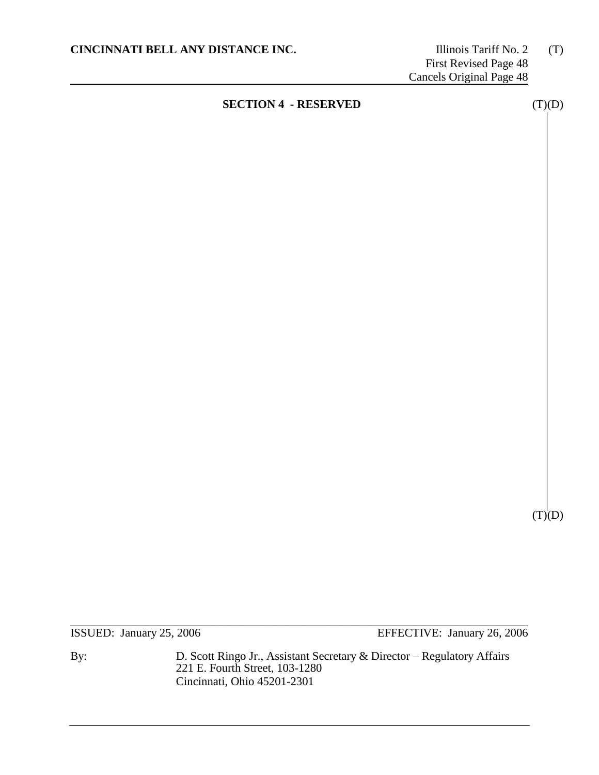\_\_\_\_\_\_\_\_\_\_\_\_\_\_\_\_\_\_\_\_\_\_\_\_\_\_\_\_\_\_\_\_\_\_\_\_\_\_\_\_\_\_\_\_\_\_\_\_\_\_\_\_\_\_\_\_\_\_\_\_\_\_\_\_\_\_\_\_\_\_\_\_\_\_\_\_\_\_ ISSUED: January 25, 2006 EFFECTIVE: January 26, 2006

By: D. Scott Ringo Jr., Assistant Secretary & Director – Regulatory Affairs 221 E. Fourth Street, 103-1280 Cincinnati, Ohio 45201-2301

 $(T)(D)$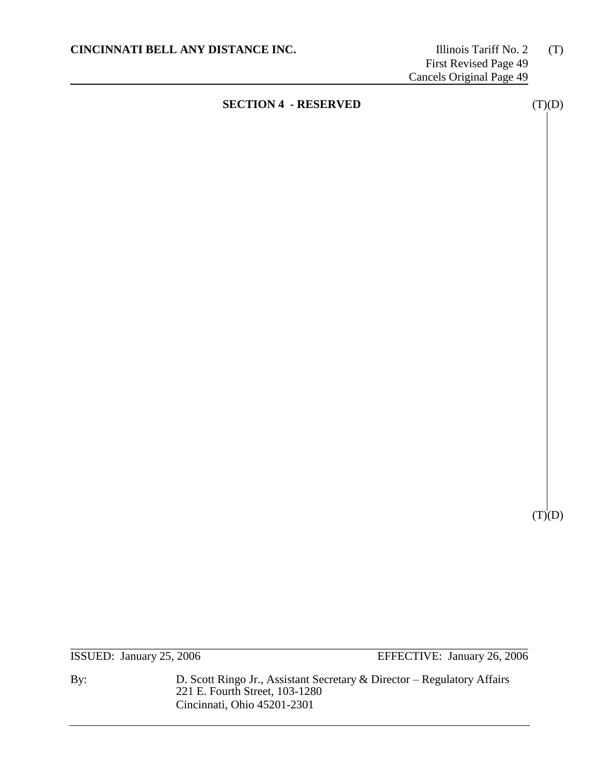# **SECTION 4 - RESERVED** (T)(D)

\_\_\_\_\_\_\_\_\_\_\_\_\_\_\_\_\_\_\_\_\_\_\_\_\_\_\_\_\_\_\_\_\_\_\_\_\_\_\_\_\_\_\_\_\_\_\_\_\_\_\_\_\_\_\_\_\_\_\_\_\_\_\_\_\_\_\_\_\_\_\_\_\_\_\_\_\_\_ ISSUED: January 25, 2006 EFFECTIVE: January 26, 2006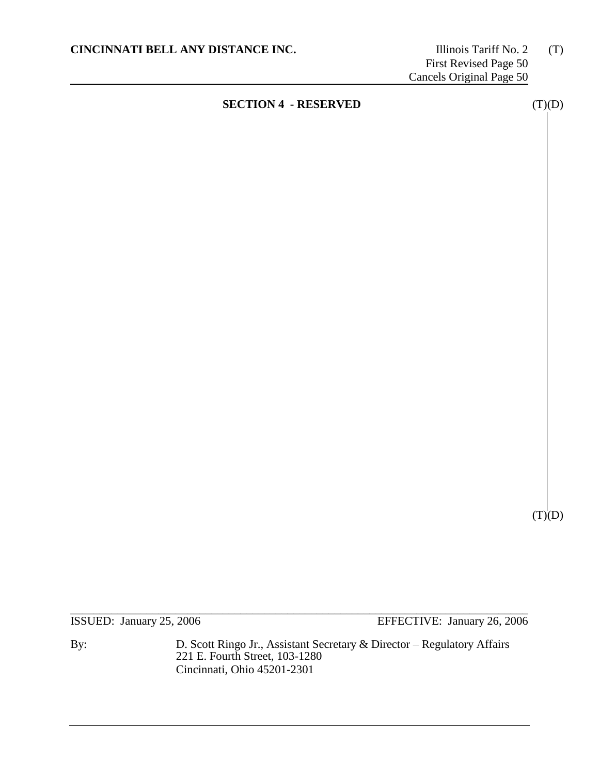\_\_\_\_\_\_\_\_\_\_\_\_\_\_\_\_\_\_\_\_\_\_\_\_\_\_\_\_\_\_\_\_\_\_\_\_\_\_\_\_\_\_\_\_\_\_\_\_\_\_\_\_\_\_\_\_\_\_\_\_\_\_\_\_\_\_\_\_\_\_\_\_\_\_\_\_\_\_ ISSUED: January 25, 2006 EFFECTIVE: January 26, 2006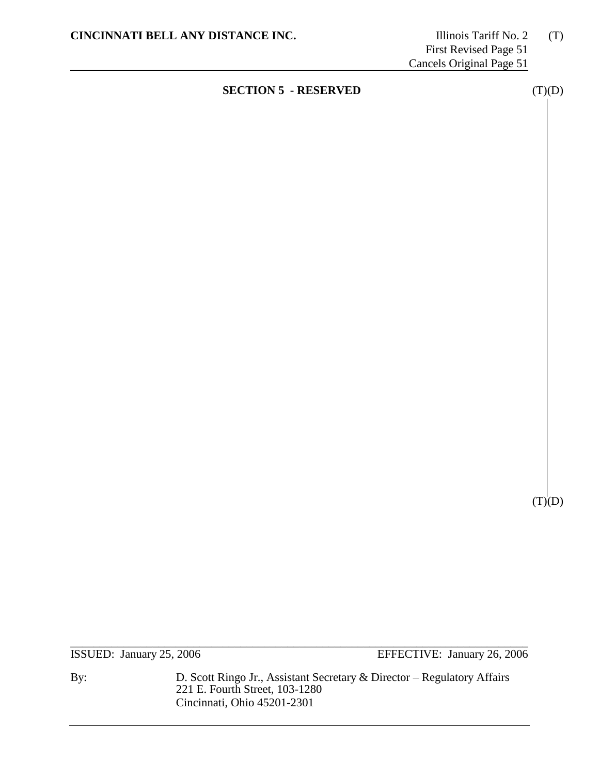# **SECTION 5 - RESERVED** (T)(D)

\_\_\_\_\_\_\_\_\_\_\_\_\_\_\_\_\_\_\_\_\_\_\_\_\_\_\_\_\_\_\_\_\_\_\_\_\_\_\_\_\_\_\_\_\_\_\_\_\_\_\_\_\_\_\_\_\_\_\_\_\_\_\_\_\_\_\_\_\_\_\_\_\_\_\_\_\_\_

ISSUED: January 25, 2006 EFFECTIVE: January 26, 2006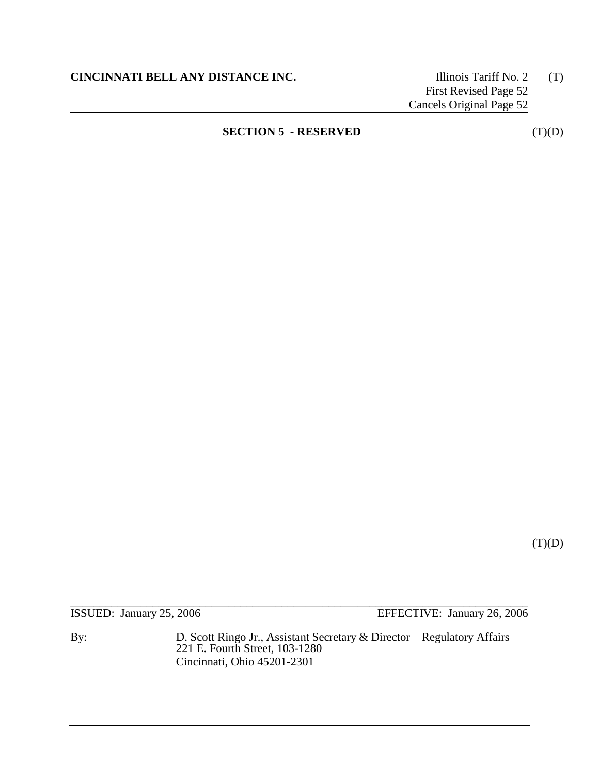$(T)(D)$ 

\_\_\_\_\_\_\_\_\_\_\_\_\_\_\_\_\_\_\_\_\_\_\_\_\_\_\_\_\_\_\_\_\_\_\_\_\_\_\_\_\_\_\_\_\_\_\_\_\_\_\_\_\_\_\_\_\_\_\_\_\_\_\_\_\_\_\_\_\_\_\_\_\_\_\_\_\_\_ ISSUED: January 25, 2006 EFFECTIVE: January 26, 2006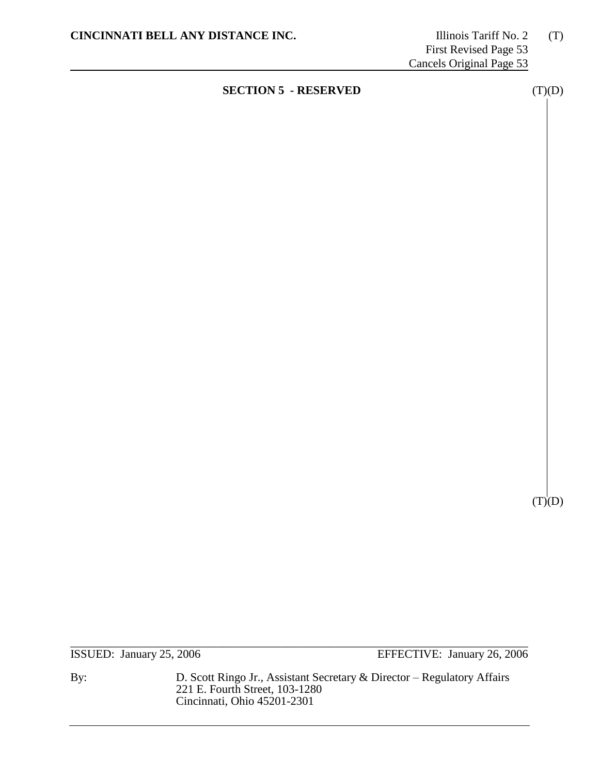# **SECTION 5 - RESERVED** (T)(D)

ISSUED: January 25, 2006 EFFECTIVE: January 26, 2006

By: D. Scott Ringo Jr., Assistant Secretary & Director – Regulatory Affairs 221 E. Fourth Street, 103-1280 Cincinnati, Ohio 45201-2301

\_\_\_\_\_\_\_\_\_\_\_\_\_\_\_\_\_\_\_\_\_\_\_\_\_\_\_\_\_\_\_\_\_\_\_\_\_\_\_\_\_\_\_\_\_\_\_\_\_\_\_\_\_\_\_\_\_\_\_\_\_\_\_\_\_\_\_\_\_\_\_\_\_\_\_\_\_\_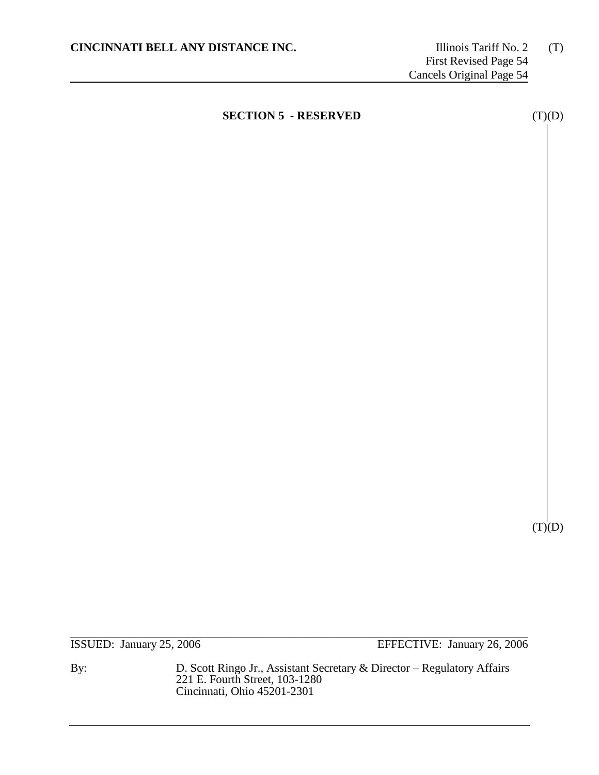$(T)(D)$ 

\_\_\_\_\_\_\_\_\_\_\_\_\_\_\_\_\_\_\_\_\_\_\_\_\_\_\_\_\_\_\_\_\_\_\_\_\_\_\_\_\_\_\_\_\_\_\_\_\_\_\_\_\_\_\_\_\_\_\_\_\_\_\_\_\_\_\_\_\_\_\_\_\_\_\_\_\_\_ ISSUED: January 25, 2006 EFFECTIVE: January 26, 2006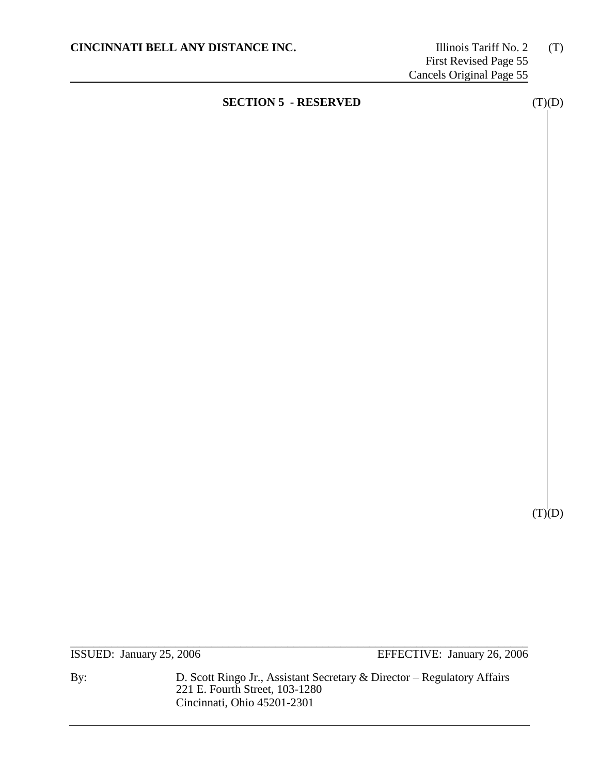$(T)(D)$ 

\_\_\_\_\_\_\_\_\_\_\_\_\_\_\_\_\_\_\_\_\_\_\_\_\_\_\_\_\_\_\_\_\_\_\_\_\_\_\_\_\_\_\_\_\_\_\_\_\_\_\_\_\_\_\_\_\_\_\_\_\_\_\_\_\_\_\_\_\_\_\_\_\_\_\_\_\_\_

ISSUED: January 25, 2006 EFFECTIVE: January 26, 2006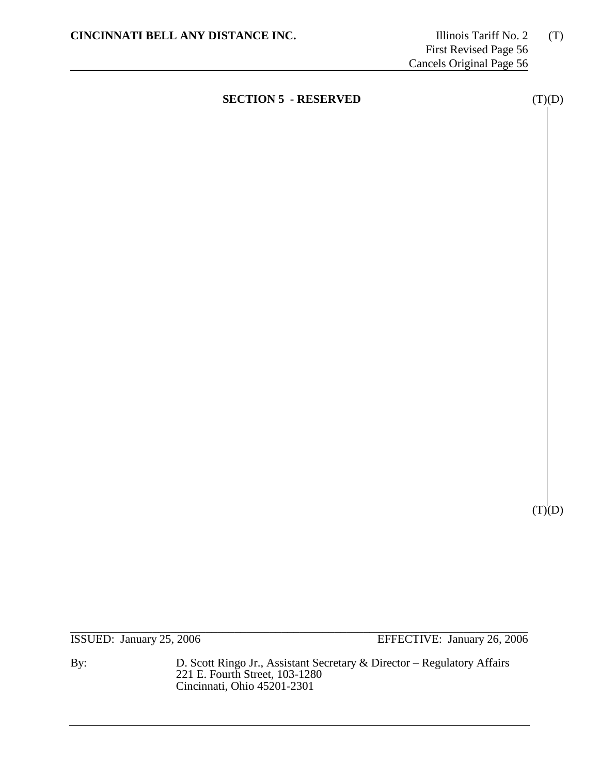$(T)(D)$ 

ISSUED: January 25, 2006 EFFECTIVE: January 26, 2006

By: D. Scott Ringo Jr., Assistant Secretary & Director – Regulatory Affairs 221 E. Fourth Street, 103-1280 Cincinnati, Ohio 45201-2301

\_\_\_\_\_\_\_\_\_\_\_\_\_\_\_\_\_\_\_\_\_\_\_\_\_\_\_\_\_\_\_\_\_\_\_\_\_\_\_\_\_\_\_\_\_\_\_\_\_\_\_\_\_\_\_\_\_\_\_\_\_\_\_\_\_\_\_\_\_\_\_\_\_\_\_\_\_\_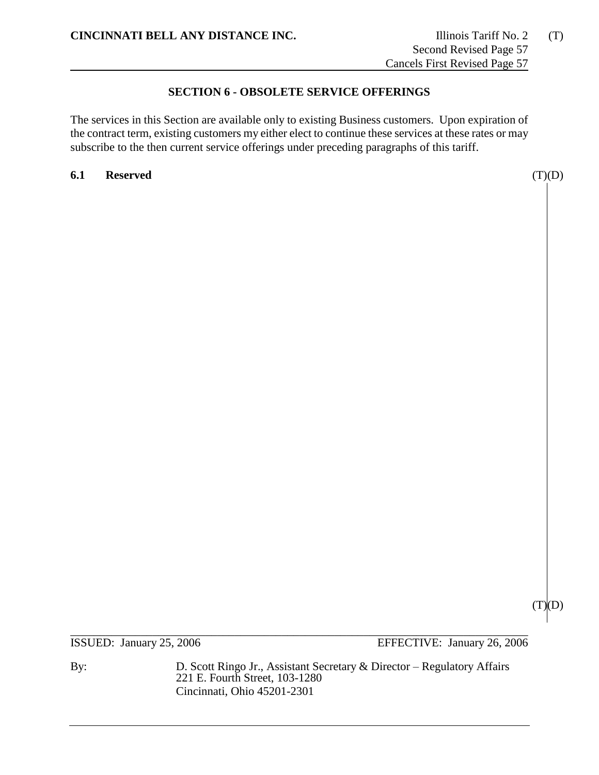# **SECTION 6 - OBSOLETE SERVICE OFFERINGS**

The services in this Section are available only to existing Business customers. Upon expiration of the contract term, existing customers my either elect to continue these services at these rates or may subscribe to the then current service offerings under preceding paragraphs of this tariff.

**6.1 Reserved** (T)(D)

 $(T)(D)$ 

\_\_\_\_\_\_\_\_\_\_\_\_\_\_\_\_\_\_\_\_\_\_\_\_\_\_\_\_\_\_\_\_\_\_\_\_\_\_\_\_\_\_\_\_\_\_\_\_\_\_\_\_\_\_\_\_\_\_\_\_\_\_\_\_\_\_\_\_\_\_\_\_\_\_\_\_\_\_ ISSUED: January 25, 2006 EFFECTIVE: January 26, 2006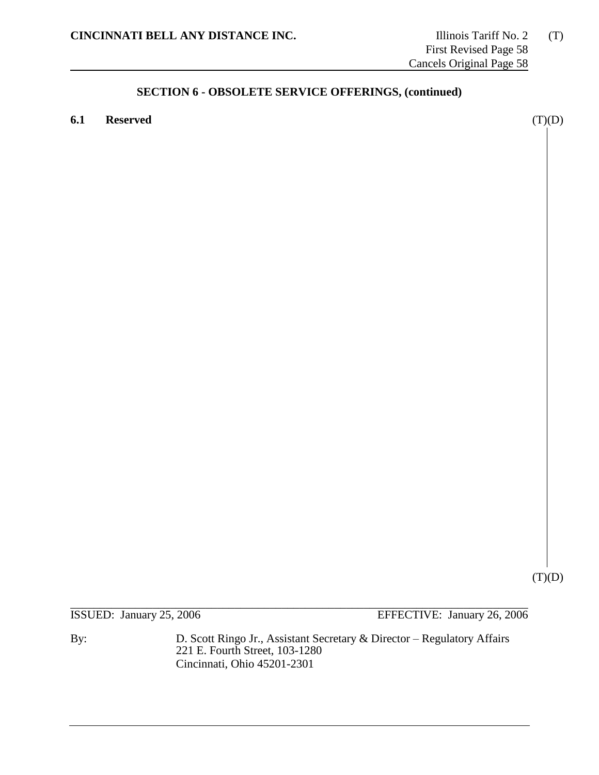**6.1 Reserved** (T)(D)

 $(T)(D)$ 

\_\_\_\_\_\_\_\_\_\_\_\_\_\_\_\_\_\_\_\_\_\_\_\_\_\_\_\_\_\_\_\_\_\_\_\_\_\_\_\_\_\_\_\_\_\_\_\_\_\_\_\_\_\_\_\_\_\_\_\_\_\_\_\_\_\_\_\_\_\_\_\_\_\_\_\_\_\_ ISSUED: January 25, 2006 EFFECTIVE: January 26, 2006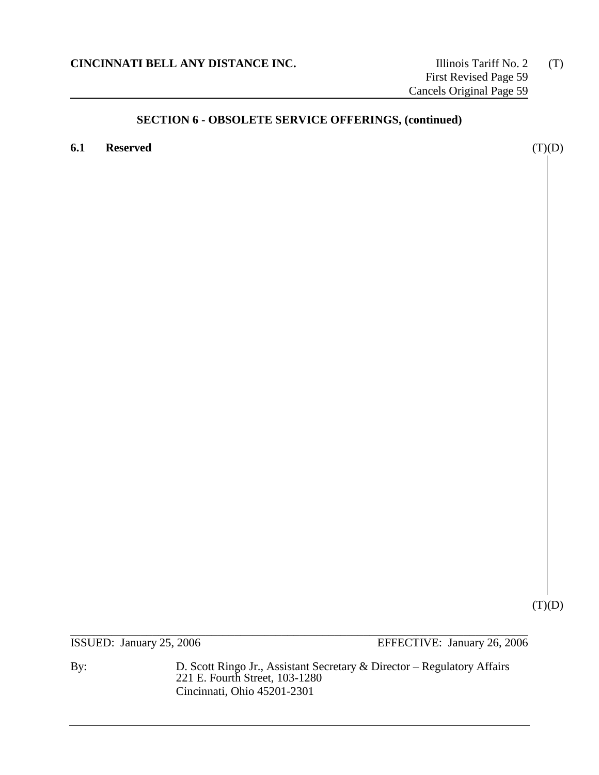**6.1 Reserved** (T)(D)

 $(T)(D)$ 

\_\_\_\_\_\_\_\_\_\_\_\_\_\_\_\_\_\_\_\_\_\_\_\_\_\_\_\_\_\_\_\_\_\_\_\_\_\_\_\_\_\_\_\_\_\_\_\_\_\_\_\_\_\_\_\_\_\_\_\_\_\_\_\_\_\_\_\_\_\_\_\_\_\_\_\_\_\_ ISSUED: January 25, 2006 EFFECTIVE: January 26, 2006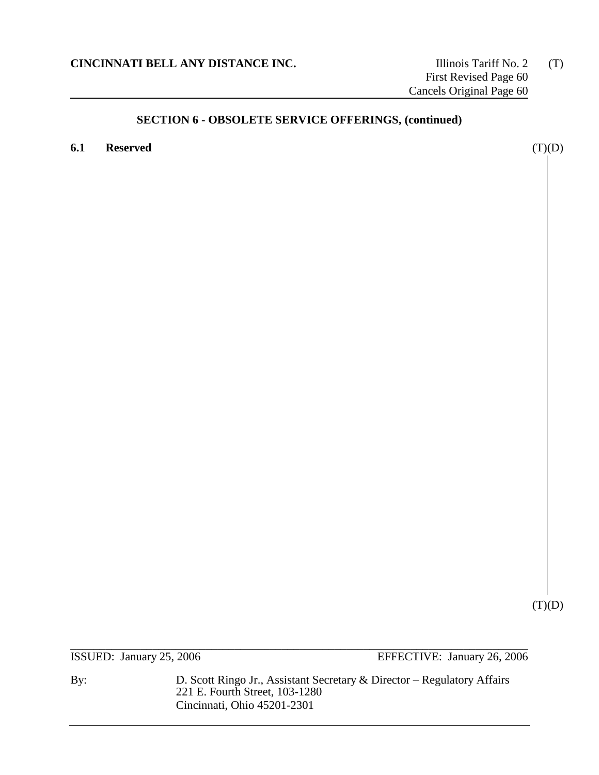**6.1 Reserved** (T)(D)

(T)(D)

\_\_\_\_\_\_\_\_\_\_\_\_\_\_\_\_\_\_\_\_\_\_\_\_\_\_\_\_\_\_\_\_\_\_\_\_\_\_\_\_\_\_\_\_\_\_\_\_\_\_\_\_\_\_\_\_\_\_\_\_\_\_\_\_\_\_\_\_\_\_\_\_\_\_\_\_\_\_ ISSUED: January 25, 2006 EFFECTIVE: January 26, 2006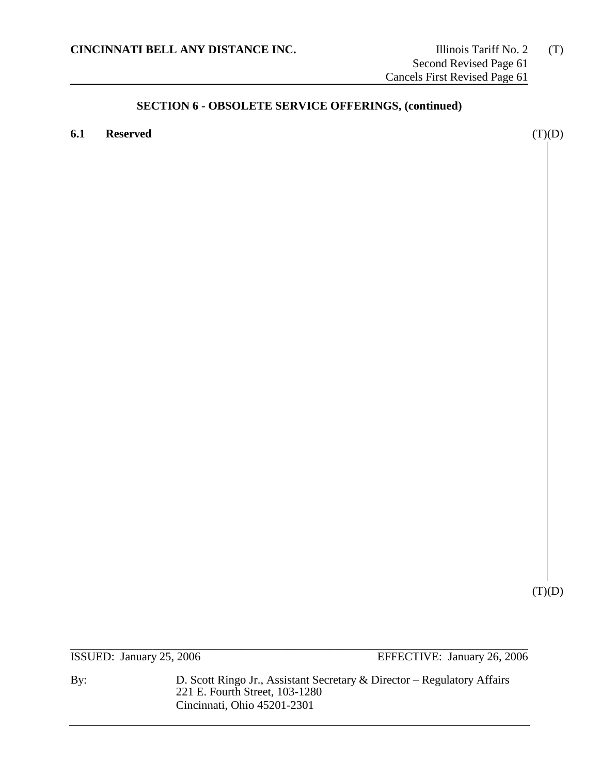**6.1 Reserved** (T)(D)

 $(T)(D)$ 

\_\_\_\_\_\_\_\_\_\_\_\_\_\_\_\_\_\_\_\_\_\_\_\_\_\_\_\_\_\_\_\_\_\_\_\_\_\_\_\_\_\_\_\_\_\_\_\_\_\_\_\_\_\_\_\_\_\_\_\_\_\_\_\_\_\_\_\_\_\_\_\_\_\_\_\_\_\_ ISSUED: January 25, 2006 EFFECTIVE: January 26, 2006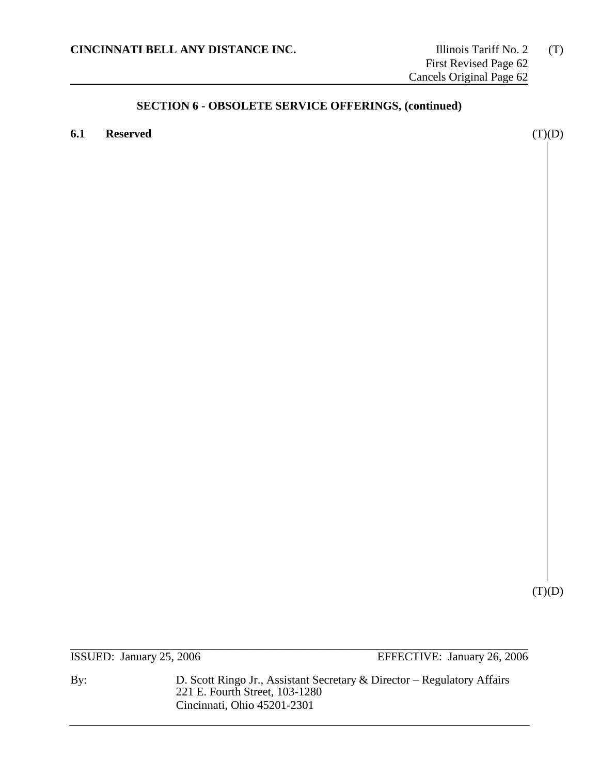**6.1 Reserved** (T)(D)

 $(T)(D)$ 

\_\_\_\_\_\_\_\_\_\_\_\_\_\_\_\_\_\_\_\_\_\_\_\_\_\_\_\_\_\_\_\_\_\_\_\_\_\_\_\_\_\_\_\_\_\_\_\_\_\_\_\_\_\_\_\_\_\_\_\_\_\_\_\_\_\_\_\_\_\_\_\_\_\_\_\_\_\_ ISSUED: January 25, 2006 EFFECTIVE: January 26, 2006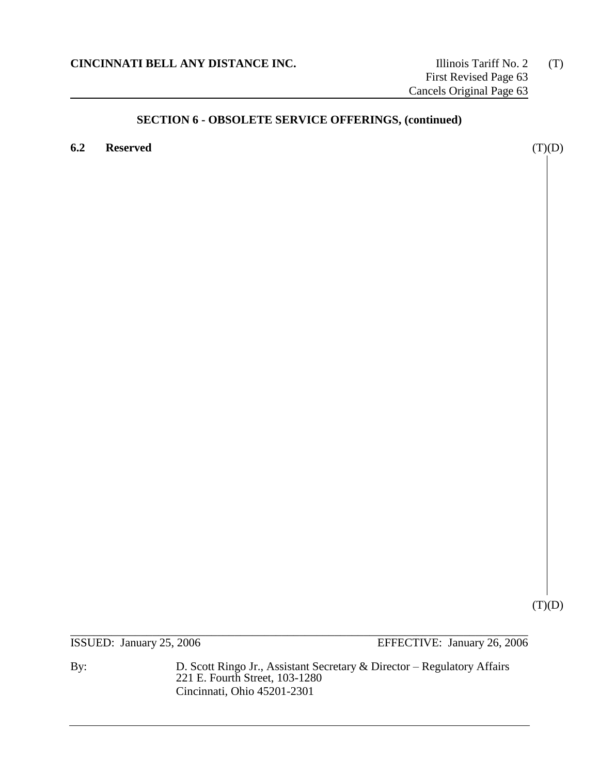**6.2 Reserved** (T)(D)

 $(T)(D)$ 

\_\_\_\_\_\_\_\_\_\_\_\_\_\_\_\_\_\_\_\_\_\_\_\_\_\_\_\_\_\_\_\_\_\_\_\_\_\_\_\_\_\_\_\_\_\_\_\_\_\_\_\_\_\_\_\_\_\_\_\_\_\_\_\_\_\_\_\_\_\_\_\_\_\_\_\_\_\_ ISSUED: January 25, 2006 EFFECTIVE: January 26, 2006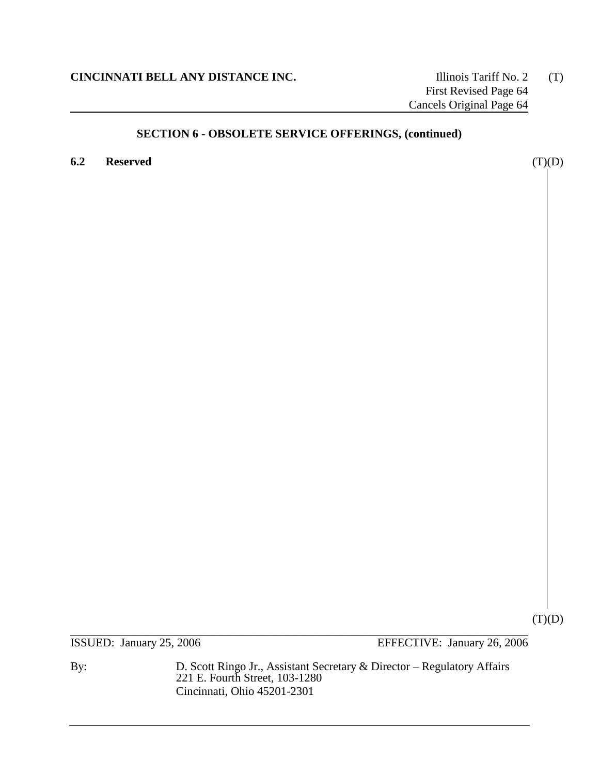**6.2 Reserved** (T)(D)

 $(T)(D)$ 

\_\_\_\_\_\_\_\_\_\_\_\_\_\_\_\_\_\_\_\_\_\_\_\_\_\_\_\_\_\_\_\_\_\_\_\_\_\_\_\_\_\_\_\_\_\_\_\_\_\_\_\_\_\_\_\_\_\_\_\_\_\_\_\_\_\_\_\_\_\_\_\_\_\_\_\_\_\_ ISSUED: January 25, 2006 EFFECTIVE: January 26, 2006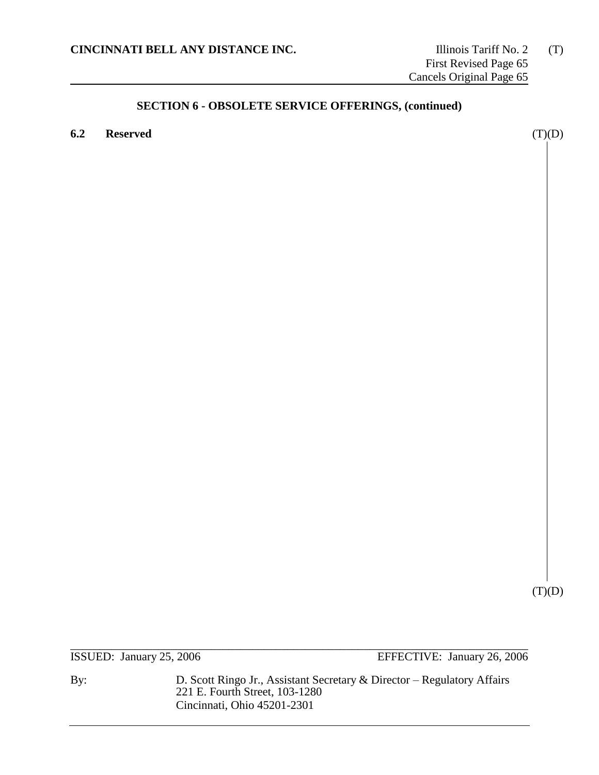**6.2 Reserved** (T)(D)

 $(T)(D)$ 

\_\_\_\_\_\_\_\_\_\_\_\_\_\_\_\_\_\_\_\_\_\_\_\_\_\_\_\_\_\_\_\_\_\_\_\_\_\_\_\_\_\_\_\_\_\_\_\_\_\_\_\_\_\_\_\_\_\_\_\_\_\_\_\_\_\_\_\_\_\_\_\_\_\_\_\_\_\_ ISSUED: January 25, 2006 EFFECTIVE: January 26, 2006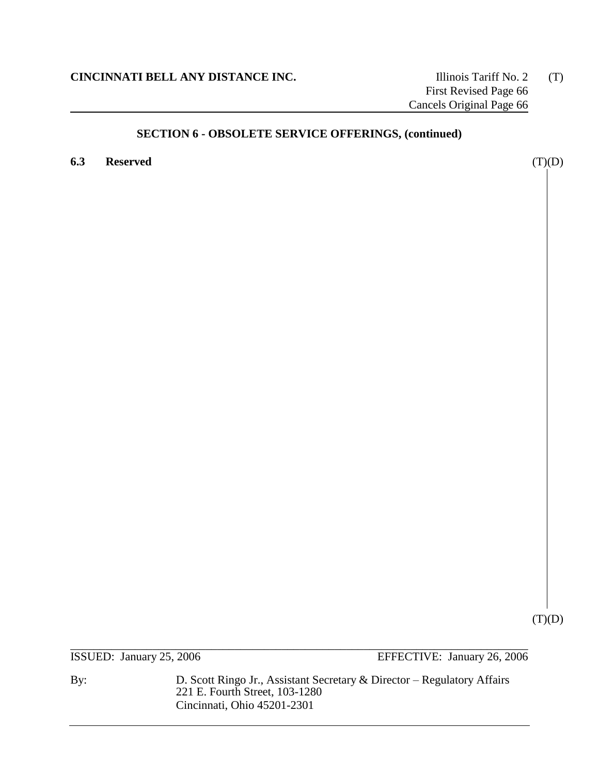**6.3 Reserved** (T)(D)

 $(T)(D)$ 

\_\_\_\_\_\_\_\_\_\_\_\_\_\_\_\_\_\_\_\_\_\_\_\_\_\_\_\_\_\_\_\_\_\_\_\_\_\_\_\_\_\_\_\_\_\_\_\_\_\_\_\_\_\_\_\_\_\_\_\_\_\_\_\_\_\_\_\_\_\_\_\_\_\_\_\_\_\_ ISSUED: January 25, 2006 EFFECTIVE: January 26, 2006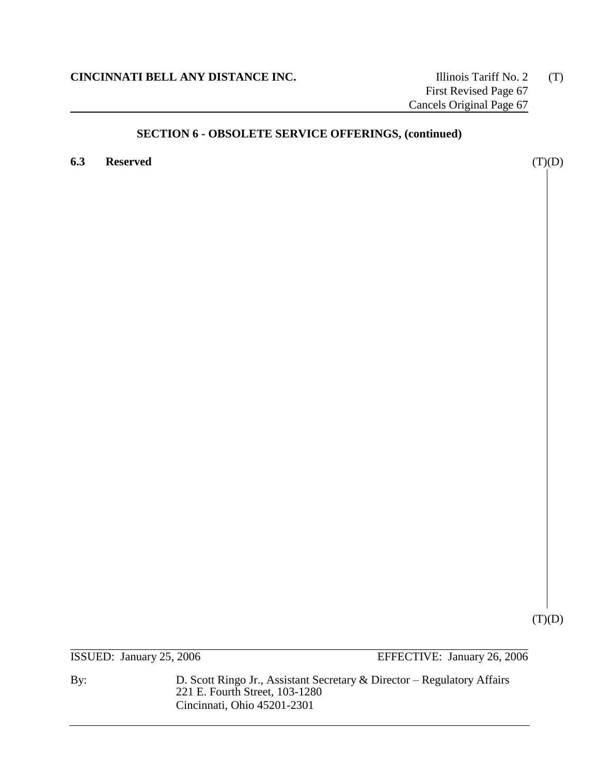**6.3 Reserved** (T)(D)

 $(T)(D)$ 

\_\_\_\_\_\_\_\_\_\_\_\_\_\_\_\_\_\_\_\_\_\_\_\_\_\_\_\_\_\_\_\_\_\_\_\_\_\_\_\_\_\_\_\_\_\_\_\_\_\_\_\_\_\_\_\_\_\_\_\_\_\_\_\_\_\_\_\_\_\_\_\_\_\_\_\_\_\_ ISSUED: January 25, 2006 EFFECTIVE: January 26, 2006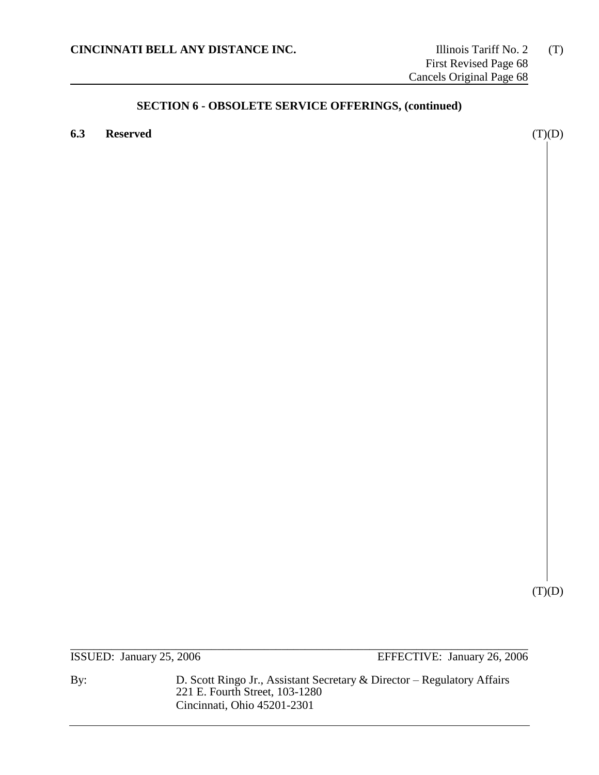**6.3 Reserved** (T)(D)

 $(T)(D)$ 

\_\_\_\_\_\_\_\_\_\_\_\_\_\_\_\_\_\_\_\_\_\_\_\_\_\_\_\_\_\_\_\_\_\_\_\_\_\_\_\_\_\_\_\_\_\_\_\_\_\_\_\_\_\_\_\_\_\_\_\_\_\_\_\_\_\_\_\_\_\_\_\_\_\_\_\_\_\_ ISSUED: January 25, 2006 EFFECTIVE: January 26, 2006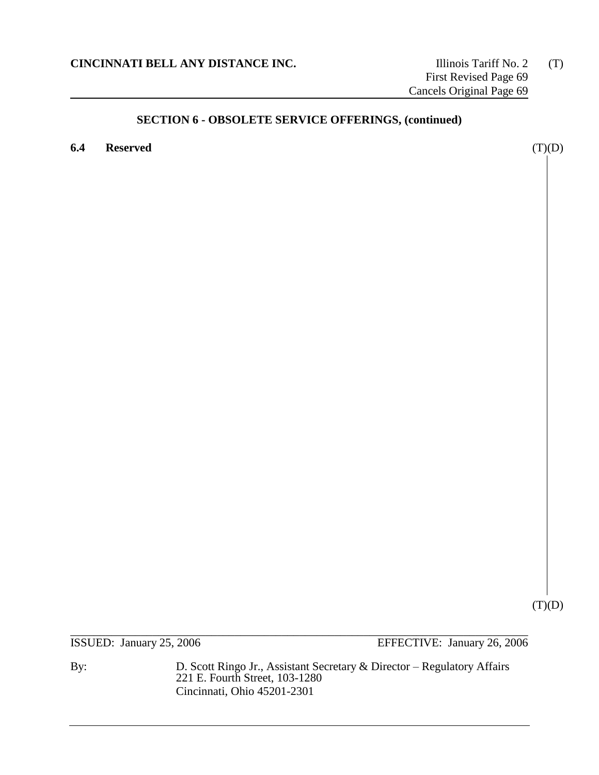**6.4 Reserved** (T)(D)

 $(T)(D)$ 

\_\_\_\_\_\_\_\_\_\_\_\_\_\_\_\_\_\_\_\_\_\_\_\_\_\_\_\_\_\_\_\_\_\_\_\_\_\_\_\_\_\_\_\_\_\_\_\_\_\_\_\_\_\_\_\_\_\_\_\_\_\_\_\_\_\_\_\_\_\_\_\_\_\_\_\_\_\_ ISSUED: January 25, 2006 EFFECTIVE: January 26, 2006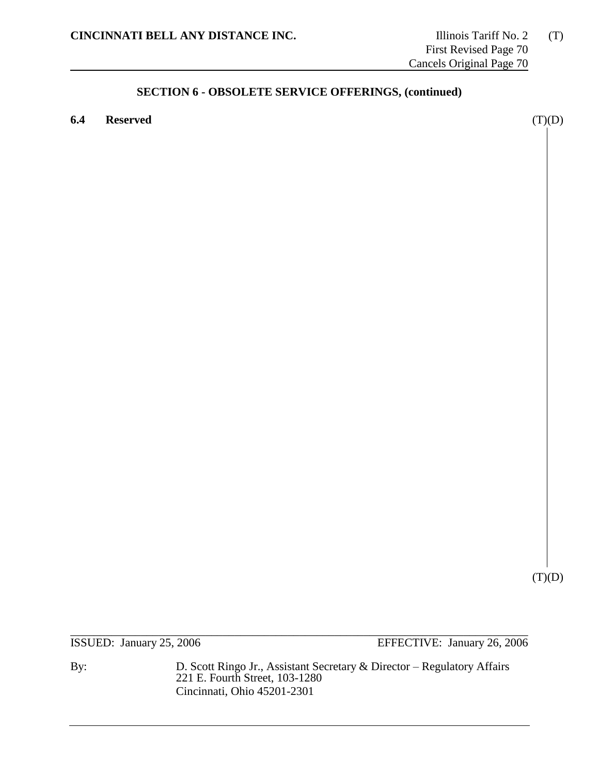**6.4 Reserved** (T)(D)

 $(T)(D)$ 

\_\_\_\_\_\_\_\_\_\_\_\_\_\_\_\_\_\_\_\_\_\_\_\_\_\_\_\_\_\_\_\_\_\_\_\_\_\_\_\_\_\_\_\_\_\_\_\_\_\_\_\_\_\_\_\_\_\_\_\_\_\_\_\_\_\_\_\_\_\_\_\_\_\_\_\_\_\_ ISSUED: January 25, 2006 EFFECTIVE: January 26, 2006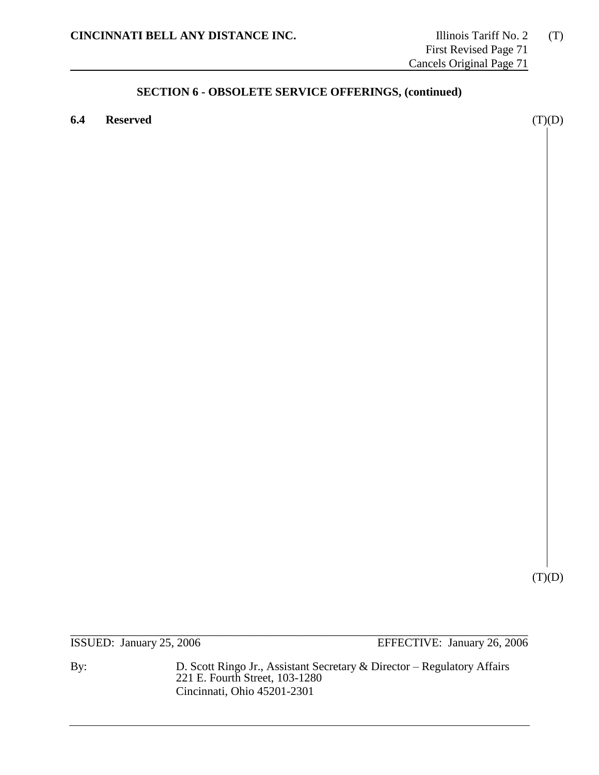**6.4 Reserved** (T)(D)

 $(T)(D)$ 

\_\_\_\_\_\_\_\_\_\_\_\_\_\_\_\_\_\_\_\_\_\_\_\_\_\_\_\_\_\_\_\_\_\_\_\_\_\_\_\_\_\_\_\_\_\_\_\_\_\_\_\_\_\_\_\_\_\_\_\_\_\_\_\_\_\_\_\_\_\_\_\_\_\_\_\_\_\_ ISSUED: January 25, 2006 EFFECTIVE: January 26, 2006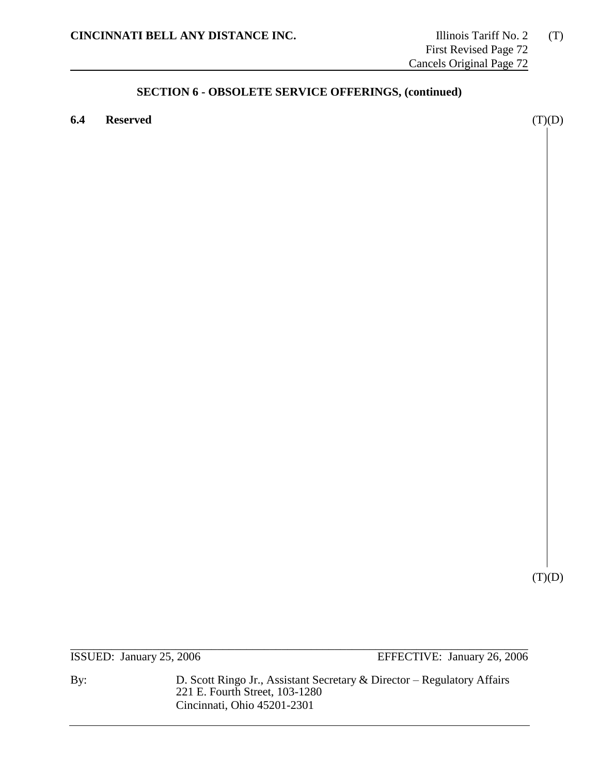**6.4 Reserved** (T)(D)

 $(T)(D)$ 

\_\_\_\_\_\_\_\_\_\_\_\_\_\_\_\_\_\_\_\_\_\_\_\_\_\_\_\_\_\_\_\_\_\_\_\_\_\_\_\_\_\_\_\_\_\_\_\_\_\_\_\_\_\_\_\_\_\_\_\_\_\_\_\_\_\_\_\_\_\_\_\_\_\_\_\_\_\_ ISSUED: January 25, 2006 EFFECTIVE: January 26, 2006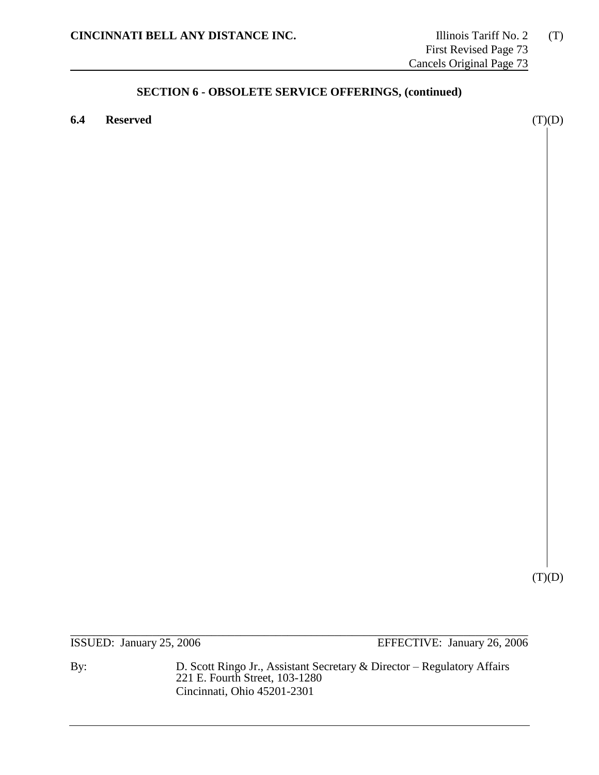**6.4 Reserved** (T)(D)

 $(T)(D)$ 

\_\_\_\_\_\_\_\_\_\_\_\_\_\_\_\_\_\_\_\_\_\_\_\_\_\_\_\_\_\_\_\_\_\_\_\_\_\_\_\_\_\_\_\_\_\_\_\_\_\_\_\_\_\_\_\_\_\_\_\_\_\_\_\_\_\_\_\_\_\_\_\_\_\_\_\_\_\_ ISSUED: January 25, 2006 EFFECTIVE: January 26, 2006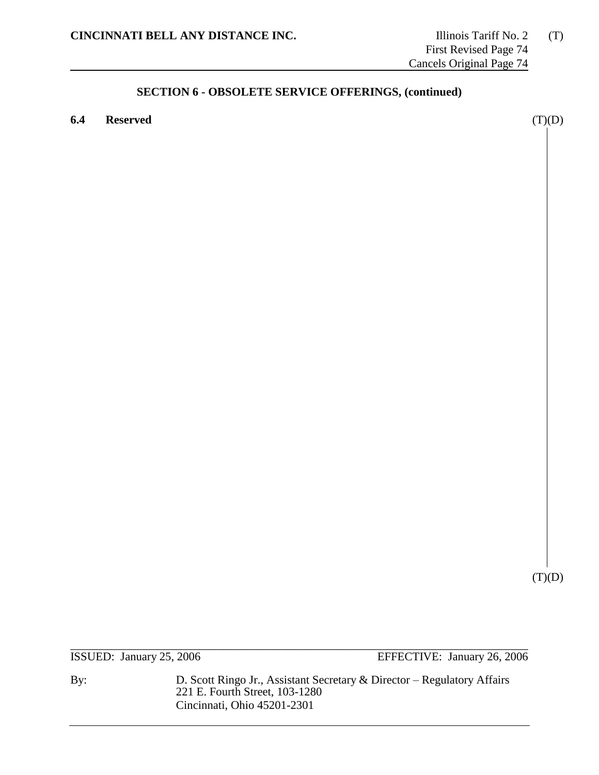**6.4 Reserved** (T)(D)

 $(T)(D)$ 

\_\_\_\_\_\_\_\_\_\_\_\_\_\_\_\_\_\_\_\_\_\_\_\_\_\_\_\_\_\_\_\_\_\_\_\_\_\_\_\_\_\_\_\_\_\_\_\_\_\_\_\_\_\_\_\_\_\_\_\_\_\_\_\_\_\_\_\_\_\_\_\_\_\_\_\_\_\_ ISSUED: January 25, 2006 EFFECTIVE: January 26, 2006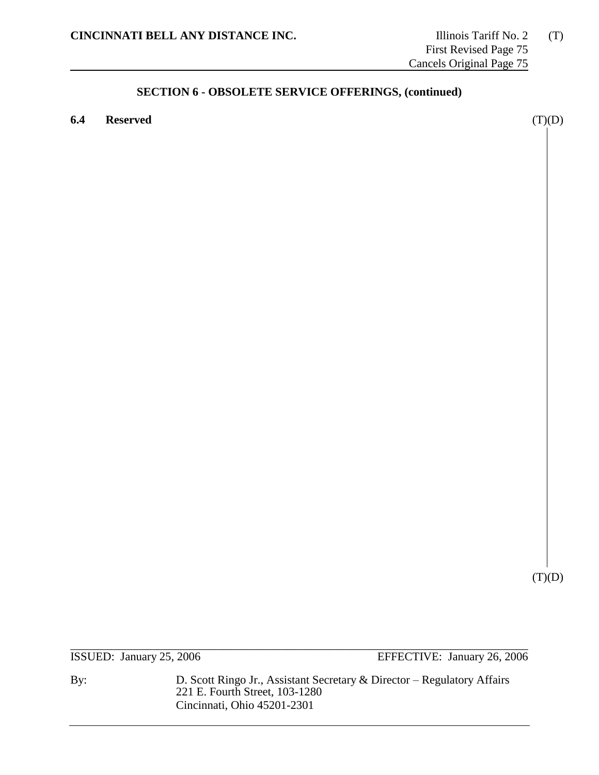**6.4 Reserved** (T)(D)

 $(T)(D)$ 

\_\_\_\_\_\_\_\_\_\_\_\_\_\_\_\_\_\_\_\_\_\_\_\_\_\_\_\_\_\_\_\_\_\_\_\_\_\_\_\_\_\_\_\_\_\_\_\_\_\_\_\_\_\_\_\_\_\_\_\_\_\_\_\_\_\_\_\_\_\_\_\_\_\_\_\_\_\_ ISSUED: January 25, 2006 EFFECTIVE: January 26, 2006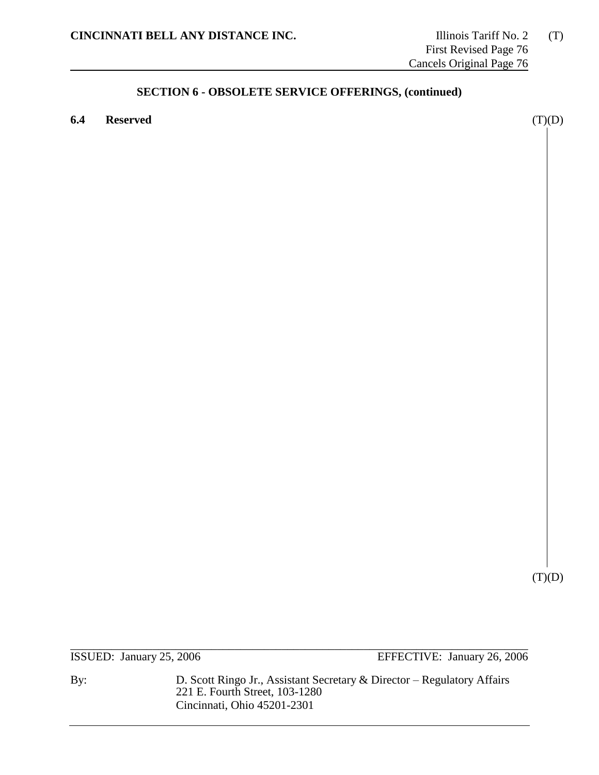**6.4 Reserved** (T)(D)

 $(T)(D)$ 

\_\_\_\_\_\_\_\_\_\_\_\_\_\_\_\_\_\_\_\_\_\_\_\_\_\_\_\_\_\_\_\_\_\_\_\_\_\_\_\_\_\_\_\_\_\_\_\_\_\_\_\_\_\_\_\_\_\_\_\_\_\_\_\_\_\_\_\_\_\_\_\_\_\_\_\_\_\_ ISSUED: January 25, 2006 EFFECTIVE: January 26, 2006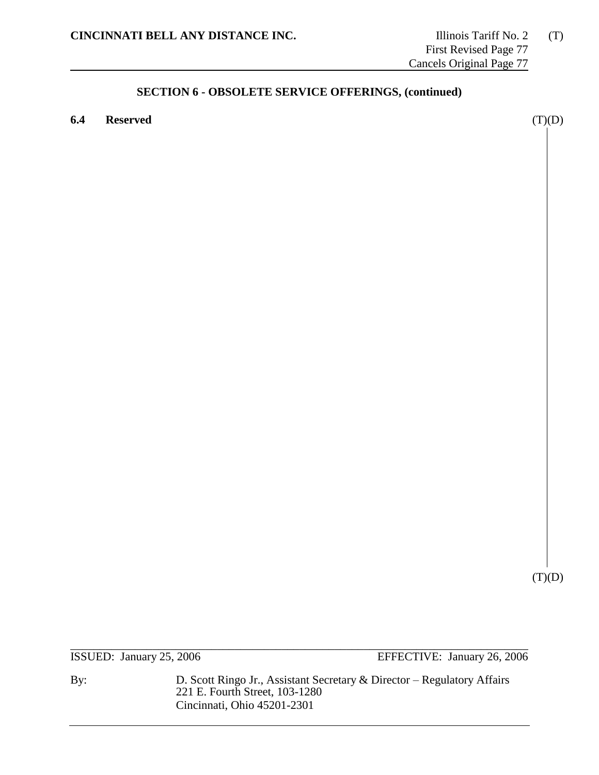**6.4 Reserved** (T)(D)

 $(T)(D)$ 

\_\_\_\_\_\_\_\_\_\_\_\_\_\_\_\_\_\_\_\_\_\_\_\_\_\_\_\_\_\_\_\_\_\_\_\_\_\_\_\_\_\_\_\_\_\_\_\_\_\_\_\_\_\_\_\_\_\_\_\_\_\_\_\_\_\_\_\_\_\_\_\_\_\_\_\_\_\_ ISSUED: January 25, 2006 EFFECTIVE: January 26, 2006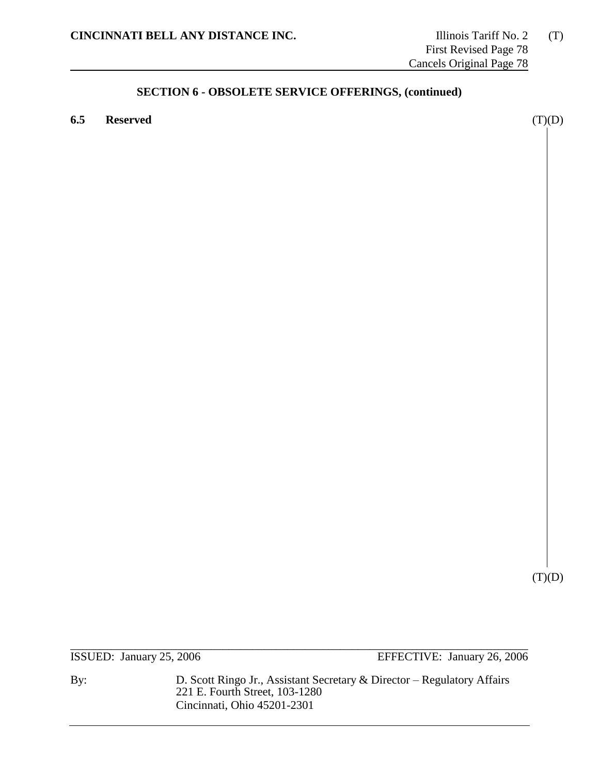**6.5 Reserved** (T)(D)

 $(T)(D)$ 

\_\_\_\_\_\_\_\_\_\_\_\_\_\_\_\_\_\_\_\_\_\_\_\_\_\_\_\_\_\_\_\_\_\_\_\_\_\_\_\_\_\_\_\_\_\_\_\_\_\_\_\_\_\_\_\_\_\_\_\_\_\_\_\_\_\_\_\_\_\_\_\_\_\_\_\_\_\_ ISSUED: January 25, 2006 EFFECTIVE: January 26, 2006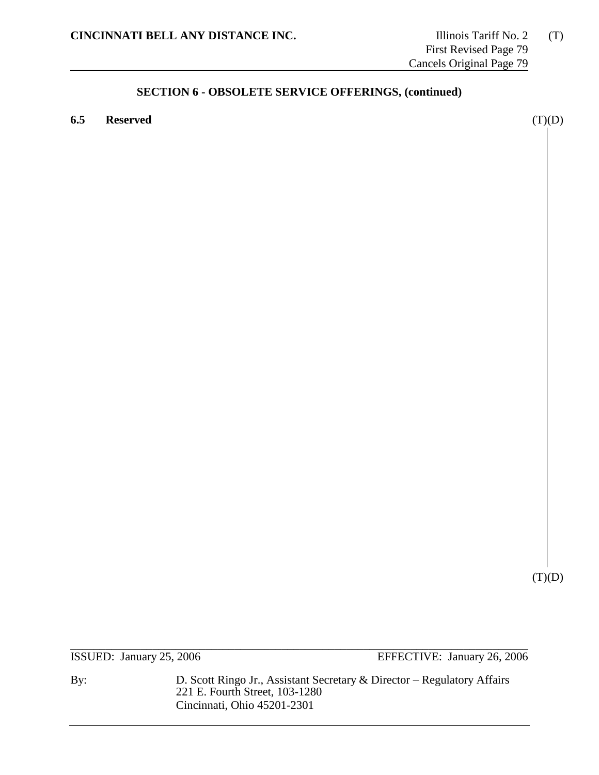**6.5 Reserved** (T)(D)

 $(T)(D)$ 

\_\_\_\_\_\_\_\_\_\_\_\_\_\_\_\_\_\_\_\_\_\_\_\_\_\_\_\_\_\_\_\_\_\_\_\_\_\_\_\_\_\_\_\_\_\_\_\_\_\_\_\_\_\_\_\_\_\_\_\_\_\_\_\_\_\_\_\_\_\_\_\_\_\_\_\_\_\_ ISSUED: January 25, 2006 EFFECTIVE: January 26, 2006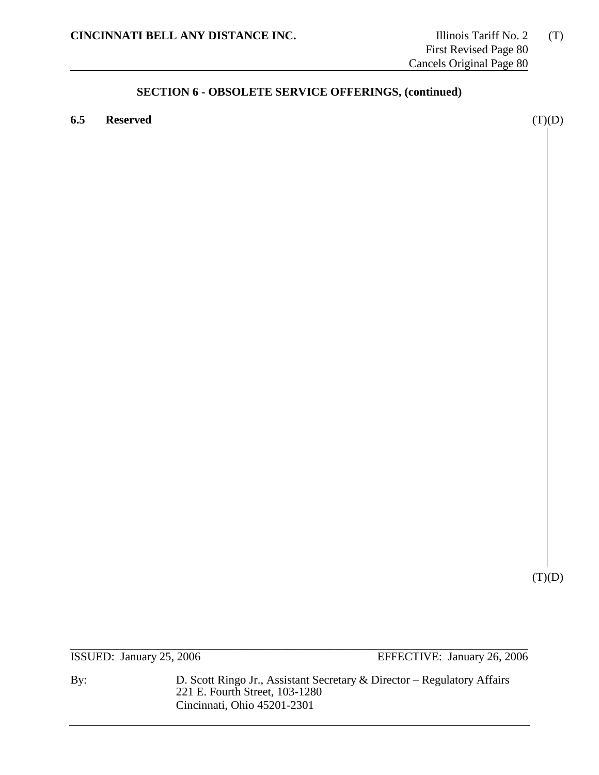**6.5 Reserved** (T)(D)

 $(T)(D)$ 

\_\_\_\_\_\_\_\_\_\_\_\_\_\_\_\_\_\_\_\_\_\_\_\_\_\_\_\_\_\_\_\_\_\_\_\_\_\_\_\_\_\_\_\_\_\_\_\_\_\_\_\_\_\_\_\_\_\_\_\_\_\_\_\_\_\_\_\_\_\_\_\_\_\_\_\_\_\_ ISSUED: January 25, 2006 EFFECTIVE: January 26, 2006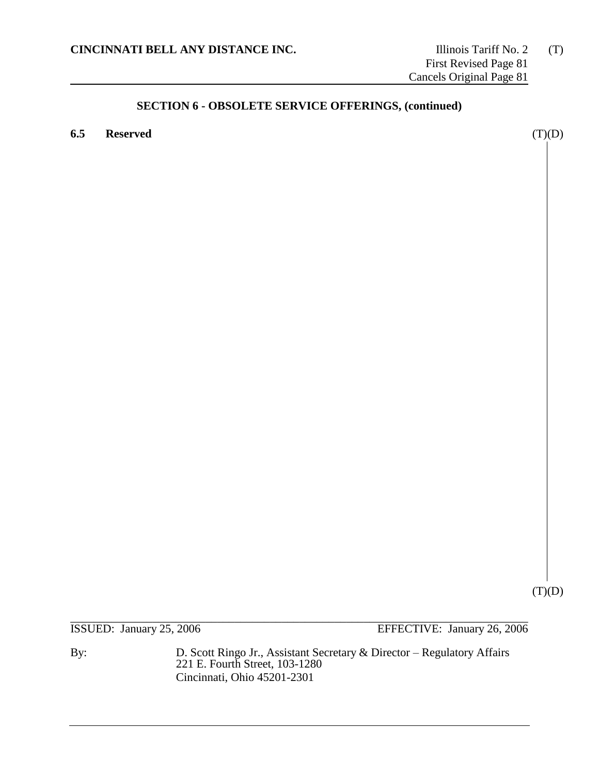**6.5 Reserved** (T)(D)

 $(T)(D)$ 

\_\_\_\_\_\_\_\_\_\_\_\_\_\_\_\_\_\_\_\_\_\_\_\_\_\_\_\_\_\_\_\_\_\_\_\_\_\_\_\_\_\_\_\_\_\_\_\_\_\_\_\_\_\_\_\_\_\_\_\_\_\_\_\_\_\_\_\_\_\_\_\_\_\_\_\_\_\_ ISSUED: January 25, 2006 EFFECTIVE: January 26, 2006